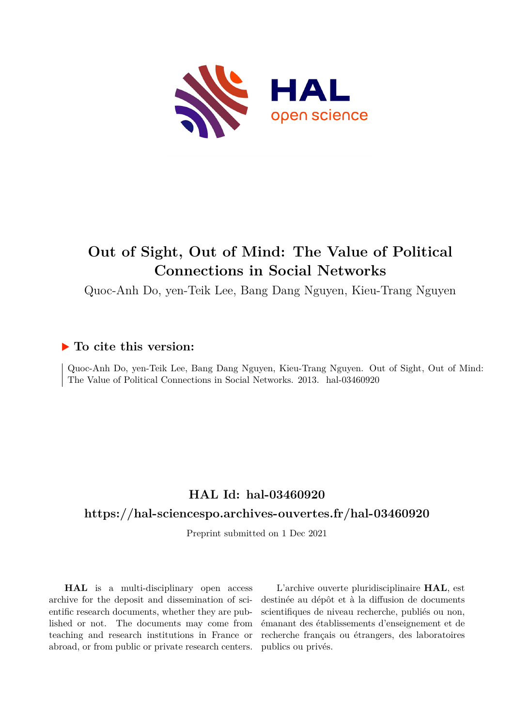

# **Out of Sight, Out of Mind: The Value of Political Connections in Social Networks**

Quoc-Anh Do, yen-Teik Lee, Bang Dang Nguyen, Kieu-Trang Nguyen

# **To cite this version:**

Quoc-Anh Do, yen-Teik Lee, Bang Dang Nguyen, Kieu-Trang Nguyen. Out of Sight, Out of Mind: The Value of Political Connections in Social Networks.  $2013.$  hal- $03460920$ 

# **HAL Id: hal-03460920**

# **<https://hal-sciencespo.archives-ouvertes.fr/hal-03460920>**

Preprint submitted on 1 Dec 2021

**HAL** is a multi-disciplinary open access archive for the deposit and dissemination of scientific research documents, whether they are published or not. The documents may come from teaching and research institutions in France or abroad, or from public or private research centers.

L'archive ouverte pluridisciplinaire **HAL**, est destinée au dépôt et à la diffusion de documents scientifiques de niveau recherche, publiés ou non, émanant des établissements d'enseignement et de recherche français ou étrangers, des laboratoires publics ou privés.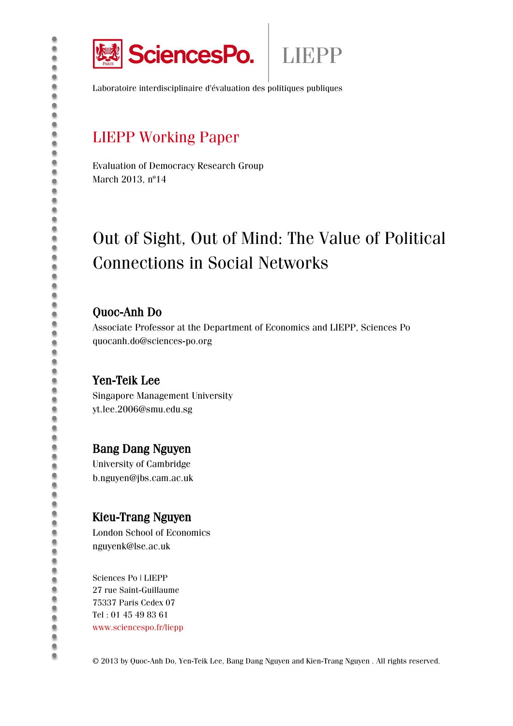

Laboratoire interdisciplinaire d'évaluation des politiques publiques

# **LIEPP Working Paper**

**Evaluation of Democracy Research Group** March 2013. nº14

# Out of Sight, Out of Mind: The Value of Political **Connections in Social Networks**

# **Quoc-Anh Do**

Associate Professor at the Department of Economics and LIEPP, Sciences Po quocanh.do@sciences-po.org

# Yen-Teik Lee

**Singapore Management University** yt.lee.2006@smu.edu.sg

# **Bang Dang Nguyen**

**University of Cambridge** b.nguyen@jbs.cam.ac.uk

# **Kieu-Trang Nguyen**

London School of Economics nguyenk@lse.ac.uk

Sciences Po | LIEPP 27 rue Saint-Guillaume 75337 Paris Cedex 07 Tel: 01 45 49 83 61 www.sciencespo.fr/liepp

 $\frac{1}{2}$ 

© 2013 by Quoc-Anh Do, Yen-Teik Lee, Bang Dang Nguyen and Kien-Trang Nguyen . All rights reserved.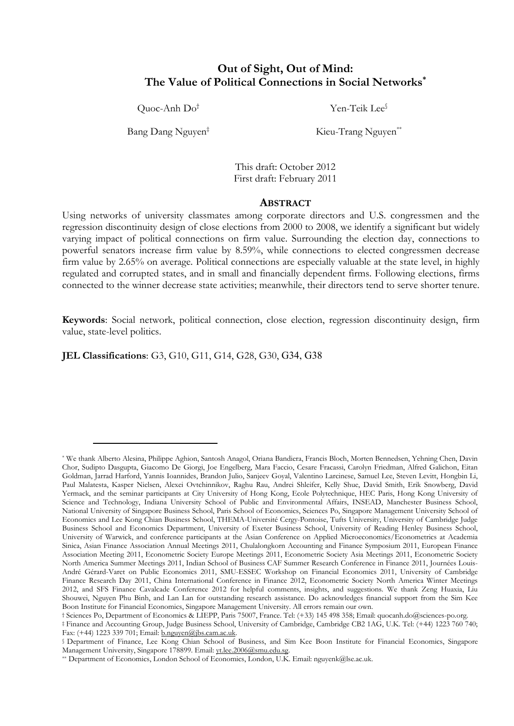## Out of Sight, Out of Mind: The Value of Political Connections in Social Networks<sup>\*</sup>

Quoc-Anh  $Do^{\dagger}$ 

Bang Dang Nguyen<sup>‡</sup>

Yen-Teik Lee<sup>§</sup>

Kieu-Trang Nguyen\*\*

This draft: October 2012 First draft: February 2011

### **ABSTRACT**

Using networks of university classmates among corporate directors and U.S. congressmen and the regression discontinuity design of close elections from 2000 to 2008, we identify a significant but widely varying impact of political connections on firm value. Surrounding the election day, connections to powerful senators increase firm value by 8.59%, while connections to elected congressmen decrease firm value by 2.65% on average. Political connections are especially valuable at the state level, in highly regulated and corrupted states, and in small and financially dependent firms. Following elections, firms connected to the winner decrease state activities; meanwhile, their directors tend to serve shorter tenure.

Keywords: Social network, political connection, close election, regression discontinuity design, firm value, state-level politics.

**IEL Classifications:** G3, G10, G11, G14, G28, G30, G34, G38

<sup>\*</sup> We thank Alberto Alesina, Philippe Aghion, Santosh Anagol, Oriana Bandiera, Francis Bloch, Morten Bennedsen, Yehning Chen, Davin Chor, Sudipto Dasgupta, Giacomo De Giorgi, Joe Engelberg, Mara Faccio, Cesare Fracassi, Carolyn Friedman, Alfred Galichon, Eitan Goldman, Jarrad Harford, Yannis Ioannides, Brandon Julio, Sanjeev Goyal, Valentino Larcinese, Samuel Lee, Steven Levitt, Hongbin Li, Paul Malatesta, Kasper Nielsen, Alexei Ovtchinnikov, Raghu Rau, Andrei Shleifer, Kelly Shue, David Smith, Erik Snowberg, David Yermack, and the seminar participants at City University of Hong Kong, Ecole Polytechnique, HEC Paris, Hong Kong University of Science and Technology, Indiana University School of Public and Environmental Affairs, INSEAD, Manchester Business School, National University of Singapore Business School, Paris School of Economics, Sciences Po, Singapore Management University School of Economics and Lee Kong Chian Business School, THEMA-Université Cergy-Pontoise, Tufts University, University of Cambridge Judge Business School and Economics Department, University of Exeter Business School, University of Reading Henley Business School, University of Warwick, and conference participants at the Asian Conference on Applied Microeconomics/Econometrics at Academia Sinica, Asian Finance Association Annual Meetings 2011, Chulalongkorn Accounting and Finance Symposium 2011, European Finance Association Meeting 2011, Econometric Society Europe Meetings 2011, Econometric Society Asia Meetings 2011, Econometric Society North America Summer Meetings 2011, Indian School of Business CAF Summer Research Conference in Finance 2011, Journées Louis-André Gérard-Varet on Public Economics 2011, SMU-ESSEC Workshop on Financial Economics 2011, University of Cambridge Finance Research Day 2011, China International Conference in Finance 2012, Econometric Society North America Winter Meetings 2012, and SFS Finance Cavalcade Conference 2012 for helpful comments, insights, and suggestions. We thank Zeng Huaxia, Liu Shouwei, Nguyen Phu Binh, and Lan Lan for outstanding research assistance. Do acknowledges financial support from the Sim Kee Boon Institute for Financial Economics, Singapore Management University. All errors remain our own.

<sup>†</sup> Sciences Po, Department of Economics & LIEPP, Paris 75007, France. Tel: (+33) 145 498 358; Email: quocanh.do@sciences-po.org.

<sup>#</sup> Finance and Accounting Group, Judge Business School, University of Cambridge, Cambridge CB2 1AG, U.K. Tel: (+44) 1223 760 740; Fax: (+44) 1223 339 701; Email: b.nguyen@jbs.cam.ac.uk.

Department of Finance, Lee Kong Chian School of Business, and Sim Kee Boon Institute for Financial Economics, Singapore Management University, Singapore 178899. Email: vt.lee.2006@smu.edu.sg

<sup>\*\*</sup> Department of Economics, London School of Economics, London, U.K. Email: nguyenk@lse.ac.uk.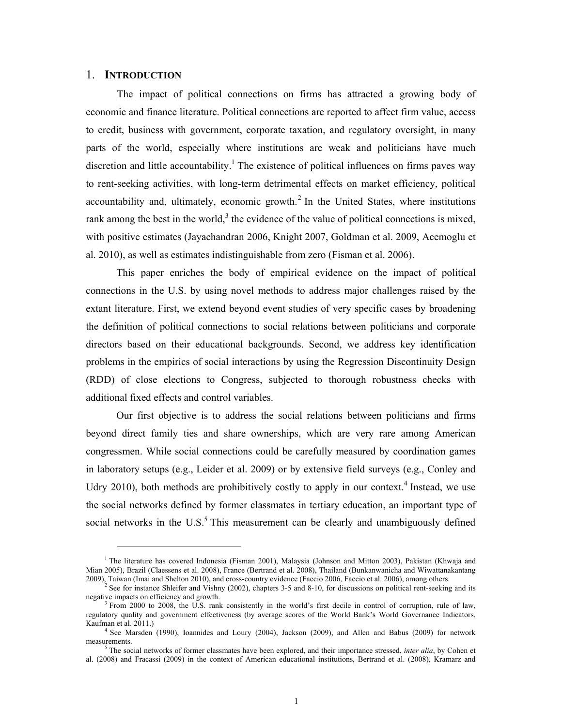### 1. **INTRODUCTION**

The impact of political connections on firms has attracted a growing body of economic and finance literature. Political connections are reported to affect firm value, access to credit, business with government, corporate taxation, and regulatory oversight, in many parts of the world, especially where institutions are weak and politicians have much discretion and little accountability.<sup>1</sup> The existence of political influences on firms paves way to rent-seeking activities, with long-term detrimental effects on market efficiency, political accountability and, ultimately, economic growth.<sup>2</sup> In the United States, where institutions rank among the best in the world,<sup>3</sup> the evidence of the value of political connections is mixed, with positive estimates (Jayachandran 2006, Knight 2007, Goldman et al. 2009, Acemoglu et al. 2010), as well as estimates indistinguishable from zero (Fisman et al. 2006).

This paper enriches the body of empirical evidence on the impact of political connections in the U.S. by using novel methods to address major challenges raised by the extant literature. First, we extend beyond event studies of very specific cases by broadening the definition of political connections to social relations between politicians and corporate directors based on their educational backgrounds. Second, we address key identification problems in the empirics of social interactions by using the Regression Discontinuity Design (RDD) of close elections to Congress, subjected to thorough robustness checks with additional fixed effects and control variables.

Our first objective is to address the social relations between politicians and firms beyond direct family ties and share ownerships, which are very rare among American congressmen. While social connections could be carefully measured by coordination games in laboratory setups (e.g., Leider et al. 2009) or by extensive field surveys (e.g., Conley and Udry 2010), both methods are prohibitively costly to apply in our context.<sup>4</sup> Instead, we use the social networks defined by former classmates in tertiary education, an important type of social networks in the U.S.<sup>5</sup> This measurement can be clearly and unambiguously defined

<sup>&</sup>lt;sup>1</sup> The literature has covered Indonesia (Fisman 2001), Malaysia (Johnson and Mitton 2003), Pakistan (Khwaja and Mian 2005), Brazil (Claessens et al. 2008), France (Bertrand et al. 2008), Thailand (Bunkanwanicha and Wiwattanakantang 2009), Taiwan (Imai and Shelton 2010), and cross-country evidence (Faccio 2006, Faccio et al. 2006), among others.

 $^2$  See for instance Shleifer and Vishny (2002), chapters 3-5 and 8-10, for discussions on political rent-seeking and its negative impacts on efficiency and growth.

<sup>&</sup>lt;sup>3</sup> From 2000 to 2008, the U.S. rank consistently in the world's first decile in control of corruption, rule of law, regulatory quality and government effectiveness (by average scores of the World Bank's World Governance Indicators, Kaufman et al. 2011.)

<sup>&</sup>lt;sup>4</sup> See Marsden (1990), Ioannides and Loury (2004), Jackson (2009), and Allen and Babus (2009) for network measurements.

 $5$  The social networks of former classmates have been explored, and their importance stressed, *inter alia*, by Cohen et al. (2008) and Fracassi (2009) in the context of American educational institutions, Bertrand et al. (2008), Kramarz and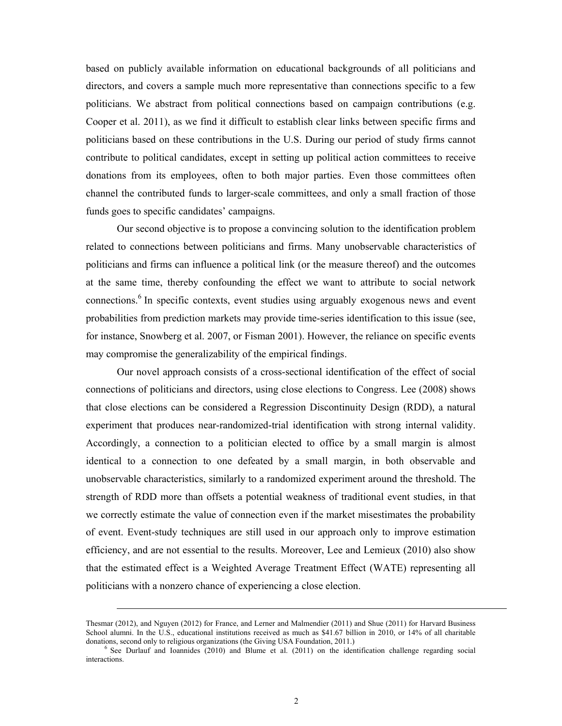based on publicly available information on educational backgrounds of all politicians and directors, and covers a sample much more representative than connections specific to a few politicians. We abstract from political connections based on campaign contributions (e.g. Cooper et al. 2011), as we find it difficult to establish clear links between specific firms and politicians based on these contributions in the U.S. During our period of study firms cannot contribute to political candidates, except in setting up political action committees to receive donations from its employees, often to both major parties. Even those committees often channel the contributed funds to larger-scale committees, and only a small fraction of those funds goes to specific candidates' campaigns.

Our second objective is to propose a convincing solution to the identification problem related to connections between politicians and firms. Many unobservable characteristics of politicians and firms can influence a political link (or the measure thereof) and the outcomes at the same time, thereby confounding the effect we want to attribute to social network connections.<sup>6</sup> In specific contexts, event studies using arguably exogenous news and event probabilities from prediction markets may provide time-series identification to this issue (see, for instance, Snowberg et al. 2007, or Fisman 2001). However, the reliance on specific events may compromise the generalizability of the empirical findings.

Our novel approach consists of a cross-sectional identification of the effect of social connections of politicians and directors, using close elections to Congress. Lee (2008) shows that close elections can be considered a Regression Discontinuity Design (RDD), a natural experiment that produces near-randomized-trial identification with strong internal validity. Accordingly, a connection to a politician elected to office by a small margin is almost identical to a connection to one defeated by a small margin, in both observable and unobservable characteristics, similarly to a randomized experiment around the threshold. The strength of RDD more than offsets a potential weakness of traditional event studies, in that we correctly estimate the value of connection even if the market misestimates the probability of event. Event-study techniques are still used in our approach only to improve estimation efficiency, and are not essential to the results. Moreover, Lee and Lemieux (2010) also show that the estimated effect is a Weighted Average Treatment Effect (WATE) representing all politicians with a nonzero chance of experiencing a close election.

Thesmar (2012), and Nguyen (2012) for France, and Lerner and Malmendier (2011) and Shue (2011) for Harvard Business School alumni. In the U.S., educational institutions received as much as \$41.67 billion in 2010, or 14% of all charitable donations, second only to religious organizations (the Giving USA Foundation, 2011.)

 $6$  See Durlauf and Ioannides (2010) and Blume et al. (2011) on the identification challenge regarding social *interactions*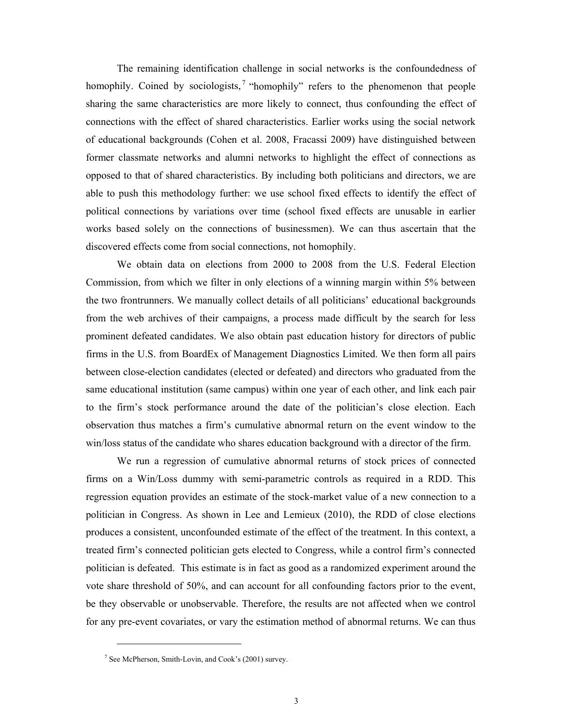The remaining identification challenge in social networks is the confoundedness of homophily. Coined by sociologists,<sup>7</sup> "homophily" refers to the phenomenon that people sharing the same characteristics are more likely to connect, thus confounding the effect of connections with the effect of shared characteristics. Earlier works using the social network of educational backgrounds (Cohen et al. 2008, Fracassi 2009) have distinguished between former classmate networks and alumni networks to highlight the effect of connections as opposed to that of shared characteristics. By including both politicians and directors, we are able to push this methodology further: we use school fixed effects to identify the effect of political connections by variations over time (school fixed effects are unusable in earlier works based solely on the connections of businessmen). We can thus ascertain that the discovered effects come from social connections, not homophily.

We obtain data on elections from 2000 to 2008 from the U.S. Federal Election Commission, from which we filter in only elections of a winning margin within 5% between the two frontrunners. We manually collect details of all politicians' educational backgrounds from the web archives of their campaigns, a process made difficult by the search for less prominent defeated candidates. We also obtain past education history for directors of public firms in the U.S. from BoardEx of Management Diagnostics Limited. We then form all pairs between close-election candidates (elected or defeated) and directors who graduated from the same educational institution (same campus) within one year of each other, and link each pair to the firm's stock performance around the date of the politician's close election. Each observation thus matches a firm's cumulative abnormal return on the event window to the win/loss status of the candidate who shares education background with a director of the firm.

We run a regression of cumulative abnormal returns of stock prices of connected firms on a Win/Loss dummy with semi-parametric controls as required in a RDD. This regression equation provides an estimate of the stock-market value of a new connection to a politician in Congress. As shown in Lee and Lemieux (2010), the RDD of close elections produces a consistent, unconfounded estimate of the effect of the treatment. In this context, a treated firm's connected politician gets elected to Congress, while a control firm's connected politician is defeated. This estimate is in fact as good as a randomized experiment around the vote share threshold of 50%, and can account for all confounding factors prior to the event, be they observable or unobservable. Therefore, the results are not affected when we control for any pre-event covariates, or vary the estimation method of abnormal returns. We can thus

 $7$  See McPherson, Smith-Lovin, and Cook's (2001) survey.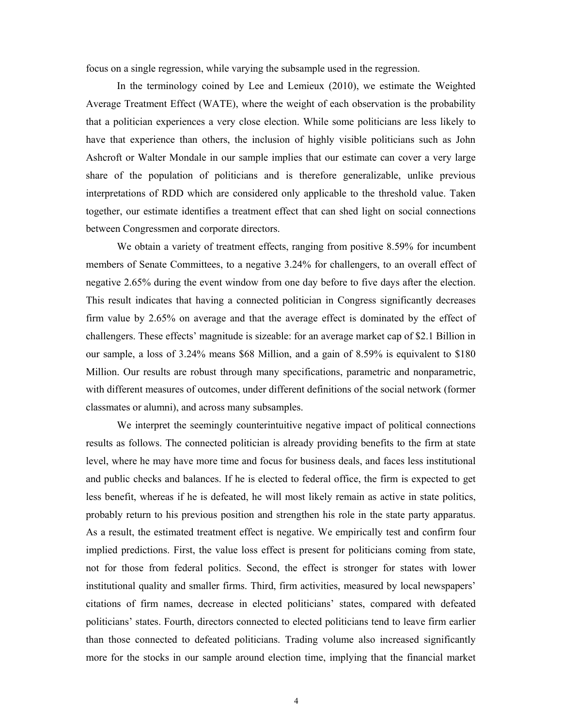focus on a single regression, while varying the subsample used in the regression.

In the terminology coined by Lee and Lemieux (2010), we estimate the Weighted Average Treatment Effect (WATE), where the weight of each observation is the probability that a politician experiences a very close election. While some politicians are less likely to have that experience than others, the inclusion of highly visible politicians such as John Ashcroft or Walter Mondale in our sample implies that our estimate can cover a very large share of the population of politicians and is therefore generalizable, unlike previous interpretations of RDD which are considered only applicable to the threshold value. Taken together, our estimate identifies a treatment effect that can shed light on social connections between Congressmen and corporate directors.

We obtain a variety of treatment effects, ranging from positive 8.59% for incumbent members of Senate Committees, to a negative 3.24% for challengers, to an overall effect of negative 2.65% during the event window from one day before to five days after the election. This result indicates that having a connected politician in Congress significantly decreases firm value by 2.65% on average and that the average effect is dominated by the effect of challengers. These effects' magnitude is sizeable: for an average market cap of \$2.1 Billion in our sample, a loss of 3.24% means \$68 Million, and a gain of 8.59% is equivalent to \$180 Million. Our results are robust through many specifications, parametric and nonparametric, with different measures of outcomes, under different definitions of the social network (former classmates or alumni), and across many subsamples.

We interpret the seemingly counterintuitive negative impact of political connections results as follows. The connected politician is already providing benefits to the firm at state level, where he may have more time and focus for business deals, and faces less institutional and public checks and balances. If he is elected to federal office, the firm is expected to get less benefit, whereas if he is defeated, he will most likely remain as active in state politics, probably return to his previous position and strengthen his role in the state party apparatus. As a result, the estimated treatment effect is negative. We empirically test and confirm four implied predictions. First, the value loss effect is present for politicians coming from state. not for those from federal politics. Second, the effect is stronger for states with lower institutional quality and smaller firms. Third, firm activities, measured by local newspapers' citations of firm names, decrease in elected politicians' states, compared with defeated politicians' states. Fourth, directors connected to elected politicians tend to leave firm earlier than those connected to defeated politicians. Trading volume also increased significantly more for the stocks in our sample around election time, implying that the financial market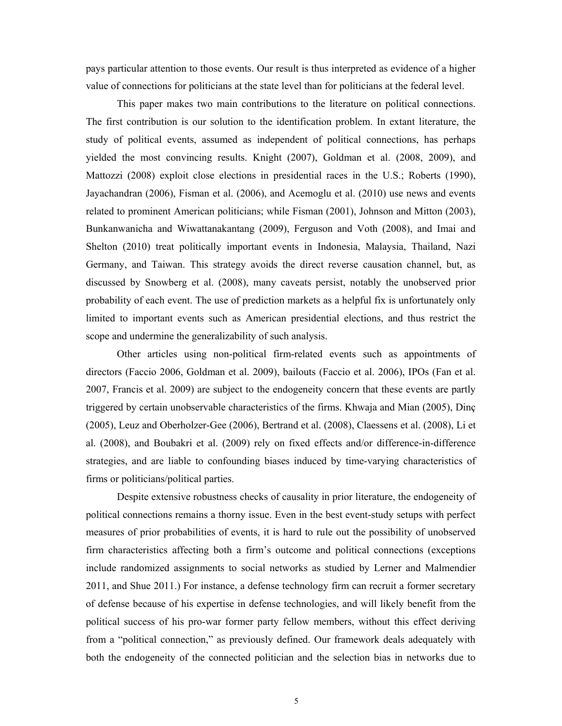pays particular attention to those events. Our result is thus interpreted as evidence of a higher value of connections for politicians at the state level than for politicians at the federal level.

This paper makes two main contributions to the literature on political connections. The first contribution is our solution to the identification problem. In extant literature, the study of political events, assumed as independent of political connections, has perhaps yielded the most convincing results. Knight (2007), Goldman et al. (2008, 2009), and Mattozzi (2008) exploit close elections in presidential races in the U.S.; Roberts (1990), Jayachandran (2006), Fisman et al. (2006), and Acemoglu et al. (2010) use news and events related to prominent American politicians; while Fisman (2001), Johnson and Mitton (2003), Bunkanwanicha and Wiwattanakantang (2009), Ferguson and Voth (2008), and Imai and Shelton (2010) treat politically important events in Indonesia, Malaysia, Thailand, Nazi Germany, and Taiwan. This strategy avoids the direct reverse causation channel, but, as discussed by Snowberg et al. (2008), many caveats persist, notably the unobserved prior probability of each event. The use of prediction markets as a helpful fix is unfortunately only limited to important events such as American presidential elections, and thus restrict the scope and undermine the generalizability of such analysis.

Other articles using non-political firm-related events such as appointments of directors (Faccio 2006, Goldman et al. 2009), bailouts (Faccio et al. 2006), IPOs (Fan et al. 2007, Francis et al. 2009) are subject to the endogeneity concern that these events are partly triggered by certain unobservable characteristics of the firms. Khwaja and Mian (2005), Dinc (2005), Leuz and Oberholzer-Gee (2006), Bertrand et al. (2008), Claessens et al. (2008), Li et al. (2008), and Boubakri et al. (2009) rely on fixed effects and/or difference-in-difference strategies, and are liable to confounding biases induced by time-varying characteristics of firms or politicians/political parties.

Despite extensive robustness checks of causality in prior literature, the endogeneity of political connections remains a thorny issue. Even in the best event-study setups with perfect measures of prior probabilities of events, it is hard to rule out the possibility of unobserved firm characteristics affecting both a firm's outcome and political connections (exceptions) include randomized assignments to social networks as studied by Lerner and Malmendier 2011, and Shue 2011.) For instance, a defense technology firm can recruit a former secretary of defense because of his expertise in defense technologies, and will likely benefit from the political success of his pro-war former party fellow members, without this effect deriving from a "political connection," as previously defined. Our framework deals adequately with both the endogeneity of the connected politician and the selection bias in networks due to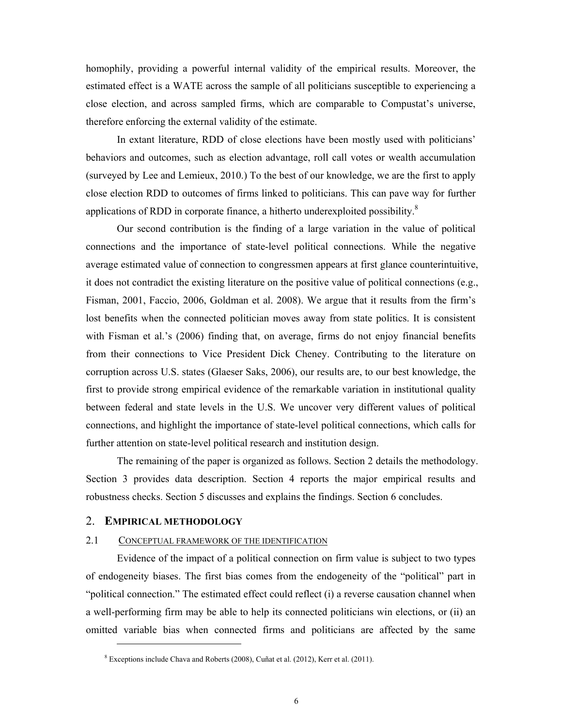homophily, providing a powerful internal validity of the empirical results. Moreover, the estimated effect is a WATE across the sample of all politicians susceptible to experiencing a close election, and across sampled firms, which are comparable to Compustat's universe, therefore enforcing the external validity of the estimate.

In extant literature, RDD of close elections have been mostly used with politicians' behaviors and outcomes, such as election advantage, roll call votes or wealth accumulation (surveyed by Lee and Lemieux, 2010.) To the best of our knowledge, we are the first to apply close election RDD to outcomes of firms linked to politicians. This can pave way for further applications of RDD in corporate finance, a hitherto underexploited possibility.<sup>8</sup>

Our second contribution is the finding of a large variation in the value of political connections and the importance of state-level political connections. While the negative average estimated value of connection to congressmen appears at first glance counterintuitive, it does not contradict the existing literature on the positive value of political connections (e.g., Fisman, 2001, Faccio, 2006, Goldman et al. 2008). We argue that it results from the firm's lost benefits when the connected politician moves away from state politics. It is consistent with Fisman et al.'s (2006) finding that, on average, firms do not enjoy financial benefits from their connections to Vice President Dick Cheney. Contributing to the literature on corruption across U.S. states (Glaeser Saks, 2006), our results are, to our best knowledge, the first to provide strong empirical evidence of the remarkable variation in institutional quality between federal and state levels in the U.S. We uncover very different values of political connections, and highlight the importance of state-level political connections, which calls for further attention on state-level political research and institution design.

The remaining of the paper is organized as follows. Section 2 details the methodology. Section 3 provides data description. Section 4 reports the major empirical results and robustness checks. Section 5 discusses and explains the findings. Section 6 concludes.

### 2. EMPIRICAL METHODOLOGY

#### $21$ CONCEPTUAL FRAMEWORK OF THE IDENTIFICATION

Evidence of the impact of a political connection on firm value is subject to two types of endogeneity biases. The first bias comes from the endogeneity of the "political" part in "political connection." The estimated effect could reflect (i) a reverse causation channel when a well-performing firm may be able to help its connected politicians win elections, or (ii) an omitted variable bias when connected firms and politicians are affected by the same

<sup>&</sup>lt;sup>8</sup> Exceptions include Chava and Roberts (2008), Cuñat et al. (2012), Kerr et al. (2011).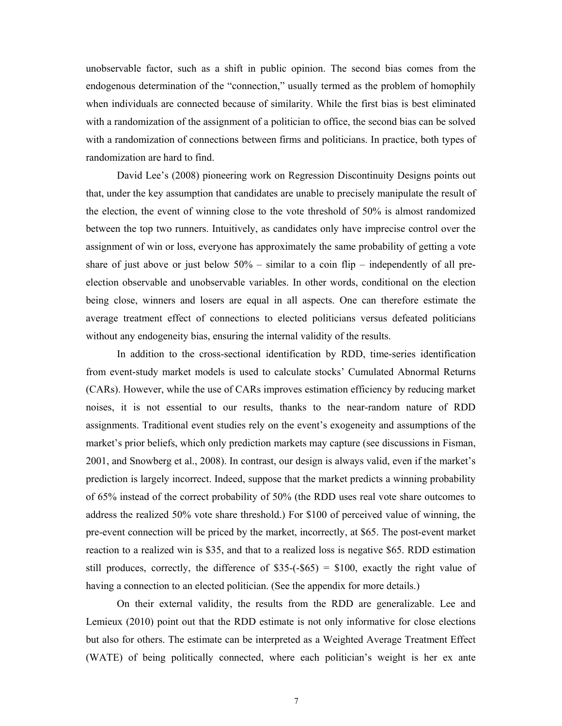unobservable factor, such as a shift in public opinion. The second bias comes from the endogenous determination of the "connection," usually termed as the problem of homophily when individuals are connected because of similarity. While the first bias is best eliminated with a randomization of the assignment of a politician to office, the second bias can be solved with a randomization of connections between firms and politicians. In practice, both types of randomization are hard to find.

David Lee's (2008) pioneering work on Regression Discontinuity Designs points out that, under the key assumption that candidates are unable to precisely manipulate the result of the election, the event of winning close to the vote threshold of 50% is almost randomized between the top two runners. Intuitively, as candidates only have imprecise control over the assignment of win or loss, everyone has approximately the same probability of getting a vote share of just above or just below  $50\%$  – similar to a coin flip – independently of all preelection observable and unobservable variables. In other words, conditional on the election being close, winners and losers are equal in all aspects. One can therefore estimate the average treatment effect of connections to elected politicians versus defeated politicians without any endogeneity bias, ensuring the internal validity of the results.

In addition to the cross-sectional identification by RDD, time-series identification from event-study market models is used to calculate stocks' Cumulated Abnormal Returns (CARs). However, while the use of CARs improves estimation efficiency by reducing market noises, it is not essential to our results, thanks to the near-random nature of RDD assignments. Traditional event studies rely on the event's exogeneity and assumptions of the market's prior beliefs, which only prediction markets may capture (see discussions in Fisman, 2001, and Snowberg et al., 2008). In contrast, our design is always valid, even if the market's prediction is largely incorrect. Indeed, suppose that the market predicts a winning probability of 65% instead of the correct probability of 50% (the RDD uses real vote share outcomes to address the realized 50% vote share threshold.) For \$100 of perceived value of winning, the pre-event connection will be priced by the market, incorrectly, at \$65. The post-event market reaction to a realized win is \$35, and that to a realized loss is negative \$65. RDD estimation still produces, correctly, the difference of  $$35-(-$65) = $100$ , exactly the right value of having a connection to an elected politician. (See the appendix for more details.)

On their external validity, the results from the RDD are generalizable. Lee and Lemieux (2010) point out that the RDD estimate is not only informative for close elections but also for others. The estimate can be interpreted as a Weighted Average Treatment Effect (WATE) of being politically connected, where each politician's weight is her ex ante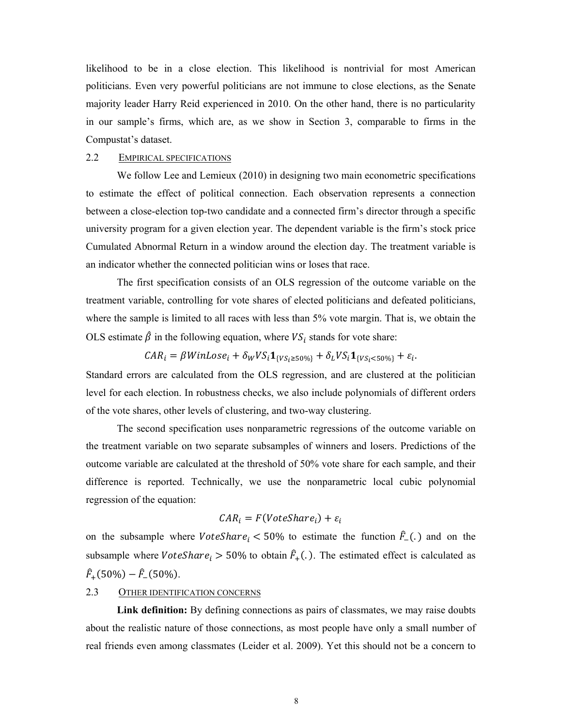likelihood to be in a close election. This likelihood is nontrivial for most American politicians. Even very powerful politicians are not immune to close elections, as the Senate majority leader Harry Reid experienced in 2010. On the other hand, there is no particularity in our sample's firms, which are, as we show in Section 3, comparable to firms in the Compustat's dataset.

#### 2.2 **EMPIRICAL SPECIFICATIONS**

We follow Lee and Lemieux (2010) in designing two main econometric specifications to estimate the effect of political connection. Each observation represents a connection between a close-election top-two candidate and a connected firm's director through a specific university program for a given election year. The dependent variable is the firm's stock price Cumulated Abnormal Return in a window around the election day. The treatment variable is an indicator whether the connected politician wins or loses that race.

The first specification consists of an OLS regression of the outcome variable on the treatment variable, controlling for vote shares of elected politicians and defeated politicians, where the sample is limited to all races with less than 5% vote margin. That is, we obtain the OLS estimate  $\hat{\beta}$  in the following equation, where  $VS_i$  stands for vote share:

 $CAR_i = \beta Winlose_i + \delta_W VS_i \mathbf{1}_{\{VS_i \ge 50\% \}} + \delta_L VS_i \mathbf{1}_{\{VS_i < 50\% \}} + \varepsilon_i.$ 

Standard errors are calculated from the OLS regression, and are clustered at the politician level for each election. In robustness checks, we also include polynomials of different orders of the vote shares, other levels of clustering, and two-way clustering.

The second specification uses nonparametric regressions of the outcome variable on the treatment variable on two separate subsamples of winners and losers. Predictions of the outcome variable are calculated at the threshold of 50% vote share for each sample, and their difference is reported. Technically, we use the nonparametric local cubic polynomial regression of the equation:

$$
CAR_i = F(VoteShare_i) + \varepsilon_i
$$

on the subsample where  $VoteShare_i < 50\%$  to estimate the function  $\hat{F}_-(.)$  and on the subsample where  $VoteShare_i > 50\%$  to obtain  $\hat{F}_+(.)$ . The estimated effect is calculated as  $\hat{F}_{+}(50\%) - \hat{F}_{-}(50\%).$ 

#### $2.3$ OTHER IDENTIFICATION CONCERNS

Link definition: By defining connections as pairs of classmates, we may raise doubts about the realistic nature of those connections, as most people have only a small number of real friends even among classmates (Leider et al. 2009). Yet this should not be a concern to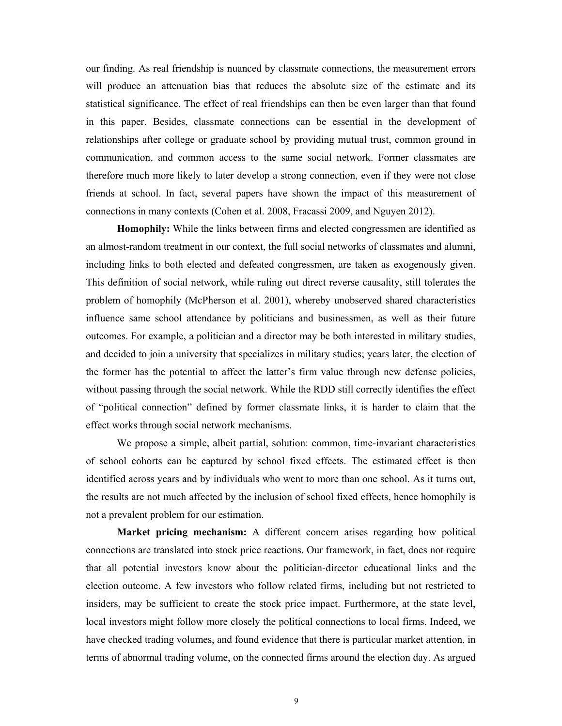our finding. As real friendship is nuanced by classmate connections, the measurement errors will produce an attenuation bias that reduces the absolute size of the estimate and its statistical significance. The effect of real friendships can then be even larger than that found in this paper. Besides, classmate connections can be essential in the development of relationships after college or graduate school by providing mutual trust, common ground in communication, and common access to the same social network. Former classmates are therefore much more likely to later develop a strong connection, even if they were not close friends at school. In fact, several papers have shown the impact of this measurement of connections in many contexts (Cohen et al. 2008, Fracassi 2009, and Nguyen 2012).

**Homophily:** While the links between firms and elected congressmen are identified as an almost-random treatment in our context, the full social networks of classmates and alumni, including links to both elected and defeated congressmen, are taken as exogenously given. This definition of social network, while ruling out direct reverse causality, still tolerates the problem of homophily (McPherson et al. 2001), whereby unobserved shared characteristics influence same school attendance by politicians and businessmen, as well as their future outcomes. For example, a politician and a director may be both interested in military studies, and decided to join a university that specializes in military studies; years later, the election of the former has the potential to affect the latter's firm value through new defense policies, without passing through the social network. While the RDD still correctly identifies the effect of "political connection" defined by former classmate links, it is harder to claim that the effect works through social network mechanisms.

We propose a simple, albeit partial, solution: common, time-invariant characteristics of school cohorts can be captured by school fixed effects. The estimated effect is then identified across years and by individuals who went to more than one school. As it turns out, the results are not much affected by the inclusion of school fixed effects, hence homophily is not a prevalent problem for our estimation.

Market pricing mechanism: A different concern arises regarding how political connections are translated into stock price reactions. Our framework, in fact, does not require that all potential investors know about the politician-director educational links and the election outcome. A few investors who follow related firms, including but not restricted to insiders, may be sufficient to create the stock price impact. Furthermore, at the state level, local investors might follow more closely the political connections to local firms. Indeed, we have checked trading volumes, and found evidence that there is particular market attention, in terms of abnormal trading volume, on the connected firms around the election day. As argued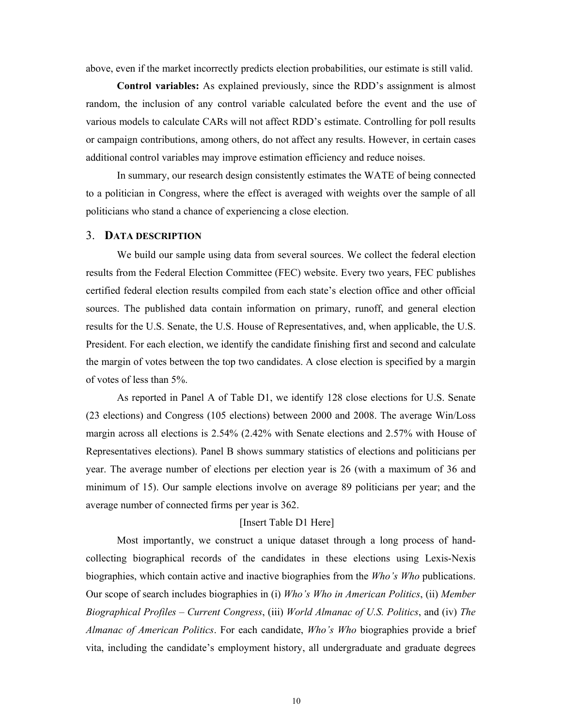above, even if the market incorrectly predicts election probabilities, our estimate is still valid.

**Control variables:** As explained previously, since the RDD's assignment is almost random, the inclusion of any control variable calculated before the event and the use of various models to calculate CARs will not affect RDD's estimate. Controlling for poll results or campaign contributions, among others, do not affect any results. However, in certain cases additional control variables may improve estimation efficiency and reduce noises.

In summary, our research design consistently estimates the WATE of being connected to a politician in Congress, where the effect is averaged with weights over the sample of all politicians who stand a chance of experiencing a close election.

### 3. **DATA DESCRIPTION**

We build our sample using data from several sources. We collect the federal election results from the Federal Election Committee (FEC) website. Every two years, FEC publishes certified federal election results compiled from each state's election office and other official sources. The published data contain information on primary, runoff, and general election results for the U.S. Senate, the U.S. House of Representatives, and, when applicable, the U.S. President. For each election, we identify the candidate finishing first and second and calculate the margin of votes between the top two candidates. A close election is specified by a margin of votes of less than  $5\%$ .

As reported in Panel A of Table D1, we identify 128 close elections for U.S. Senate (23 elections) and Congress (105 elections) between 2000 and 2008. The average Win/Loss margin across all elections is  $2.54\%$  ( $2.42\%$  with Senate elections and  $2.57\%$  with House of Representatives elections). Panel B shows summary statistics of elections and politicians per year. The average number of elections per election year is 26 (with a maximum of 36 and minimum of 15). Our sample elections involve on average 89 politicians per year; and the average number of connected firms per year is 362.

### [Insert Table D1 Here]

Most importantly, we construct a unique dataset through a long process of handcollecting biographical records of the candidates in these elections using Lexis-Nexis biographies, which contain active and inactive biographies from the *Who's Who* publications. Our scope of search includes biographies in (i) Who's Who in American Politics, (ii) Member *Biographical Profiles – Current Congress*, (iii) *World Almanac of U.S. Politics*, and (iv) The *Almanac of American Politics*. For each candidate, *Who's Who* biographies provide a brief vita, including the candidate's employment history, all undergraduate and graduate degrees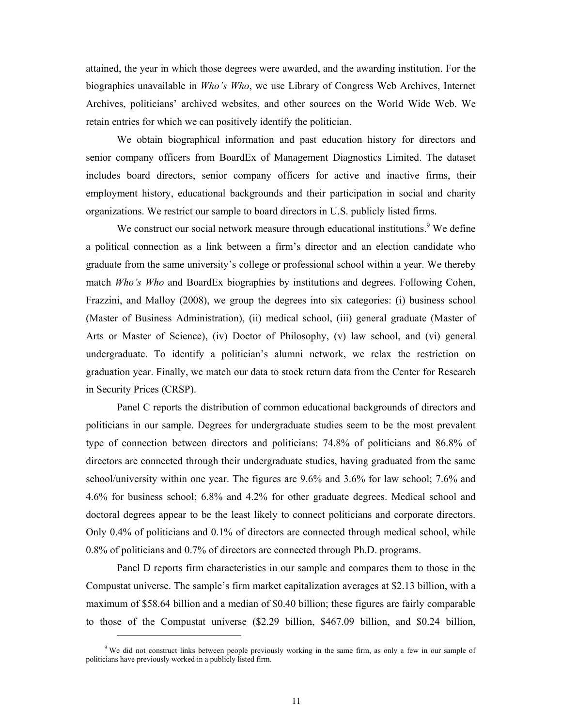attained, the year in which those degrees were awarded, and the awarding institution. For the biographies unavailable in Who's Who, we use Library of Congress Web Archives, Internet Archives, politicians' archived websites, and other sources on the World Wide Web. We retain entries for which we can positively identify the politician.

We obtain biographical information and past education history for directors and senior company officers from BoardEx of Management Diagnostics Limited. The dataset includes board directors, senior company officers for active and inactive firms, their employment history, educational backgrounds and their participation in social and charity organizations. We restrict our sample to board directors in U.S. publicly listed firms.

We construct our social network measure through educational institutions. We define a political connection as a link between a firm's director and an election candidate who graduate from the same university's college or professional school within a year. We thereby match Who's Who and BoardEx biographies by institutions and degrees. Following Cohen, Frazzini, and Malloy (2008), we group the degrees into six categories: (i) business school (Master of Business Administration), (ii) medical school, (iii) general graduate (Master of Arts or Master of Science), (iv) Doctor of Philosophy, (v) law school, and (vi) general undergraduate. To identify a politician's alumni network, we relax the restriction on graduation year. Finally, we match our data to stock return data from the Center for Research in Security Prices (CRSP).

Panel C reports the distribution of common educational backgrounds of directors and politicians in our sample. Degrees for undergraduate studies seem to be the most prevalent type of connection between directors and politicians: 74.8% of politicians and 86.8% of directors are connected through their undergraduate studies, having graduated from the same school/university within one year. The figures are 9.6% and 3.6% for law school; 7.6% and 4.6% for business school; 6.8% and 4.2% for other graduate degrees. Medical school and doctoral degrees appear to be the least likely to connect politicians and corporate directors. Only 0.4% of politicians and 0.1% of directors are connected through medical school, while 0.8% of politicians and 0.7% of directors are connected through Ph.D. programs.

Panel D reports firm characteristics in our sample and compares them to those in the Compustat universe. The sample's firm market capitalization averages at \$2.13 billion, with a maximum of \$58.64 billion and a median of \$0.40 billion; these figures are fairly comparable to those of the Compustat universe (\$2.29 billion, \$467.09 billion, and \$0.24 billion,

<sup>&</sup>lt;sup>9</sup> We did not construct links between people previously working in the same firm, as only a few in our sample of politicians have previously worked in a publicly listed firm.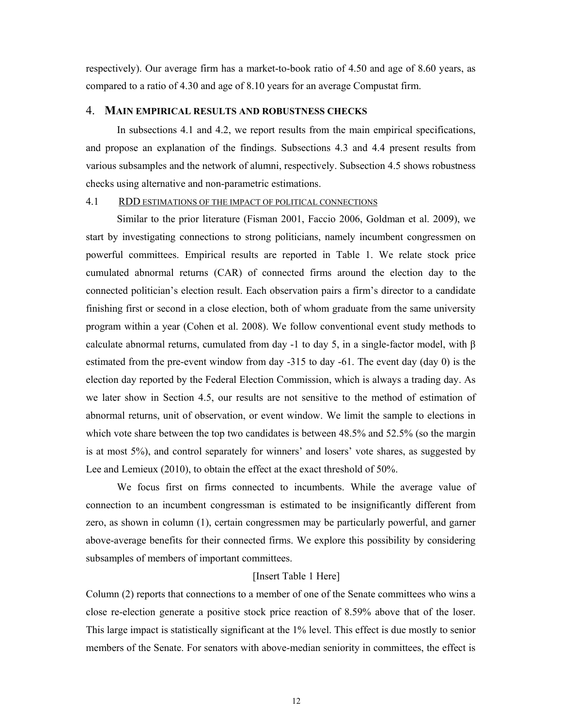respectively). Our average firm has a market-to-book ratio of  $4.50$  and age of  $8.60$  years, as compared to a ratio of 4.30 and age of 8.10 years for an average Compustat firm.

### 4. MAIN EMPIRICAL RESULTS AND ROBUSTNESS CHECKS

In subsections 4.1 and 4.2, we report results from the main empirical specifications, and propose an explanation of the findings. Subsections 4.3 and 4.4 present results from various subsamples and the network of alumni, respectively. Subsection 4.5 shows robustness  $e$ hecks using alternative and non-parametric estimations.

### 4.1 RDD ESTIMATIONS OF THE IMPACT OF POLITICAL CONNECTIONS

Similar to the prior literature (Fisman 2001, Faccio 2006, Goldman et al. 2009), we start by investigating connections to strong politicians, namely incumbent congressmen on powerful committees. Empirical results are reported in Table 1. We relate stock price cumulated abnormal returns (CAR) of connected firms around the election day to the connected politician's election result. Each observation pairs a firm's director to a candidate finishing first or second in a close election, both of whom graduate from the same university program within a year (Cohen et al. 2008). We follow conventional event study methods to calculate abnormal returns, cumulated from day -1 to day 5, in a single-factor model, with  $\beta$ estimated from the pre-event window from day  $-315$  to day  $-61$ . The event day (day 0) is the election day reported by the Federal Election Commission, which is always a trading day. As we later show in Section 4.5, our results are not sensitive to the method of estimation of abnormal returns, unit of observation, or event window. We limit the sample to elections in which vote share between the top two candidates is between  $48.5\%$  and  $52.5\%$  (so the margin is at most  $5\%$ ), and control separately for winners' and losers' vote shares, as suggested by Lee and Lemieux  $(2010)$ , to obtain the effect at the exact threshold of 50%.

We focus first on firms connected to incumbents. While the average value of connection to an incumbent congressman is estimated to be insignificantly different from zero, as shown in column  $(1)$ , certain congressmen may be particularly powerful, and garner above-average benefits for their connected firms. We explore this possibility by considering subsamples of members of important committees.

### [Insert Table 1 Here]

Column (2) reports that connections to a member of one of the Senate committees who wins a close re-election generate a positive stock price reaction of 8.59% above that of the loser. This large impact is statistically significant at the 1% level. This effect is due mostly to senior members of the Senate. For senators with above-median seniority in committees, the effect is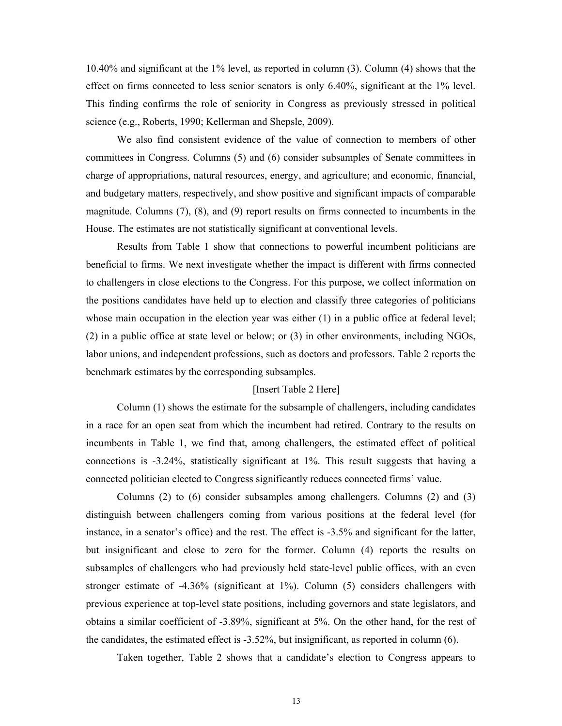10.40% and significant at the 1% level, as reported in column (3). Column (4) shows that the effect on firms connected to less senior senators is only 6.40%, significant at the 1% level. This finding confirms the role of seniority in Congress as previously stressed in political science (e.g., Roberts, 1990; Kellerman and Shepsle, 2009).

We also find consistent evidence of the value of connection to members of other committees in Congress. Columns (5) and (6) consider subsamples of Senate committees in charge of appropriations, natural resources, energy, and agriculture; and economic, financial, and budgetary matters, respectively, and show positive and significant impacts of comparable magnitude. Columns  $(7)$ ,  $(8)$ , and  $(9)$  report results on firms connected to incumbents in the House. The estimates are not statistically significant at conventional levels.

Results from Table 1 show that connections to powerful incumbent politicians are beneficial to firms. We next investigate whether the impact is different with firms connected to challengers in close elections to the Congress. For this purpose, we collect information on the positions candidates have held up to election and classify three categories of politicians whose main occupation in the election year was either (1) in a public office at federal level; (2) in a public office at state level or below; or (3) in other environments, including NGOs, labor unions, and independent professions, such as doctors and professors. Table 2 reports the benchmark estimates by the corresponding subsamples.

### [Insert Table 2 Here]

Column (1) shows the estimate for the subsample of challengers, including candidates in a race for an open seat from which the incumbent had retired. Contrary to the results on incumbents in Table 1, we find that, among challengers, the estimated effect of political connections is -3.24%, statistically significant at 1%. This result suggests that having a connected politician elected to Congress significantly reduces connected firms' value.

Columns  $(2)$  to  $(6)$  consider subsamples among challengers. Columns  $(2)$  and  $(3)$ distinguish between challengers coming from various positions at the federal level (for instance, in a senator's office) and the rest. The effect is -3.5% and significant for the latter, but insignificant and close to zero for the former. Column (4) reports the results on subsamples of challengers who had previously held state-level public offices, with an even stronger estimate of  $-4.36\%$  (significant at 1%). Column (5) considers challengers with previous experience at top-level state positions, including governors and state legislators, and obtains a similar coefficient of -3.89%, significant at 5%. On the other hand, for the rest of the candidates, the estimated effect is  $-3.52\%$ , but insignificant, as reported in column (6).

Taken together, Table 2 shows that a candidate's election to Congress appears to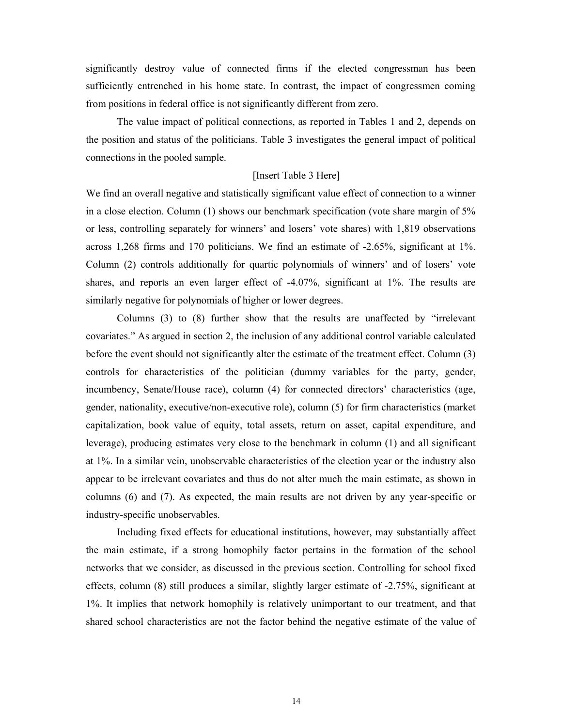significantly destroy value of connected firms if the elected congressman has been sufficiently entrenched in his home state. In contrast, the impact of congressmen coming from positions in federal office is not significantly different from zero.

The value impact of political connections, as reported in Tables 1 and 2, depends on the position and status of the politicians. Table 3 investigates the general impact of political connections in the pooled sample.

### [Insert Table 3 Here]

We find an overall negative and statistically significant value effect of connection to a winner in a close election. Column (1) shows our benchmark specification (vote share margin of 5% or less, controlling separately for winners' and losers' vote shares) with 1,819 observations across 1,268 firms and 170 politicians. We find an estimate of -2.65%, significant at 1%. Column (2) controls additionally for quartic polynomials of winners' and of losers' vote shares, and reports an even larger effect of -4.07%, significant at 1%. The results are similarly negative for polynomials of higher or lower degrees.

Columns (3) to (8) further show that the results are unaffected by "irrelevant" covariates." As argued in section 2, the inclusion of any additional control variable calculated before the event should not significantly alter the estimate of the treatment effect. Column (3) controls for characteristics of the politician (dummy variables for the party, gender, incumbency, Senate/House race), column (4) for connected directors' characteristics (age, gender, nationality, executive/non-executive role), column (5) for firm characteristics (market capitalization, book value of equity, total assets, return on asset, capital expenditure, and leverage), producing estimates very close to the benchmark in column (1) and all significant at 1%. In a similar vein, unobservable characteristics of the election year or the industry also appear to be irrelevant covariates and thus do not alter much the main estimate, as shown in columns (6) and (7). As expected, the main results are not driven by any year-specific or industry-specific unobservables.

Including fixed effects for educational institutions, however, may substantially affect the main estimate, if a strong homophily factor pertains in the formation of the school networks that we consider, as discussed in the previous section. Controlling for school fixed effects, column (8) still produces a similar, slightly larger estimate of -2.75%, significant at 1%. It implies that network homophily is relatively unimportant to our treatment, and that shared school characteristics are not the factor behind the negative estimate of the value of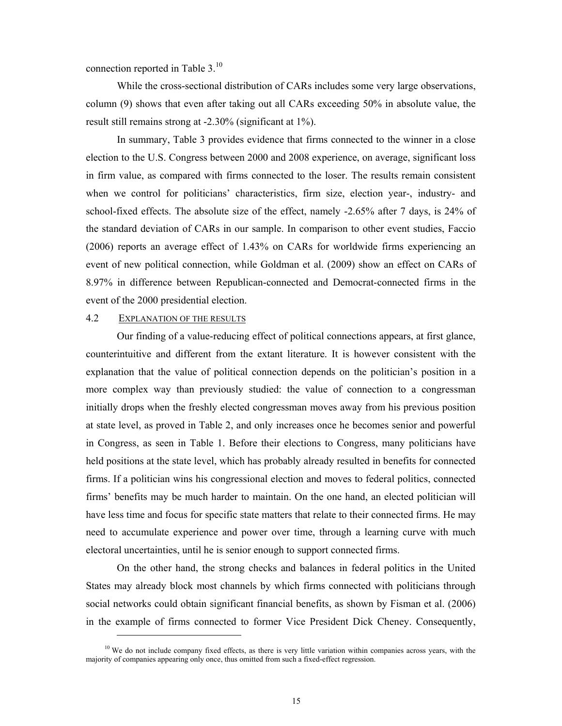connection reported in Table  $3.^{10}$ 

While the cross-sectional distribution of CARs includes some very large observations, column (9) shows that even after taking out all CARs exceeding 50% in absolute value, the result still remains strong at -2.30% (significant at 1%).

In summary, Table 3 provides evidence that firms connected to the winner in a close election to the U.S. Congress between 2000 and 2008 experience, on average, significant loss in firm value, as compared with firms connected to the loser. The results remain consistent when we control for politicians' characteristics, firm size, election year-, industry- and school-fixed effects. The absolute size of the effect, namely -2.65% after 7 days, is 24% of the standard deviation of CARs in our sample. In comparison to other event studies, Faccio (2006) reports an average effect of 1.43% on CARs for worldwide firms experiencing an event of new political connection, while Goldman et al. (2009) show an effect on CARs of 8.97% in difference between Republican-connected and Democrat-connected firms in the event of the 2000 presidential election.

#### 4.2 EXPLANATION OF THE RESULTS

Our finding of a value-reducing effect of political connections appears, at first glance, counterintuitive and different from the extant literature. It is however consistent with the explanation that the value of political connection depends on the politician's position in a more complex way than previously studied: the value of connection to a congressman initially drops when the freshly elected congressman moves away from his previous position at state level, as proved in Table 2, and only increases once he becomes senior and powerful in Congress, as seen in Table 1. Before their elections to Congress, many politicians have held positions at the state level, which has probably already resulted in benefits for connected firms. If a politician wins his congressional election and moves to federal politics, connected firms' benefits may be much harder to maintain. On the one hand, an elected politician will have less time and focus for specific state matters that relate to their connected firms. He may need to accumulate experience and power over time, through a learning curve with much electoral uncertainties, until he is senior enough to support connected firms.

On the other hand, the strong checks and balances in federal politics in the United States may already block most channels by which firms connected with politicians through social networks could obtain significant financial benefits, as shown by Fisman et al. (2006) in the example of firms connected to former Vice President Dick Cheney. Consequently,

 $10$  We do not include company fixed effects, as there is very little variation within companies across years, with the majority of companies appearing only once, thus omitted from such a fixed-effect regression.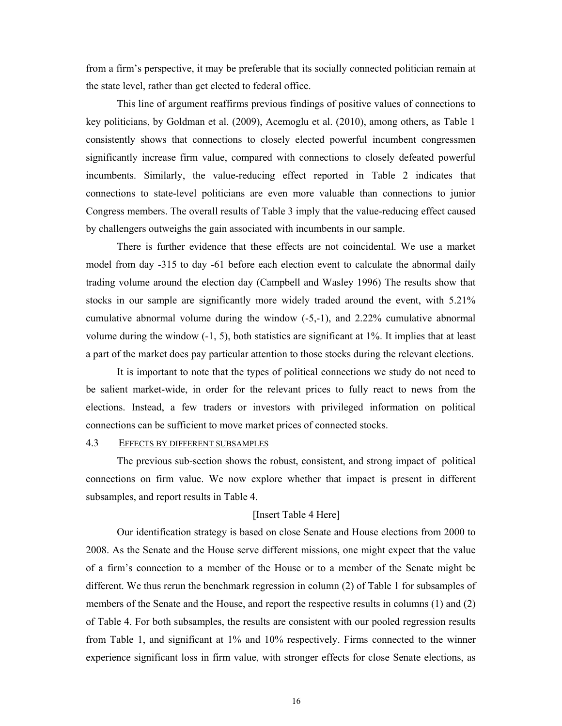from a firm's perspective, it may be preferable that its socially connected politician remain at the state level, rather than get elected to federal office.

This line of argument reaffirms previous findings of positive values of connections to key politicians, by Goldman et al. (2009), Acemoglu et al. (2010), among others, as Table 1 consistently shows that connections to closely elected powerful incumbent congressmen significantly increase firm value, compared with connections to closely defeated powerful incumbents. Similarly, the value-reducing effect reported in Table 2 indicates that connections to state-level politicians are even more valuable than connections to junior Congress members. The overall results of Table 3 imply that the value-reducing effect caused by challengers outweighs the gain associated with incumbents in our sample.

There is further evidence that these effects are not coincidental. We use a market model from day -315 to day -61 before each election event to calculate the abnormal daily trading volume around the election day (Campbell and Wasley 1996) The results show that stocks in our sample are significantly more widely traded around the event, with 5.21% cumulative abnormal volume during the window  $(-5,-1)$ , and  $2.22\%$  cumulative abnormal volume during the window  $(-1, 5)$ , both statistics are significant at 1%. It implies that at least a part of the market does pay particular attention to those stocks during the relevant elections.

It is important to note that the types of political connections we study do not need to be salient market-wide, in order for the relevant prices to fully react to news from the elections. Instead, a few traders or investors with privileged information on political connections can be sufficient to move market prices of connected stocks.

#### 4.3 EFFECTS BY DIFFERENT SUBSAMPLES

The previous sub-section shows the robust, consistent, and strong impact of political connections on firm value. We now explore whether that impact is present in different subsamples, and report results in Table 4.

### [Insert Table 4 Here]

Our identification strategy is based on close Senate and House elections from 2000 to 2008. As the Senate and the House serve different missions, one might expect that the value of a firm's connection to a member of the House or to a member of the Senate might be different. We thus rerun the benchmark regression in column (2) of Table 1 for subsamples of members of the Senate and the House, and report the respective results in columns (1) and (2) of Table 4. For both subsamples, the results are consistent with our pooled regression results from Table 1, and significant at 1% and 10% respectively. Firms connected to the winner experience significant loss in firm value, with stronger effects for close Senate elections, as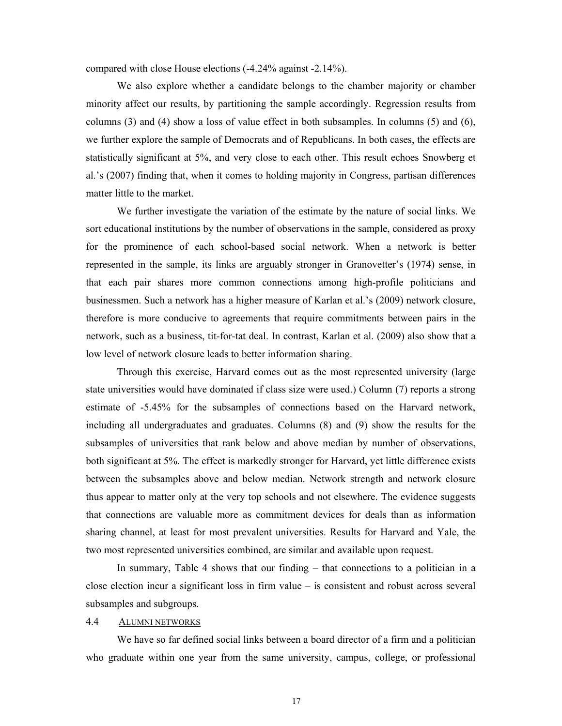compared with close House elections (-4.24% against -2.14%).

We also explore whether a candidate belongs to the chamber majority or chamber minority affect our results, by partitioning the sample accordingly. Regression results from columns (3) and (4) show a loss of value effect in both subsamples. In columns (5) and (6), we further explore the sample of Democrats and of Republicans. In both cases, the effects are statistically significant at 5%, and very close to each other. This result echoes Snowberg et al.'s (2007) finding that, when it comes to holding majority in Congress, partisan differences matter little to the market.

We further investigate the variation of the estimate by the nature of social links. We sort educational institutions by the number of observations in the sample, considered as proxy for the prominence of each school-based social network. When a network is better represented in the sample, its links are arguably stronger in Granovetter's (1974) sense, in that each pair shares more common connections among high-profile politicians and businessmen. Such a network has a higher measure of Karlan et al.'s (2009) network closure, therefore is more conducive to agreements that require commitments between pairs in the network, such as a business, tit-for-tat deal. In contrast, Karlan et al. (2009) also show that a low level of network closure leads to better information sharing.

Through this exercise, Harvard comes out as the most represented university (large state universities would have dominated if class size were used.) Column (7) reports a strong estimate of -5.45% for the subsamples of connections based on the Harvard network, including all undergraduates and graduates. Columns (8) and (9) show the results for the subsamples of universities that rank below and above median by number of observations, both significant at 5%. The effect is markedly stronger for Harvard, yet little difference exists between the subsamples above and below median. Network strength and network closure thus appear to matter only at the very top schools and not elsewhere. The evidence suggests that connections are valuable more as commitment devices for deals than as information sharing channel, at least for most prevalent universities. Results for Harvard and Yale, the two most represented universities combined, are similar and available upon request.

In summary, Table 4 shows that our finding  $-$  that connections to a politician in a close election incur a significant loss in firm value  $-$  is consistent and robust across several subsamples and subgroups.

### 4.4 **ALUMNI NETWORKS**

We have so far defined social links between a board director of a firm and a politician who graduate within one year from the same university, campus, college, or professional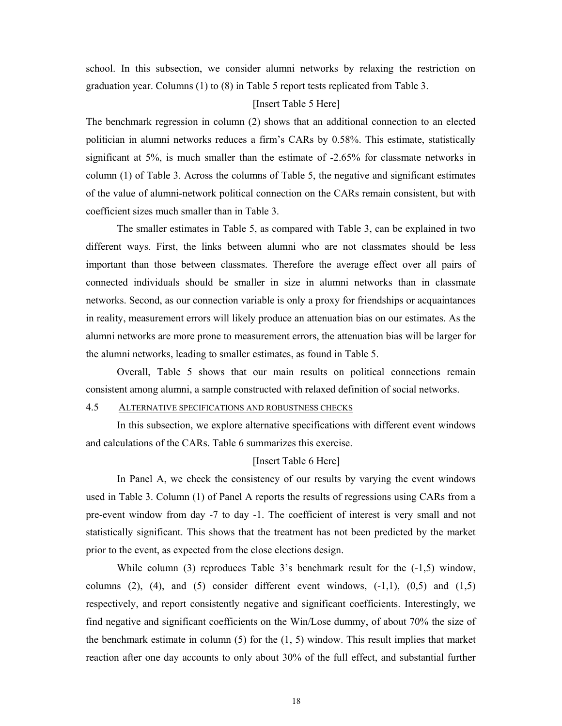school. In this subsection, we consider alumni networks by relaxing the restriction on graduation year. Columns (1) to (8) in Table 5 report tests replicated from Table 3.

### [Insert Table 5 Here]

The benchmark regression in column (2) shows that an additional connection to an elected politician in alumni networks reduces a firm's CARs by 0.58%. This estimate, statistically significant at  $5\%$ , is much smaller than the estimate of  $-2.65\%$  for classmate networks in column (1) of Table 3. Across the columns of Table 5, the negative and significant estimates of the value of alumni-network political connection on the CARs remain consistent, but with coefficient sizes much smaller than in Table 3.

The smaller estimates in Table 5, as compared with Table 3, can be explained in two different ways. First, the links between alumni who are not classmates should be less important than those between classmates. Therefore the average effect over all pairs of connected individuals should be smaller in size in alumni networks than in classmate networks. Second, as our connection variable is only a proxy for friendships or acquaintances in reality, measurement errors will likely produce an attenuation bias on our estimates. As the alumni networks are more prone to measurement errors, the attenuation bias will be larger for the alumni networks, leading to smaller estimates, as found in Table 5.

Overall, Table 5 shows that our main results on political connections remain consistent among alumni, a sample constructed with relaxed definition of social networks.

#### $4.5$ ALTERNATIVE SPECIFICATIONS AND ROBUSTNESS CHECKS

In this subsection, we explore alternative specifications with different event windows and calculations of the CARs. Table 6 summarizes this exercise.

### [Insert Table 6 Here]

In Panel A, we check the consistency of our results by varying the event windows used in Table 3. Column (1) of Panel A reports the results of regressions using CARs from a pre-event window from day -7 to day -1. The coefficient of interest is very small and not statistically significant. This shows that the treatment has not been predicted by the market prior to the event, as expected from the close elections design.

While column  $(3)$  reproduces Table 3's benchmark result for the  $(-1,5)$  window, columns  $(2)$ ,  $(4)$ , and  $(5)$  consider different event windows,  $(-1,1)$ ,  $(0,5)$  and  $(1,5)$ respectively, and report consistently negative and significant coefficients. Interestingly, we find negative and significant coefficients on the Win/Lose dummy, of about 70% the size of the benchmark estimate in column  $(5)$  for the  $(1, 5)$  window. This result implies that market reaction after one day accounts to only about 30% of the full effect, and substantial further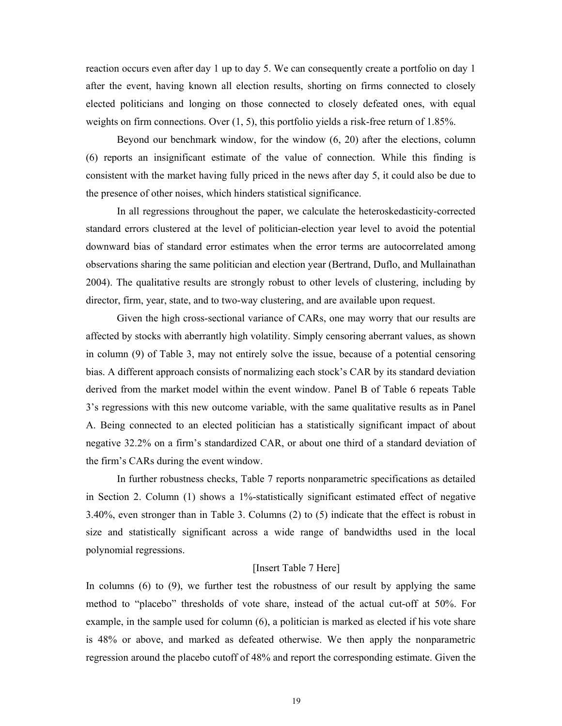reaction occurs even after day 1 up to day 5. We can consequently create a portfolio on day 1 after the event, having known all election results, shorting on firms connected to closely elected politicians and longing on those connected to closely defeated ones, with equal weights on firm connections. Over  $(1, 5)$ , this portfolio yields a risk-free return of 1.85%.

Beyond our benchmark window, for the window  $(6, 20)$  after the elections, column (6) reports an insignificant estimate of the value of connection. While this finding is consistent with the market having fully priced in the news after day 5, it could also be due to the presence of other noises, which hinders statistical significance.

In all regressions throughout the paper, we calculate the heteroskedasticity-corrected standard errors clustered at the level of politician-election year level to avoid the potential downward bias of standard error estimates when the error terms are autocorrelated among observations sharing the same politician and election year (Bertrand, Duflo, and Mullainathan 2004). The qualitative results are strongly robust to other levels of clustering, including by director, firm, year, state, and to two-way clustering, and are available upon request.

Given the high cross-sectional variance of CARs, one may worry that our results are affected by stocks with aberrantly high volatility. Simply censoring aberrant values, as shown in column (9) of Table 3, may not entirely solve the issue, because of a potential censoring bias. A different approach consists of normalizing each stock's CAR by its standard deviation derived from the market model within the event window. Panel B of Table 6 repeats Table 3's regressions with this new outcome variable, with the same qualitative results as in Panel A. Being connected to an elected politician has a statistically significant impact of about negative 32.2% on a firm's standardized CAR, or about one third of a standard deviation of the firm's CARs during the event window.

In further robustness checks, Table 7 reports nonparametric specifications as detailed in Section 2. Column (1) shows a 1%-statistically significant estimated effect of negative  $3.40\%$ , even stronger than in Table 3. Columns (2) to (5) indicate that the effect is robust in size and statistically significant across a wide range of bandwidths used in the local polynomial regressions.

### [Insert Table 7 Here]

In columns  $(6)$  to  $(9)$ , we further test the robustness of our result by applying the same method to "placebo" thresholds of vote share, instead of the actual cut-off at 50%. For example, in the sample used for column (6), a politician is marked as elected if his vote share is 48% or above, and marked as defeated otherwise. We then apply the nonparametric regression around the placebo cutoff of 48% and report the corresponding estimate. Given the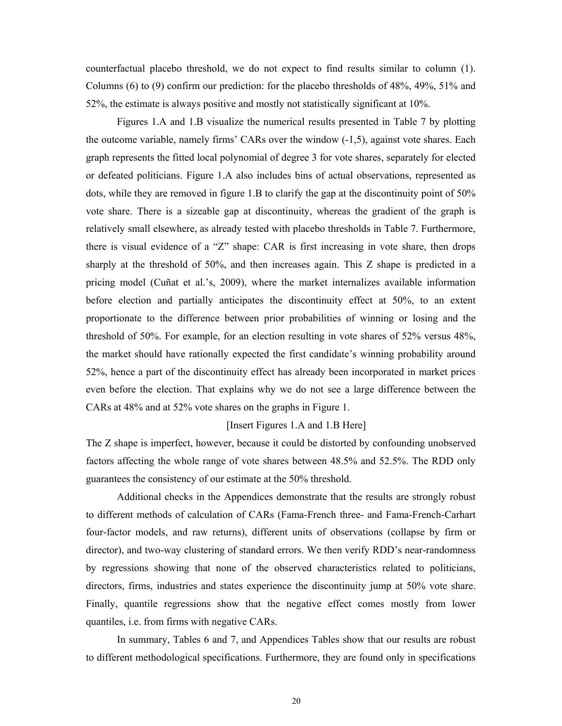counterfactual placebo threshold, we do not expect to find results similar to column (1). Columns (6) to (9) confirm our prediction: for the placebo thresholds of 48%, 49%, 51% and 52%, the estimate is always positive and mostly not statistically significant at 10%.

Figures 1.A and 1.B visualize the numerical results presented in Table 7 by plotting the outcome variable, namely firms' CARs over the window  $(-1,5)$ , against vote shares. Each graph represents the fitted local polynomial of degree 3 for vote shares, separately for elected or defeated politicians. Figure 1.A also includes bins of actual observations, represented as dots, while they are removed in figure 1.B to clarify the gap at the discontinuity point of 50% vote share. There is a sizeable gap at discontinuity, whereas the gradient of the graph is relatively small elsewhere, as already tested with placebo thresholds in Table 7. Furthermore, there is visual evidence of a "Z" shape: CAR is first increasing in vote share, then drops sharply at the threshold of 50%, and then increases again. This Z shape is predicted in a pricing model (Cuñat et al.'s, 2009), where the market internalizes available information before election and partially anticipates the discontinuity effect at 50%, to an extent proportionate to the difference between prior probabilities of winning or losing and the threshold of 50%. For example, for an election resulting in vote shares of  $52\%$  versus 48%, the market should have rationally expected the first candidate's winning probability around 52%, hence a part of the discontinuity effect has already been incorporated in market prices even before the election. That explains why we do not see a large difference between the CARs at 48% and at 52% vote shares on the graphs in Figure 1.

### [Insert Figures 1.A and 1.B Here]

The Z shape is imperfect, however, because it could be distorted by confounding unobserved factors affecting the whole range of vote shares between 48.5% and 52.5%. The RDD only guarantees the consistency of our estimate at the 50% threshold.

Additional checks in the Appendices demonstrate that the results are strongly robust to different methods of calculation of CARs (Fama-French three- and Fama-French-Carhart four-factor models, and raw returns), different units of observations (collapse by firm or director), and two-way clustering of standard errors. We then verify RDD's near-randomness by regressions showing that none of the observed characteristics related to politicians, directors, firms, industries and states experience the discontinuity jump at 50% vote share. Finally, quantile regressions show that the negative effect comes mostly from lower quantiles, *i.e.* from firms with negative CARs.

In summary, Tables 6 and 7, and Appendices Tables show that our results are robust to different methodological specifications. Furthermore, they are found only in specifications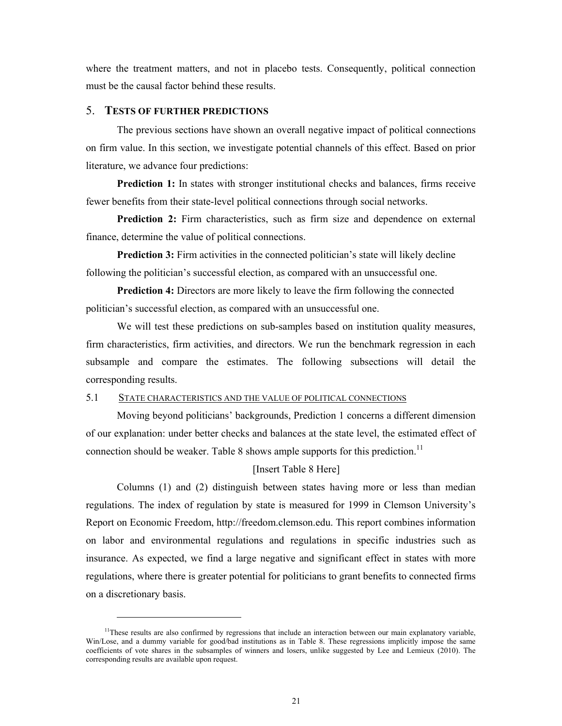where the treatment matters, and not in placebo tests. Consequently, political connection must be the causal factor behind these results.

### 5. **TESTS OF FURTHER PREDICTIONS**

""""""""""""""""""""""""""""""""""""""""""""""""

The previous sections have shown an overall negative impact of political connections on firm value. In this section, we investigate potential channels of this effect. Based on prior literature, we advance four predictions:

**Prediction 1:** In states with stronger institutional checks and balances, firms receive fewer benefits from their state-level political connections through social networks.

**Prediction 2:** Firm characteristics, such as firm size and dependence on external finance, determine the value of political connections.

**Prediction 3:** Firm activities in the connected politician's state will likely decline following the politician's successful election, as compared with an unsuccessful one.

**Prediction 4:** Directors are more likely to leave the firm following the connected politician's successful election, as compared with an unsuccessful one.

We will test these predictions on sub-samples based on institution quality measures, firm characteristics, firm activities, and directors. We run the benchmark regression in each subsample and compare the estimates. The following subsections will detail the corresponding results.

### 5.1 STATE CHARACTERISTICS AND THE VALUE OF POLITICAL CONNECTIONS

Moving beyond politicians' backgrounds, Prediction 1 concerns a different dimension of our explanation: under better checks and balances at the state level, the estimated effect of connection should be weaker. Table 8 shows ample supports for this prediction.<sup>11</sup>

### [Insert Table 8 Here]

Columns  $(1)$  and  $(2)$  distinguish between states having more or less than median regulations. The index of regulation by state is measured for 1999 in Clemson University's Report on Economic Freedom, http://freedom.clemson.edu. This report combines information on labor and environmental regulations and regulations in specific industries such as insurance. As expected, we find a large negative and significant effect in states with more regulations, where there is greater potential for politicians to grant benefits to connected firms on a discretionary basis.

 $11$ These results are also confirmed by regressions that include an interaction between our main explanatory variable, Win/Lose, and a dummy variable for good/bad institutions as in Table 8. These regressions implicitly impose the same coefficients of vote shares in the subsamples of winners and losers, unlike suggested by Lee and Lemieux (2010). The corresponding results are available upon request.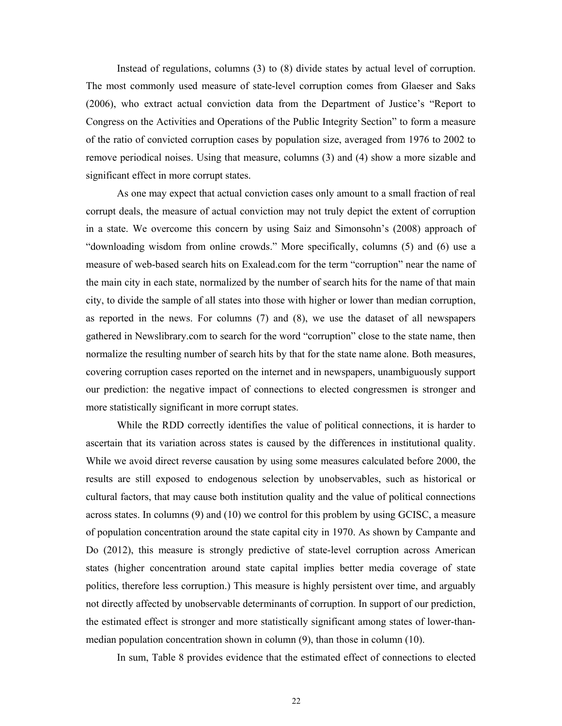Instead of regulations, columns (3) to (8) divide states by actual level of corruption. The most commonly used measure of state-level corruption comes from Glaeser and Saks (2006), who extract actual conviction data from the Department of Justice's "Report to Congress on the Activities and Operations of the Public Integrity Section" to form a measure of the ratio of convicted corruption cases by population size, averaged from 1976 to 2002 to remove periodical noises. Using that measure, columns (3) and (4) show a more sizable and significant effect in more corrupt states.

As one may expect that actual conviction cases only amount to a small fraction of real corrupt deals, the measure of actual conviction may not truly depict the extent of corruption in a state. We overcome this concern by using Saiz and Simonsohn's (2008) approach of "downloading wisdom from online crowds." More specifically, columns (5) and (6) use a measure of web-based search hits on Exalead.com for the term "corruption" near the name of the main city in each state, normalized by the number of search hits for the name of that main city, to divide the sample of all states into those with higher or lower than median corruption, as reported in the news. For columns (7) and (8), we use the dataset of all newspapers gathered in Newslibrary.com to search for the word "corruption" close to the state name, then normalize the resulting number of search hits by that for the state name alone. Both measures, covering corruption cases reported on the internet and in newspapers, unambiguously support our prediction: the negative impact of connections to elected congressmen is stronger and more statistically significant in more corrupt states.

While the RDD correctly identifies the value of political connections, it is harder to ascertain that its variation across states is caused by the differences in institutional quality. While we avoid direct reverse causation by using some measures calculated before 2000, the results are still exposed to endogenous selection by unobservables, such as historical or cultural factors, that may cause both institution quality and the value of political connections across states. In columns (9) and (10) we control for this problem by using GCISC, a measure of population concentration around the state capital city in 1970. As shown by Campante and Do (2012), this measure is strongly predictive of state-level corruption across American states (higher concentration around state capital implies better media coverage of state politics, therefore less corruption.) This measure is highly persistent over time, and arguably not directly affected by unobservable determinants of corruption. In support of our prediction, the estimated effect is stronger and more statistically significant among states of lower-thanmedian population concentration shown in column  $(9)$ , than those in column  $(10)$ .

In sum, Table 8 provides evidence that the estimated effect of connections to elected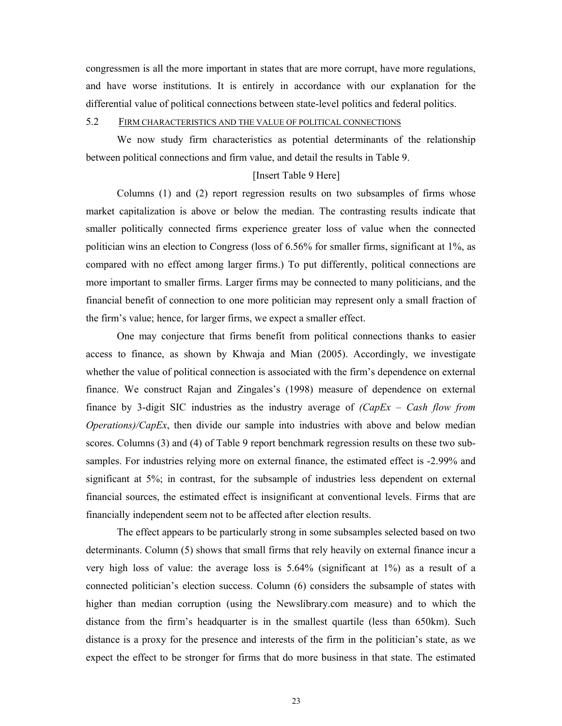congressmen is all the more important in states that are more corrupt, have more regulations, and have worse institutions. It is entirely in accordance with our explanation for the differential value of political connections between state-level politics and federal politics.

#### 5.2 FIRM CHARACTERISTICS AND THE VALUE OF POLITICAL CONNECTIONS

We now study firm characteristics as potential determinants of the relationship between political connections and firm value, and detail the results in Table 9.

### [Insert Table 9 Here]

Columns (1) and (2) report regression results on two subsamples of firms whose market capitalization is above or below the median. The contrasting results indicate that smaller politically connected firms experience greater loss of value when the connected politician wins an election to Congress (loss of 6.56% for smaller firms, significant at 1%, as compared with no effect among larger firms.) To put differently, political connections are more important to smaller firms. Larger firms may be connected to many politicians, and the financial benefit of connection to one more politician may represent only a small fraction of the firm's value; hence, for larger firms, we expect a smaller effect.

One may conjecture that firms benefit from political connections thanks to easier access to finance, as shown by Khwaja and Mian (2005). Accordingly, we investigate whether the value of political connection is associated with the firm's dependence on external finance. We construct Rajan and Zingales's (1998) measure of dependence on external finance by 3-digit SIC industries as the industry average of  $(CapEx - Cash flow from$  $Operations)/CapEx$ , then divide our sample into industries with above and below median scores. Columns (3) and (4) of Table 9 report benchmark regression results on these two subsamples. For industries relying more on external finance, the estimated effect is -2.99% and significant at 5%; in contrast, for the subsample of industries less dependent on external financial sources, the estimated effect is insignificant at conventional levels. Firms that are financially independent seem not to be affected after election results.

The effect appears to be particularly strong in some subsamples selected based on two determinants. Column (5) shows that small firms that rely heavily on external finance incur a very high loss of value: the average loss is  $5.64\%$  (significant at  $1\%$ ) as a result of a connected politician's election success. Column (6) considers the subsample of states with higher than median corruption (using the Newslibrary.com measure) and to which the distance from the firm's headquarter is in the smallest quartile (less than 650km). Such distance is a proxy for the presence and interests of the firm in the politician's state, as we expect the effect to be stronger for firms that do more business in that state. The estimated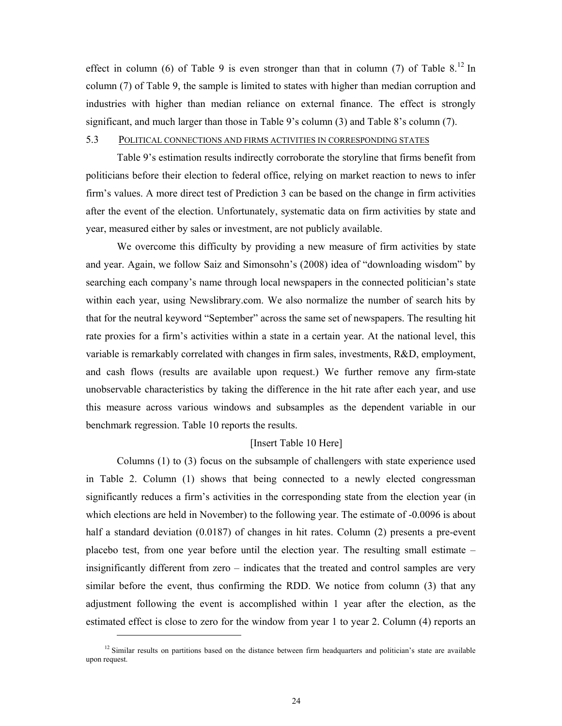effect in column (6) of Table 9 is even stronger than that in column (7) of Table  $8.^{12}$  In column (7) of Table 9, the sample is limited to states with higher than median corruption and industries with higher than median reliance on external finance. The effect is strongly significant, and much larger than those in Table 9's column (3) and Table 8's column (7).

#### 5.3 POLITICAL CONNECTIONS AND FIRMS ACTIVITIES IN CORRESPONDING STATES

Table 9's estimation results indirectly corroborate the storyline that firms benefit from politicians before their election to federal office, relying on market reaction to news to infer firm's values. A more direct test of Prediction 3 can be based on the change in firm activities after the event of the election. Unfortunately, systematic data on firm activities by state and year, measured either by sales or investment, are not publicly available.

We overcome this difficulty by providing a new measure of firm activities by state and year. Again, we follow Saiz and Simonsohn's (2008) idea of "downloading wisdom" by searching each company's name through local newspapers in the connected politician's state within each year, using Newslibrary.com. We also normalize the number of search hits by that for the neutral keyword "September" across the same set of newspapers. The resulting hit rate proxies for a firm's activities within a state in a certain year. At the national level, this variable is remarkably correlated with changes in firm sales, investments, R&D, employment, and cash flows (results are available upon request.) We further remove any firm-state unobservable characteristics by taking the difference in the hit rate after each year, and use this measure across various windows and subsamples as the dependent variable in our benchmark regression. Table 10 reports the results.

### [Insert Table 10 Here]

Columns (1) to (3) focus on the subsample of challengers with state experience used in Table 2. Column (1) shows that being connected to a newly elected congressman significantly reduces a firm's activities in the corresponding state from the election year (in which elections are held in November) to the following year. The estimate of -0.0096 is about half a standard deviation (0.0187) of changes in hit rates. Column (2) presents a pre-event placebo test, from one year before until the election year. The resulting small estimate – insignificantly different from zero – indicates that the treated and control samples are very similar before the event, thus confirming the RDD. We notice from column (3) that any adjustment following the event is accomplished within 1 year after the election, as the estimated effect is close to zero for the window from year 1 to year 2. Column (4) reports an

<sup>&</sup>lt;sup>12</sup> Similar results on partitions based on the distance between firm headquarters and politician's state are available upon request.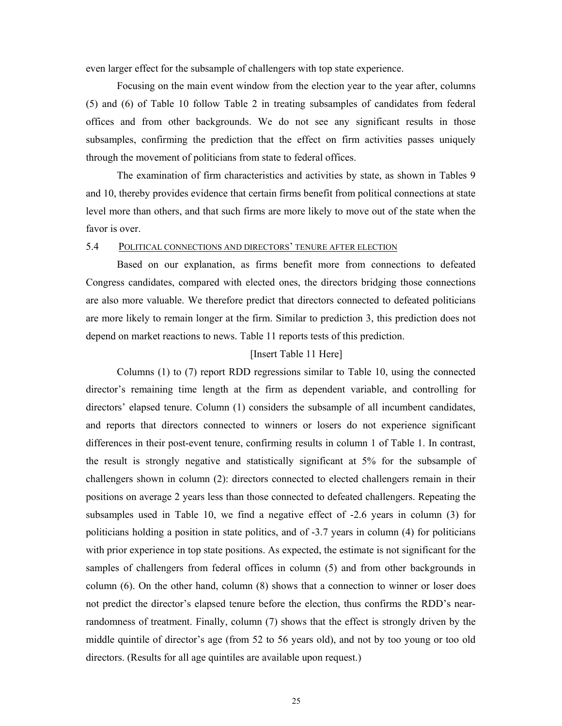even larger effect for the subsample of challengers with top state experience.

Focusing on the main event window from the election year to the year after, columns (5) and (6) of Table 10 follow Table 2 in treating subsamples of candidates from federal offices and from other backgrounds. We do not see any significant results in those subsamples, confirming the prediction that the effect on firm activities passes uniquely through the movement of politicians from state to federal offices.

The examination of firm characteristics and activities by state, as shown in Tables 9 and 10, thereby provides evidence that certain firms benefit from political connections at state level more than others, and that such firms are more likely to move out of the state when the favor is over.

#### 5.4 POLITICAL CONNECTIONS AND DIRECTORS' TENURE AFTER ELECTION

Based on our explanation, as firms benefit more from connections to defeated Congress candidates, compared with elected ones, the directors bridging those connections are also more valuable. We therefore predict that directors connected to defeated politicians are more likely to remain longer at the firm. Similar to prediction 3, this prediction does not depend on market reactions to news. Table 11 reports tests of this prediction.

### [Insert Table 11 Here]

Columns (1) to (7) report RDD regressions similar to Table 10, using the connected director's remaining time length at the firm as dependent variable, and controlling for directors' elapsed tenure. Column (1) considers the subsample of all incumbent candidates, and reports that directors connected to winners or losers do not experience significant differences in their post-event tenure, confirming results in column 1 of Table 1. In contrast, the result is strongly negative and statistically significant at 5% for the subsample of challengers shown in column (2): directors connected to elected challengers remain in their positions on average 2 years less than those connected to defeated challengers. Repeating the subsamples used in Table 10, we find a negative effect of -2.6 years in column (3) for politicians holding a position in state politics, and of -3.7 years in column (4) for politicians with prior experience in top state positions. As expected, the estimate is not significant for the samples of challengers from federal offices in column (5) and from other backgrounds in column  $(6)$ . On the other hand, column  $(8)$  shows that a connection to winner or loser does not predict the director's elapsed tenure before the election, thus confirms the RDD's nearrandomness of treatment. Finally, column (7) shows that the effect is strongly driven by the middle quintile of director's age (from 52 to 56 years old), and not by too young or too old directors. (Results for all age quintiles are available upon request.)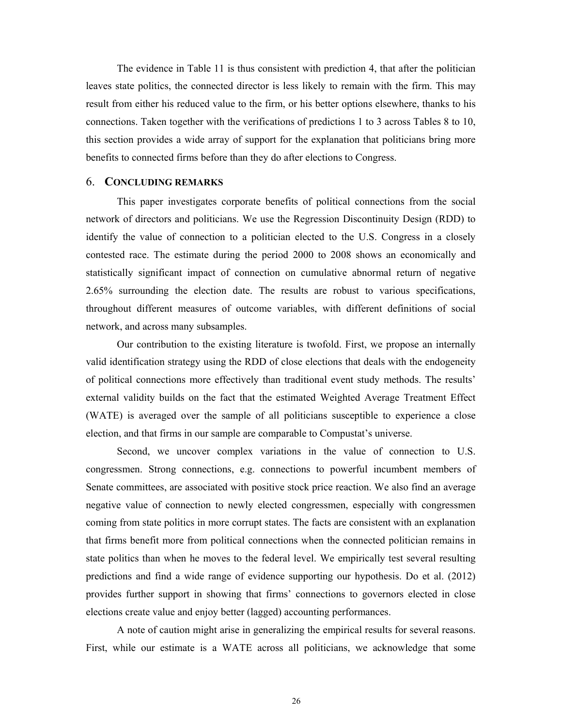The evidence in Table 11 is thus consistent with prediction 4, that after the politician leaves state politics, the connected director is less likely to remain with the firm. This may result from either his reduced value to the firm, or his better options elsewhere, thanks to his connections. Taken together with the verifications of predictions 1 to 3 across Tables 8 to 10, this section provides a wide array of support for the explanation that politicians bring more benefits to connected firms before than they do after elections to Congress.

### **6. CONCLUDING REMARKS**

This paper investigates corporate benefits of political connections from the social network of directors and politicians. We use the Regression Discontinuity Design (RDD) to identify the value of connection to a politician elected to the U.S. Congress in a closely contested race. The estimate during the period 2000 to 2008 shows an economically and statistically significant impact of connection on cumulative abnormal return of negative 2.65% surrounding the election date. The results are robust to various specifications, throughout different measures of outcome variables, with different definitions of social network, and across many subsamples.

Our contribution to the existing literature is twofold. First, we propose an internally valid identification strategy using the RDD of close elections that deals with the endogeneity of political connections more effectively than traditional event study methods. The results' external validity builds on the fact that the estimated Weighted Average Treatment Effect (WATE) is averaged over the sample of all politicians susceptible to experience a close election, and that firms in our sample are comparable to Compustat's universe.

Second, we uncover complex variations in the value of connection to U.S. congressmen. Strong connections, e.g. connections to powerful incumbent members of Senate committees, are associated with positive stock price reaction. We also find an average negative value of connection to newly elected congressmen, especially with congressmen coming from state politics in more corrupt states. The facts are consistent with an explanation that firms benefit more from political connections when the connected politician remains in state politics than when he moves to the federal level. We empirically test several resulting predictions and find a wide range of evidence supporting our hypothesis. Do et al. (2012) provides further support in showing that firms' connections to governors elected in close elections create value and enjoy better (lagged) accounting performances.

A note of caution might arise in generalizing the empirical results for several reasons. First, while our estimate is a WATE across all politicians, we acknowledge that some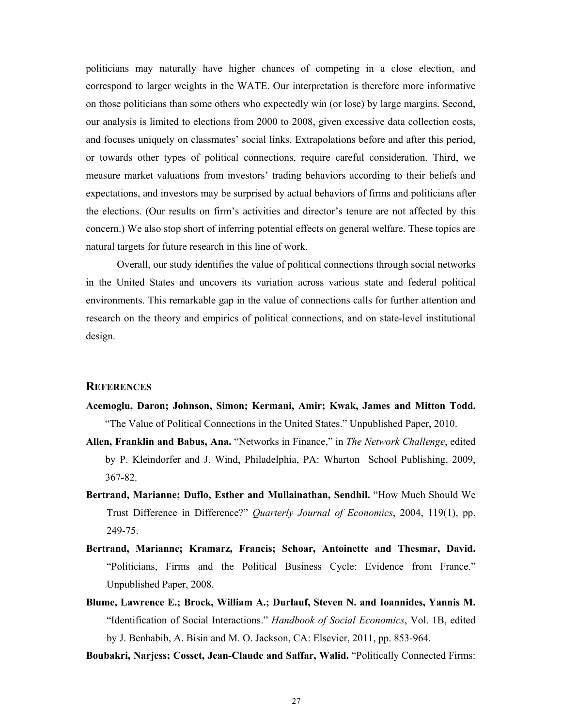politicians may naturally have higher chances of competing in a close election, and correspond to larger weights in the WATE. Our interpretation is therefore more informative on those politicians than some others who expectedly win (or lose) by large margins. Second, our analysis is limited to elections from 2000 to 2008, given excessive data collection costs, and focuses uniquely on classmates' social links. Extrapolations before and after this period, or towards other types of political connections, require careful consideration. Third, we measure market valuations from investors' trading behaviors according to their beliefs and expectations, and investors may be surprised by actual behaviors of firms and politicians after the elections. (Our results on firm's activities and director's tenure are not affected by this concern.) We also stop short of inferring potential effects on general welfare. These topics are natural targets for future research in this line of work.

Overall, our study identifies the value of political connections through social networks in the United States and uncovers its variation across various state and federal political environments. This remarkable gap in the value of connections calls for further attention and research on the theory and empirics of political connections, and on state-level institutional design.

### **REFERENCES**

- Acemoglu, Daron; Johnson, Simon; Kermani, Amir; Kwak, James and Mitton Todd. "The Value of Political Connections in the United States." Unpublished Paper, 2010.
- Allen, Franklin and Babus, Ana. "Networks in Finance," in The Network Challenge, edited by P. Kleindorfer and J. Wind, Philadelphia, PA: Wharton School Publishing, 2009,  $367 - 82$
- Bertrand, Marianne; Duflo, Esther and Mullainathan, Sendhil. "How Much Should We Trust Difference in Difference?" Quarterly Journal of Economics, 2004, 119(1), pp. 249-75.
- Bertrand, Marianne; Kramarz, Francis; Schoar, Antoinette and Thesmar, David. "Politicians, Firms and the Political Business Cycle: Evidence from France." Unpublished Paper, 2008.
- Blume, Lawrence E.; Brock, William A.; Durlauf, Steven N. and Ioannides, Yannis M. "Identification of Social Interactions." Handbook of Social Economics, Vol. 1B, edited by J. Benhabib, A. Bisin and M. O. Jackson, CA: Elsevier, 2011, pp. 853-964.
- Boubakri, Narjess; Cosset, Jean-Claude and Saffar, Walid. "Politically Connected Firms: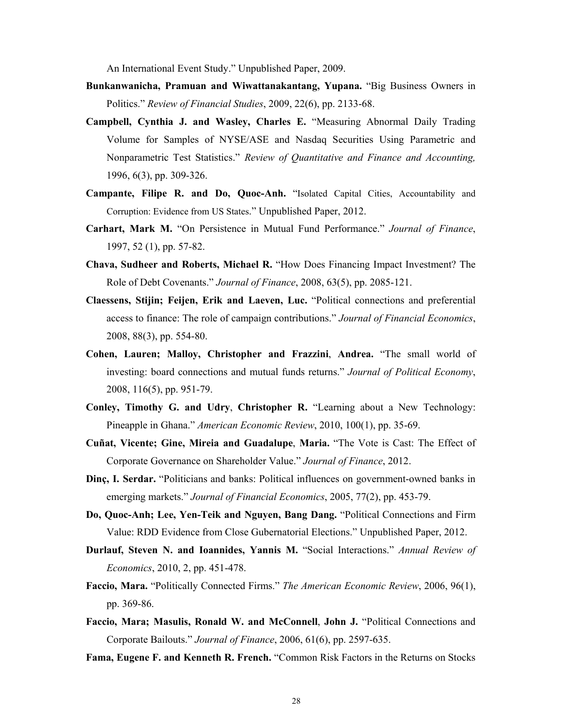An International Event Study." Unpublished Paper, 2009.

- Bunkanwanicha, Pramuan and Wiwattanakantang, Yupana. "Big Business Owners in Politics." Review of Financial Studies, 2009, 22(6), pp. 2133-68.
- **Campbell, Cynthia J. and Wasley, Charles E.** "Measuring Abnormal Daily Trading  $\overline{1}$ Volume for Samples of NYSE/ASE and Nasdaq Securities Using Parametric and Nonparametric Test Statistics." Review of Quantitative and Finance and Accounting,  $1996, 6(3)$ , pp. 309-326.
- **Campante, Filipe R. and Do, Quoc-Anh.** "Isolated Capital Cities, Accountability and Corruption: Evidence from US States." Unpublished Paper, 2012.
- Carhart, Mark M. "On Persistence in Mutual Fund Performance." Journal of Finance, 1997, 52 (1), pp. 57-82.
- **Chava, Sudheer and Roberts, Michael R.** "How Does Financing Impact Investment? The Role of Debt Covenants." Journal of Finance, 2008, 63(5), pp. 2085-121.
- **Claessens, Stijin; Feijen, Erik and Laeven, Luc.** "Political connections and preferential access to finance: The role of campaign contributions." Journal of Financial Economics,  $2008$ ,  $88(3)$ , pp. 554-80.
- **Cohen, Lauren; Malloy, Christopher and Frazzini, Andrea.** "The small world of investing: board connections and mutual funds returns." Journal of Political Economy,  $2008$ ,  $116(5)$ , pp. 951-79.
- **Conley, Timothy G. and Udry, Christopher R. "Learning about a New Technology:** Pineapple in Ghana." *American Economic Review*, 2010, 100(1), pp. 35-69.
- **Cuñat, Vicente; Gine, Mireia and Guadalupe, Maria.** "The Vote is Cast: The Effect of Corporate Governance on Shareholder Value." Journal of Finance, 2012.
- **Dinc, I. Serdar.** "Politicians and banks: Political influences on government-owned banks in  $emerging$  markets." *Journal of Financial Economics*, 2005, 77(2), pp. 453-79.
- **Do, Quoc-Anh; Lee, Yen-Teik and Nguyen, Bang Dang.** "Political Connections and Firm Value: RDD Evidence from Close Gubernatorial Elections." Unpublished Paper, 2012.
- **Durlauf, Steven N. and Ioannides, Yannis M.** "Social Interactions." Annual Review of *Economics*, 2010, 2, pp. 451-478.
- Faccio, Mara. "Politically Connected Firms." The American Economic Review, 2006, 96(1), pp. 369-86.
- **Faccio, Mara; Masulis, Ronald W. and McConnell, John J. "Political Connections and** Corporate Bailouts." *Journal of Finance*, 2006, 61(6), pp. 2597-635.
- Fama, Eugene F. and Kenneth R. French. "Common Risk Factors in the Returns on Stocks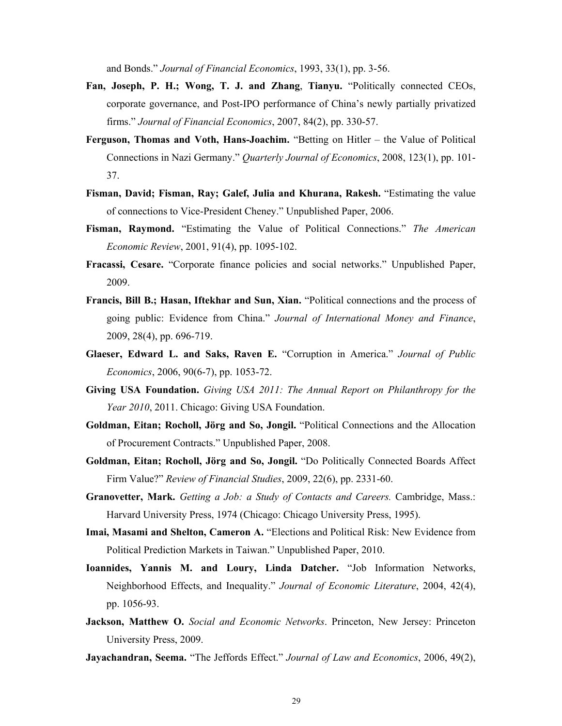and Bonds." Journal of Financial Economics, 1993, 33(1), pp. 3-56.

- Fan, Joseph, P. H.; Wong, T. J. and Zhang, Tianyu. "Politically connected CEOs, corporate governance, and Post-IPO performance of China's newly partially privatized firms." Journal of Financial Economics, 2007, 84(2), pp. 330-57.
- **Ferguson, Thomas and Voth, Hans-Joachim.** "Betting on Hitler  $-$  the Value of Political Connections in Nazi Germany." *Quarterly Journal of Economics*, 2008, 123(1), pp. 101-37.
- Fisman, David; Fisman, Ray; Galef, Julia and Khurana, Rakesh. "Estimating the value of connections to Vice-President Cheney." Unpublished Paper, 2006.
- Fisman, Raymond. "Estimating the Value of Political Connections." The American Economic Review, 2001, 91(4), pp. 1095-102.
- Fracassi, Cesare. "Corporate finance policies and social networks." Unpublished Paper, 2009.
- Francis, Bill B.; Hasan, Iftekhar and Sun, Xian. "Political connections and the process of going public: Evidence from China." Journal of International Money and Finance, 2009, 28(4), pp. 696-719.
- Glaeser, Edward L. and Saks, Raven E. "Corruption in America." Journal of Public *Economics*, 2006, 90(6-7), pp. 1053-72.
- Giving USA Foundation. Giving USA 2011: The Annual Report on Philanthropy for the Year 2010, 2011. Chicago: Giving USA Foundation.
- Goldman, Eitan; Rocholl, Jörg and So, Jongil. "Political Connections and the Allocation of Procurement Contracts." Unpublished Paper, 2008.
- Goldman, Eitan; Rocholl, Jörg and So, Jongil. "Do Politically Connected Boards Affect Firm Value?" Review of Financial Studies, 2009, 22(6), pp. 2331-60.
- Granovetter, Mark. Getting a Job: a Study of Contacts and Careers. Cambridge, Mass.: Harvard University Press, 1974 (Chicago: Chicago University Press, 1995).
- Imai, Masami and Shelton, Cameron A. "Elections and Political Risk: New Evidence from Political Prediction Markets in Taiwan." Unpublished Paper, 2010.
- Ioannides, Yannis M. and Loury, Linda Datcher. "Job Information Networks, Neighborhood Effects, and Inequality." Journal of Economic Literature, 2004, 42(4), pp. 1056-93.
- Jackson, Matthew O. Social and Economic Networks. Princeton, New Jersey: Princeton University Press, 2009.
- Jayachandran, Seema. "The Jeffords Effect." Journal of Law and Economics, 2006, 49(2),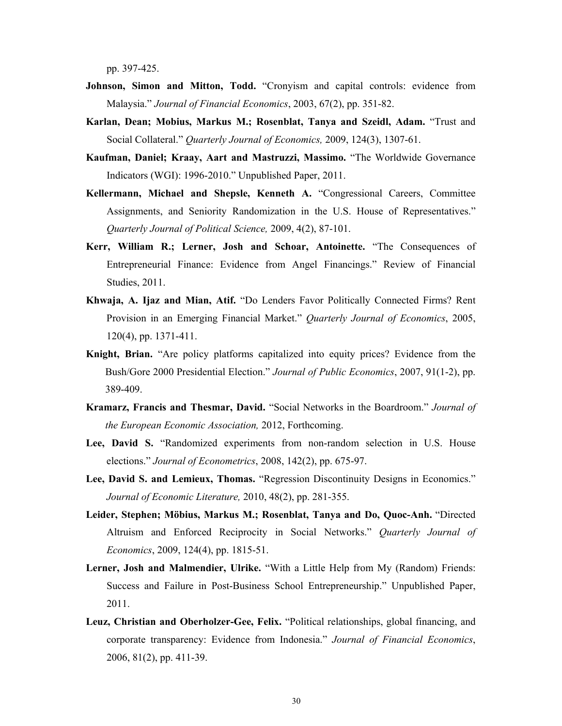pp. 397-425.

- Johnson, Simon and Mitton, Todd. "Cronyism and capital controls: evidence from Malaysia." Journal of Financial Economics, 2003, 67(2), pp. 351-82.
- Karlan, Dean; Mobius, Markus M.; Rosenblat, Tanya and Szeidl, Adam. "Trust and Social Collateral." Quarterly Journal of Economics, 2009, 124(3), 1307-61.
- Kaufman, Daniel; Kraay, Aart and Mastruzzi, Massimo. "The Worldwide Governance Indicators (WGI): 1996-2010." Unpublished Paper, 2011.
- Kellermann, Michael and Shepsle, Kenneth A. "Congressional Careers, Committee Assignments, and Seniority Randomization in the U.S. House of Representatives." Ouarterly Journal of Political Science, 2009, 4(2), 87-101.
- Kerr, William R.; Lerner, Josh and Schoar, Antoinette. "The Consequences of Entrepreneurial Finance: Evidence from Angel Financings." Review of Financial Studies, 2011.
- Khwaja, A. Ijaz and Mian, Atif. "Do Lenders Favor Politically Connected Firms? Rent Provision in an Emerging Financial Market." *Quarterly Journal of Economics*, 2005,  $120(4)$ , pp. 1371-411.
- **Knight, Brian.** "Are policy platforms capitalized into equity prices? Evidence from the Bush/Gore 2000 Presidential Election." Journal of Public Economics, 2007, 91(1-2), pp. 389-409.
- Kramarz, Francis and Thesmar, David. "Social Networks in the Boardroom." Journal of *the European Economic Association, 2012, Forthcoming.*
- Lee, David S. "Randomized experiments from non-random selection in U.S. House elections." Journal of Econometrics, 2008, 142(2), pp. 675-97.
- Lee, David S. and Lemieux, Thomas. "Regression Discontinuity Designs in Economics." Journal of Economic Literature, 2010, 48(2), pp. 281-355.
- Leider, Stephen; Möbius, Markus M.; Rosenblat, Tanya and Do, Quoc-Anh. "Directed Altruism and Enforced Reciprocity in Social Networks." Quarterly Journal of Economics, 2009, 124(4), pp. 1815-51.
- Lerner, Josh and Malmendier, Ulrike. "With a Little Help from My (Random) Friends: Success and Failure in Post-Business School Entrepreneurship." Unpublished Paper, 2011.
- Leuz, Christian and Oberholzer-Gee, Felix. "Political relationships, global financing, and corporate transparency: Evidence from Indonesia." Journal of Financial Economics,  $2006, 81(2)$ , pp. 411-39.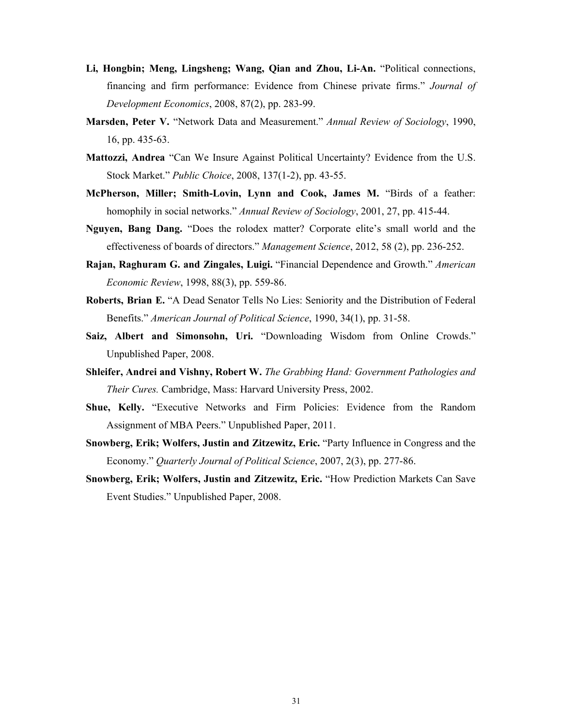- Li, Hongbin; Meng, Lingsheng; Wang, Qian and Zhou, Li-An. "Political connections, financing and firm performance: Evidence from Chinese private firms." Journal of Development Economics, 2008, 87(2), pp. 283-99.
- Marsden, Peter V. "Network Data and Measurement." Annual Review of Sociology, 1990, 16, pp.  $435-63$ .
- **Mattozzi, Andrea** "Can We Insure Against Political Uncertainty? Evidence from the U.S. Stock Market." Public Choice, 2008, 137(1-2), pp. 43-55.
- McPherson, Miller; Smith-Lovin, Lynn and Cook, James M. "Birds of a feather: homophily in social networks." Annual Review of Sociology, 2001, 27, pp. 415-44.
- Nguyen, Bang Dang. "Does the rolodex matter? Corporate elite's small world and the effectiveness of boards of directors." Management Science, 2012, 58 (2), pp. 236-252.
- Rajan, Raghuram G. and Zingales, Luigi. "Financial Dependence and Growth." American Economic Review, 1998, 88(3), pp. 559-86.
- Roberts, Brian E. "A Dead Senator Tells No Lies: Seniority and the Distribution of Federal Benefits." American Journal of Political Science, 1990, 34(1), pp. 31-58.
- Saiz, Albert and Simonsohn, Uri. "Downloading Wisdom from Online Crowds." Unpublished Paper, 2008.
- Shleifer, Andrei and Vishny, Robert W. The Grabbing Hand: Government Pathologies and *Their Cures.* Cambridge, Mass: Harvard University Press, 2002.
- Shue, Kelly. "Executive Networks and Firm Policies: Evidence from the Random Assignment of MBA Peers." Unpublished Paper, 2011.
- Snowberg, Erik; Wolfers, Justin and Zitzewitz, Eric. "Party Influence in Congress and the Economy." Quarterly Journal of Political Science, 2007, 2(3), pp. 277-86.
- Snowberg, Erik; Wolfers, Justin and Zitzewitz, Eric. "How Prediction Markets Can Save Event Studies." Unpublished Paper, 2008.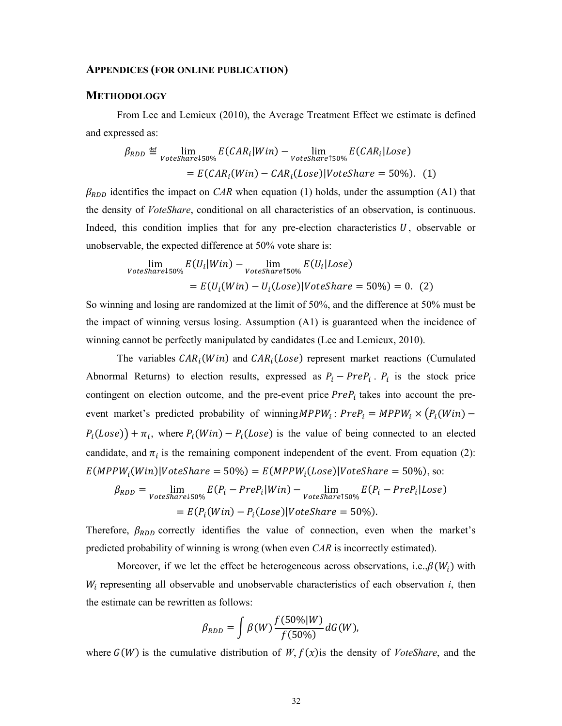### **APPENDICES (FOR ONLINE PUBLICATION)**

### **METHODOLOGY**

From Lee and Lemieux (2010), the Average Treatment Effect we estimate is defined and expressed as:

$$
\beta_{RDD} \stackrel{\text{def}}{=} \lim_{Voteshare150\%} E(CAR_i|Win) - \lim_{Voteshare150\%} E(CAR_i|Lose)
$$
  
=  $E(CAR_i(Win) - CAR_i(Lose)|Voteshare = 50\%).$  (1)

 $\beta_{RDD}$  identifies the impact on *CAR* when equation (1) holds, under the assumption (A1) that the density of *VoteShare*, conditional on all characteristics of an observation, is continuous. Indeed, this condition implies that for any pre-election characteristics  $U$ , observable or unobservable, the expected difference at 50% vote share is:

$$
\lim_{Voteshare150\%} E(U_i|Win) - \lim_{Voteshare150\%} E(U_i|lose)
$$
  
=  $E(U_i(Win) - U_i(lose)|Voteshare = 50\%) = 0.$  (2)

So winning and losing are randomized at the limit of 50%, and the difference at 50% must be the impact of winning versus losing. Assumption  $(A1)$  is guaranteed when the incidence of winning cannot be perfectly manipulated by candidates (Lee and Lemieux, 2010).

The variables  $CAR_i(Win)$  and  $CAR_i(lose)$  represent market reactions (Cumulated Abnormal Returns) to election results, expressed as  $P_i - PreP_i$ .  $P_i$  is the stock price contingent on election outcome, and the pre-event price  $PreP_i$  takes into account the preevent market's predicted probability of winning  $MPPW_i$ :  $PreP_i = MPPW_i \times (P_i(Win) - P_i)$  $P_i(lose) + \pi_i$ , where  $P_i(Win) - P_i(lose)$  is the value of being connected to an elected candidate, and  $\pi_i$  is the remaining component independent of the event. From equation (2):  $E(MPPW_i(Win)|Voteshare = 50\%) = E(MPPW_i(lose)|Voteshare = 50\%).$  so:

$$
\beta_{RDD} = \lim_{Voteshare 150\%} E(P_i - PreP_i|Win) - \lim_{Voteshare 150\%} E(P_i - PreP_i|Lose)
$$
  
=  $E(P_i(Win) - P_i(Lose)|Voteshare = 50\%).$ 

Therefore,  $\beta_{RDD}$  correctly identifies the value of connection, even when the market's predicted probability of winning is wrong (when even *CAR* is incorrectly estimated).

Moreover, if we let the effect be heterogeneous across observations, i.e.,  $\beta(W_i)$  with  $W_i$  representing all observable and unobservable characteristics of each observation  $i$ , then the estimate can be rewritten as follows:

$$
\beta_{RDD} = \int \beta(W) \frac{f(50\%|W)}{f(50\%)} dG(W),
$$

where  $G(W)$  is the cumulative distribution of W,  $f(x)$  is the density of *VoteShare*, and the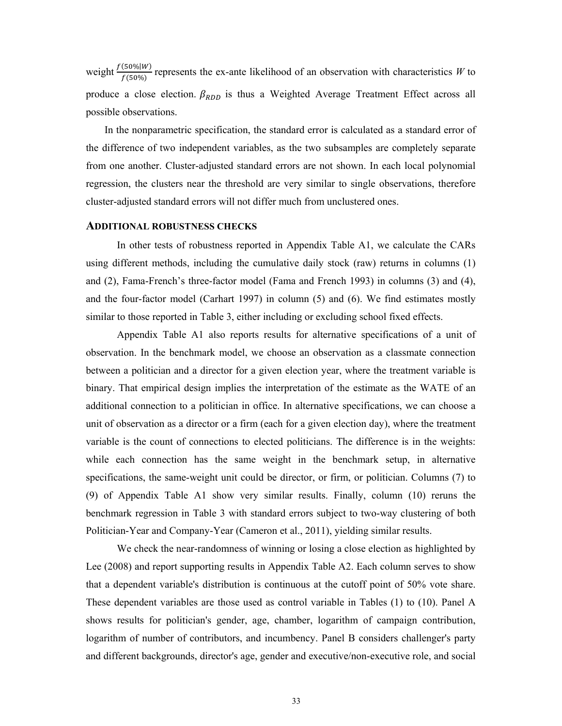weight  $\frac{f(50\%|W)}{f(50\%)}$  represents the ex-ante likelihood of an observation with characteristics W to produce a close election.  $\beta_{RDD}$  is thus a Weighted Average Treatment Effect across all possible observations.

In the nonparametric specification, the standard error is calculated as a standard error of the difference of two independent variables, as the two subsamples are completely separate from one another. Cluster-adjusted standard errors are not shown. In each local polynomial regression, the clusters near the threshold are very similar to single observations, therefore cluster-adjusted standard errors will not differ much from unclustered ones.

### **ADDITIONAL ROBUSTNESS CHECKS**

In other tests of robustness reported in Appendix Table A1, we calculate the CARs using different methods, including the cumulative daily stock (raw) returns in columns  $(1)$ and (2), Fama-French's three-factor model (Fama and French 1993) in columns (3) and (4), and the four-factor model (Carhart 1997) in column  $(5)$  and  $(6)$ . We find estimates mostly similar to those reported in Table 3, either including or excluding school fixed effects.

Appendix Table A1 also reports results for alternative specifications of a unit of observation. In the benchmark model, we choose an observation as a classmate connection between a politician and a director for a given election year, where the treatment variable is binary. That empirical design implies the interpretation of the estimate as the WATE of an additional connection to a politician in office. In alternative specifications, we can choose a unit of observation as a director or a firm (each for a given election day), where the treatment variable is the count of connections to elected politicians. The difference is in the weights: while each connection has the same weight in the benchmark setup, in alternative specifications, the same-weight unit could be director, or firm, or politician. Columns (7) to (9) of Appendix Table A1 show very similar results. Finally, column (10) reruns the benchmark regression in Table 3 with standard errors subject to two-way clustering of both Politician-Year and Company-Year (Cameron et al., 2011), yielding similar results.

We check the near-randomness of winning or losing a close election as highlighted by Lee (2008) and report supporting results in Appendix Table A2. Each column serves to show that a dependent variable's distribution is continuous at the cutoff point of 50% vote share. These dependent variables are those used as control variable in Tables (1) to (10). Panel A shows results for politician's gender, age, chamber, logarithm of campaign contribution, logarithm of number of contributors, and incumbency. Panel B considers challenger's party and different backgrounds, director's age, gender and executive/non-executive role, and social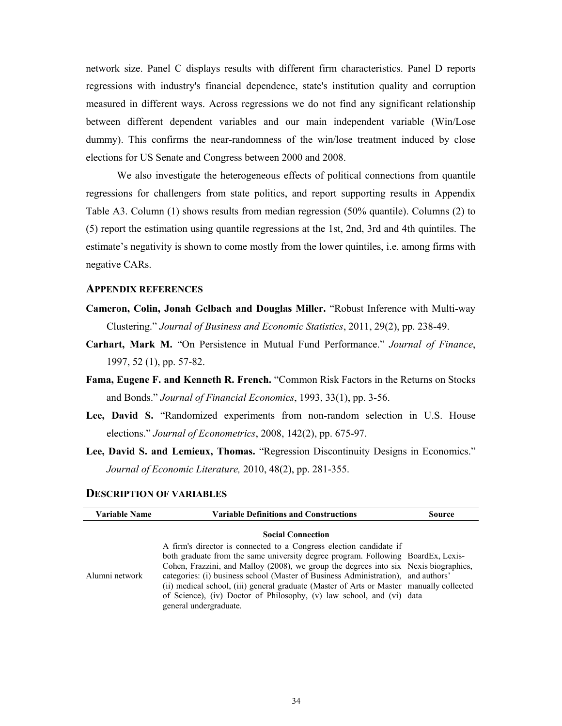network size. Panel C displays results with different firm characteristics. Panel D reports regressions with industry's financial dependence, state's institution quality and corruption measured in different ways. Across regressions we do not find any significant relationship between different dependent variables and our main independent variable (Win/Lose dummy). This confirms the near-randomness of the win/lose treatment induced by close elections for US Senate and Congress between 2000 and 2008.

We also investigate the heterogeneous effects of political connections from quantile regressions for challengers from state politics, and report supporting results in Appendix Table A3. Column (1) shows results from median regression (50% quantile). Columns (2) to (5) report the estimation using quantile regressions at the 1st, 2nd, 3rd and 4th quintiles. The estimate's negativity is shown to come mostly from the lower quintiles, i.e. among firms with negative CARs.

### **APPENDIX REFERENCES**

- Cameron, Colin, Jonah Gelbach and Douglas Miller. "Robust Inference with Multi-way Clustering." Journal of Business and Economic Statistics, 2011, 29(2), pp. 238-49.
- Carhart, Mark M. "On Persistence in Mutual Fund Performance." Journal of Finance, 1997, 52 (1), pp. 57-82.
- **Fama, Eugene F. and Kenneth R. French.** "Common Risk Factors in the Returns on Stocks and Bonds." Journal of Financial Economics, 1993, 33(1), pp. 3-56.
- Lee, David S. "Randomized experiments from non-random selection in U.S. House elections." Journal of Econometrics, 2008, 142(2), pp. 675-97.
- Lee, David S. and Lemieux, Thomas. "Regression Discontinuity Designs in Economics." Journal of Economic Literature, 2010, 48(2), pp. 281-355.

### **DESCRIPTION OF VARIABLES**

| <b>Variable Name</b> | <b>Variable Definitions and Constructions</b>                                                                                                                                                                                                                                                                                                                                                                                                                                                                                      | <b>Source</b> |
|----------------------|------------------------------------------------------------------------------------------------------------------------------------------------------------------------------------------------------------------------------------------------------------------------------------------------------------------------------------------------------------------------------------------------------------------------------------------------------------------------------------------------------------------------------------|---------------|
|                      | <b>Social Connection</b>                                                                                                                                                                                                                                                                                                                                                                                                                                                                                                           |               |
| Alumni network       | A firm's director is connected to a Congress election candidate if<br>both graduate from the same university degree program. Following BoardEx, Lexis-<br>Cohen, Frazzini, and Malloy (2008), we group the degrees into six Nexis biographies,<br>categories: (i) business school (Master of Business Administration), and authors'<br>(ii) medical school, (iii) general graduate (Master of Arts or Master manually collected<br>of Science), (iv) Doctor of Philosophy, (v) law school, and (vi) data<br>general undergraduate. |               |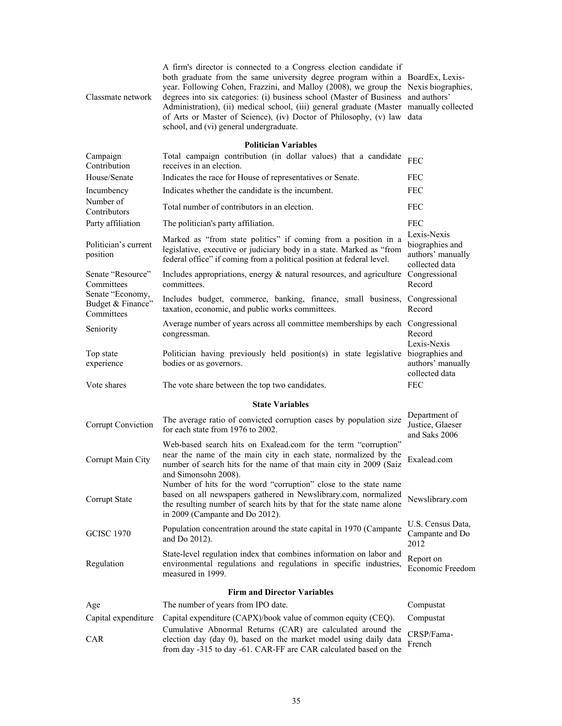| Classmate network                                   | A firm's director is connected to a Congress election candidate if<br>both graduate from the same university degree program within a BoardEx, Lexis-<br>year. Following Cohen, Frazzini, and Malloy (2008), we group the Nexis biographies,<br>degrees into six categories: (i) business school (Master of Business and authors'<br>Administration), (ii) medical school, (iii) general graduate (Master manually collected<br>of Arts or Master of Science), (iv) Doctor of Philosophy, (v) law data<br>school, and (vi) general undergraduate. |                                                    |  |  |  |  |  |
|-----------------------------------------------------|--------------------------------------------------------------------------------------------------------------------------------------------------------------------------------------------------------------------------------------------------------------------------------------------------------------------------------------------------------------------------------------------------------------------------------------------------------------------------------------------------------------------------------------------------|----------------------------------------------------|--|--|--|--|--|
|                                                     | <b>Politician Variables</b>                                                                                                                                                                                                                                                                                                                                                                                                                                                                                                                      |                                                    |  |  |  |  |  |
| Campaign                                            | Total campaign contribution (in dollar values) that a candidate                                                                                                                                                                                                                                                                                                                                                                                                                                                                                  | <b>FEC</b>                                         |  |  |  |  |  |
| Contribution                                        | receives in an election.                                                                                                                                                                                                                                                                                                                                                                                                                                                                                                                         |                                                    |  |  |  |  |  |
| House/Senate                                        | Indicates the race for House of representatives or Senate.                                                                                                                                                                                                                                                                                                                                                                                                                                                                                       | <b>FEC</b>                                         |  |  |  |  |  |
| Incumbency<br>Number of                             | Indicates whether the candidate is the incumbent.                                                                                                                                                                                                                                                                                                                                                                                                                                                                                                | <b>FEC</b>                                         |  |  |  |  |  |
| Contributors                                        | Total number of contributors in an election.                                                                                                                                                                                                                                                                                                                                                                                                                                                                                                     | <b>FEC</b>                                         |  |  |  |  |  |
| Party affiliation                                   | The politician's party affiliation.                                                                                                                                                                                                                                                                                                                                                                                                                                                                                                              | <b>FEC</b>                                         |  |  |  |  |  |
| Politician's current<br>position                    | Marked as "from state politics" if coming from a position in a<br>legislative, executive or judiciary body in a state. Marked as "from<br>federal office" if coming from a political position at federal level.                                                                                                                                                                                                                                                                                                                                  |                                                    |  |  |  |  |  |
| Senate "Resource"<br>Committees                     | collected data<br>Includes appropriations, energy & natural resources, and agriculture Congressional<br>committees.<br>Record                                                                                                                                                                                                                                                                                                                                                                                                                    |                                                    |  |  |  |  |  |
| Senate "Economy,<br>Budget & Finance"<br>Committees | Includes budget, commerce, banking, finance, small business, Congressional<br>taxation, economic, and public works committees.                                                                                                                                                                                                                                                                                                                                                                                                                   | Record                                             |  |  |  |  |  |
| Seniority                                           | Average number of years across all committee memberships by each Congressional<br>congressman.                                                                                                                                                                                                                                                                                                                                                                                                                                                   | Record                                             |  |  |  |  |  |
| Top state<br>experience                             | Politician having previously held position(s) in state legislative biographies and<br>bodies or as governors.                                                                                                                                                                                                                                                                                                                                                                                                                                    | Lexis-Nexis<br>authors' manually<br>collected data |  |  |  |  |  |
| Vote shares                                         | The vote share between the top two candidates.                                                                                                                                                                                                                                                                                                                                                                                                                                                                                                   | <b>FEC</b>                                         |  |  |  |  |  |
|                                                     | <b>State Variables</b>                                                                                                                                                                                                                                                                                                                                                                                                                                                                                                                           |                                                    |  |  |  |  |  |
|                                                     | The average ratio of convicted corruption cases by population size                                                                                                                                                                                                                                                                                                                                                                                                                                                                               | Department of                                      |  |  |  |  |  |
| Corrupt Conviction                                  | for each state from 1976 to 2002.                                                                                                                                                                                                                                                                                                                                                                                                                                                                                                                | Justice, Glaeser<br>and Saks 2006                  |  |  |  |  |  |
| Corrupt Main City                                   | Web-based search hits on Exalead.com for the term "corruption"<br>near the name of the main city in each state, normalized by the<br>number of search hits for the name of that main city in 2009 (Saiz<br>and Simonsohn 2008).<br>Number of hits for the word "corruption" close to the state name                                                                                                                                                                                                                                              | Exalead.com                                        |  |  |  |  |  |
| Corrupt State                                       | based on all newspapers gathered in Newslibrary.com, normalized<br>the resulting number of search hits by that for the state name alone<br>in 2009 (Campante and Do 2012).                                                                                                                                                                                                                                                                                                                                                                       | Newslibrary.com                                    |  |  |  |  |  |
| <b>GCISC 1970</b>                                   | Population concentration around the state capital in 1970 (Campante<br>and Do 2012).                                                                                                                                                                                                                                                                                                                                                                                                                                                             | U.S. Census Data,<br>Campante and Do<br>2012       |  |  |  |  |  |
| Regulation                                          | State-level regulation index that combines information on labor and<br>environmental regulations and regulations in specific industries,<br>measured in 1999.                                                                                                                                                                                                                                                                                                                                                                                    | Report on<br>Economic Freedom                      |  |  |  |  |  |
|                                                     | <b>Firm and Director Variables</b>                                                                                                                                                                                                                                                                                                                                                                                                                                                                                                               |                                                    |  |  |  |  |  |
| Age                                                 | The number of years from IPO date.                                                                                                                                                                                                                                                                                                                                                                                                                                                                                                               | Compustat                                          |  |  |  |  |  |
| Capital expenditure                                 | Capital expenditure (CAPX)/book value of common equity (CEQ).                                                                                                                                                                                                                                                                                                                                                                                                                                                                                    | Compustat                                          |  |  |  |  |  |
| CAR                                                 | Cumulative Abnormal Returns (CAR) are calculated around the<br>election day (day 0), based on the market model using daily data<br>from day -315 to day -61. CAR-FF are CAR calculated based on the                                                                                                                                                                                                                                                                                                                                              | CRSP/Fama-<br>French                               |  |  |  |  |  |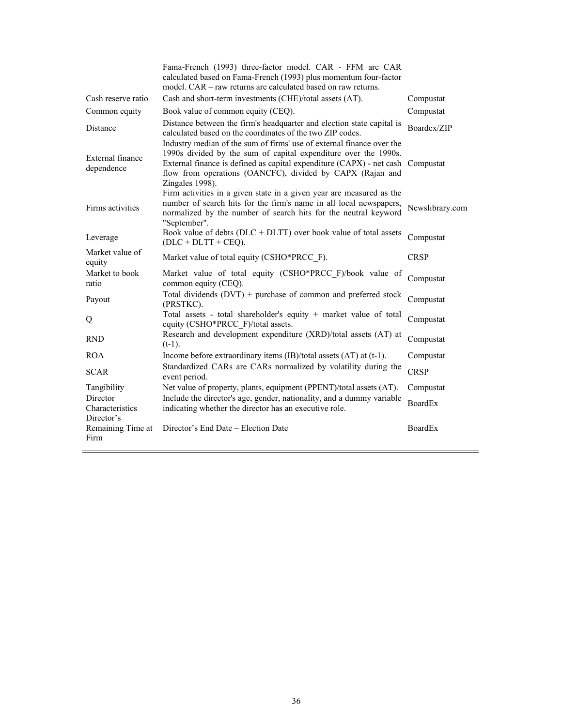|                                         | Fama-French (1993) three-factor model. CAR - FFM are CAR<br>calculated based on Fama-French (1993) plus momentum four-factor<br>model. CAR – raw returns are calculated based on raw returns.                                                                                                              |                 |
|-----------------------------------------|------------------------------------------------------------------------------------------------------------------------------------------------------------------------------------------------------------------------------------------------------------------------------------------------------------|-----------------|
| Cash reserve ratio                      | Cash and short-term investments (CHE)/total assets (AT).                                                                                                                                                                                                                                                   | Compustat       |
| Common equity                           | Book value of common equity (CEQ).                                                                                                                                                                                                                                                                         | Compustat       |
| Distance                                | Distance between the firm's headquarter and election state capital is<br>calculated based on the coordinates of the two ZIP codes.                                                                                                                                                                         | Boardex/ZIP     |
| External finance<br>dependence          | Industry median of the sum of firms' use of external finance over the<br>1990s divided by the sum of capital expenditure over the 1990s.<br>External finance is defined as capital expenditure (CAPX) - net cash Compustat<br>flow from operations (OANCFC), divided by CAPX (Rajan and<br>Zingales 1998). |                 |
| Firms activities                        | Firm activities in a given state in a given year are measured as the<br>number of search hits for the firm's name in all local newspapers,<br>normalized by the number of search hits for the neutral keyword<br>"September".                                                                              | Newslibrary.com |
| Leverage                                | Book value of debts ( $DLC + DLTT$ ) over book value of total assets<br>$(DLC + DLTT + CEQ).$                                                                                                                                                                                                              | Compustat       |
| Market value of<br>equity               | Market value of total equity (CSHO*PRCC F).                                                                                                                                                                                                                                                                | <b>CRSP</b>     |
| Market to book<br>ratio                 | Market value of total equity (CSHO*PRCC F)/book value of<br>common equity (CEQ).                                                                                                                                                                                                                           | Compustat       |
| Payout                                  | Total dividends $(DVT)$ + purchase of common and preferred stock<br>(PRSTKC).                                                                                                                                                                                                                              | Compustat       |
| Q                                       | Total assets - total shareholder's equity + market value of total<br>equity (CSHO*PRCC F)/total assets.                                                                                                                                                                                                    | Compustat       |
| <b>RND</b>                              | Research and development expenditure (XRD)/total assets (AT) at<br>$(t-1)$ .                                                                                                                                                                                                                               | Compustat       |
| <b>ROA</b>                              | Income before extraordinary items (IB)/total assets (AT) at (t-1).                                                                                                                                                                                                                                         | Compustat       |
| <b>SCAR</b>                             | Standardized CARs are CARs normalized by volatility during the<br>event period.                                                                                                                                                                                                                            | <b>CRSP</b>     |
| Tangibility                             | Net value of property, plants, equipment (PPENT)/total assets (AT).                                                                                                                                                                                                                                        | Compustat       |
| Director<br>Characteristics             | Include the director's age, gender, nationality, and a dummy variable<br>indicating whether the director has an executive role.                                                                                                                                                                            | <b>BoardEx</b>  |
| Director's<br>Remaining Time at<br>Firm | Director's End Date – Election Date                                                                                                                                                                                                                                                                        | <b>BoardEx</b>  |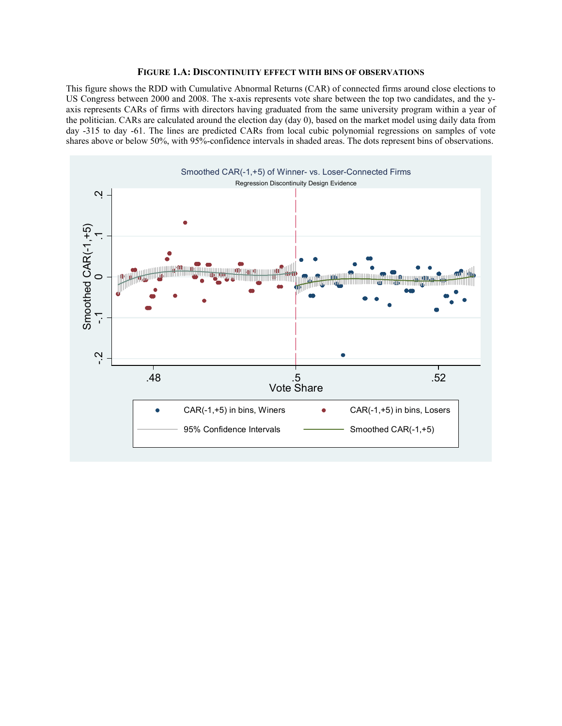### FIGURE 1.A: DISCONTINUITY EFFECT WITH BINS OF OBSERVATIONS

This figure shows the RDD with Cumulative Abnormal Returns (CAR) of connected firms around close elections to US Congress between 2000 and 2008. The x-axis represents vote share between the top two candidates, and the yaxis represents CARs of firms with directors having graduated from the same university program within a year of the politician. CARs are calculated around the election day (day 0), based on the market model using daily data from day -315 to day -61. The lines are predicted CARs from local cubic polynomial regressions on samples of vote shares above or below 50%, with 95%-confidence intervals in shaded areas. The dots represent bins of observations.

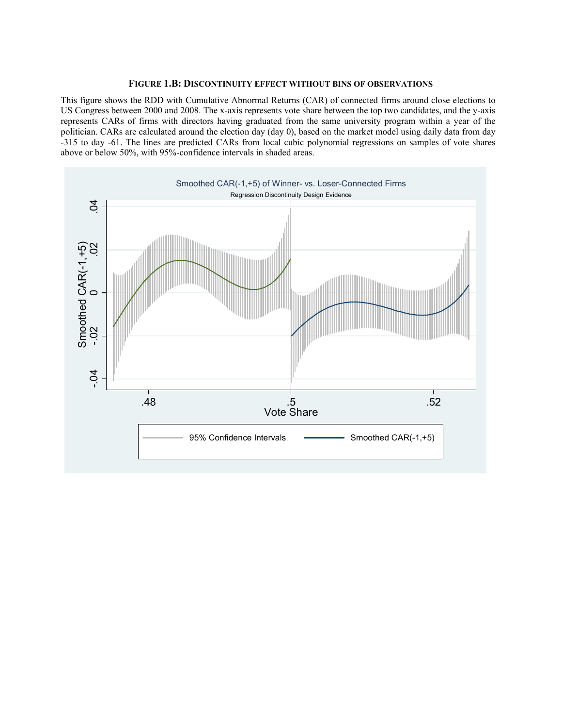### FIGURE 1.B: DISCONTINUITY EFFECT WITHOUT BINS OF OBSERVATIONS

This figure shows the RDD with Cumulative Abnormal Returns (CAR) of connected firms around close elections to US Congress between 2000 and 2008. The x-axis represents vote share between the top two candidates, and the y-axis represents CARs of firms with directors having graduated from the same university program within a year of the politician. CARs are calculated around the election day (day 0), based on the market model using daily data from day -315 to day -61. The lines are predicted CARs from local cubic polynomial regressions on samples of vote shares above or below 50%, with 95%-confidence intervals in shaded areas.

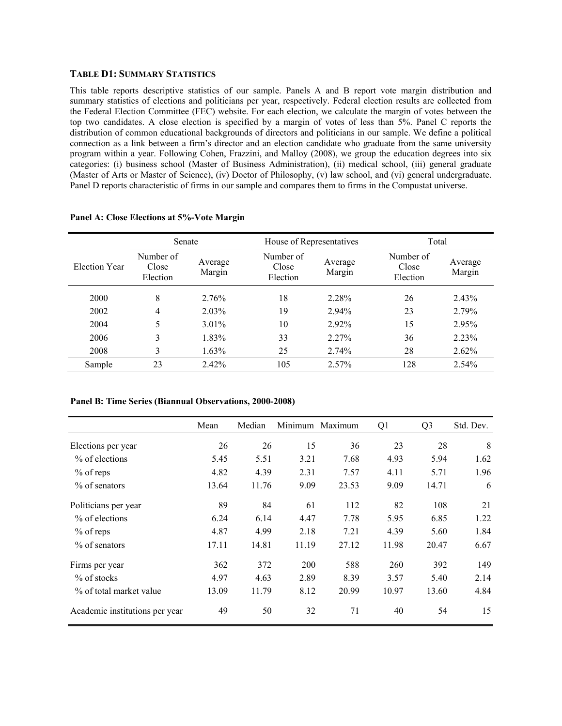### **TABLE D1: SUMMARY STATISTICS**

This table reports descriptive statistics of our sample. Panels A and B report vote margin distribution and summary statistics of elections and politicians per year, respectively. Federal election results are collected from the Federal Election Committee (FEC) website. For each election, we calculate the margin of votes between the top two candidates. A close election is specified by a margin of votes of less than 5%. Panel C reports the distribution of common educational backgrounds of directors and politicians in our sample. We define a political connection as a link between a firm's director and an election candidate who graduate from the same university program within a year. Following Cohen, Frazzini, and Malloy (2008), we group the education degrees into six categories: (i) business school (Master of Business Administration), (ii) medical school, (iii) general graduate (Master of Arts or Master of Science), (iv) Doctor of Philosophy, (v) law school, and (vi) general undergraduate. Panel D reports characteristic of firms in our sample and compares them to firms in the Compustat universe.

|               | Senate                                              |          | House of Representatives       |                   | Total                          |                   |
|---------------|-----------------------------------------------------|----------|--------------------------------|-------------------|--------------------------------|-------------------|
| Election Year | Number of<br>Average<br>Close<br>Margin<br>Election |          | Number of<br>Close<br>Election | Average<br>Margin | Number of<br>Close<br>Election | Average<br>Margin |
| 2000          | 8                                                   | 2.76%    | 18                             | 2.28%             | 26                             | 2.43%             |
| 2002          | $\overline{4}$                                      | 2.03%    | 19                             | 2.94%             | 23                             | 2.79%             |
| 2004          | 5                                                   | $3.01\%$ | 10                             | 2.92%             | 15                             | 2.95%             |
| 2006          | 3                                                   | 1.83%    | 33                             | $2.27\%$          | 36                             | 2.23%             |
| 2008          | 3                                                   | $1.63\%$ | 25                             | 2.74%             | 28                             | 2.62%             |
| Sample        | 23                                                  | 2.42%    | 105                            | 2.57%             | 128                            | 2.54%             |

### Panel A: Close Elections at 5%-Vote Margin

### Panel B: Time Series (Biannual Observations, 2000-2008)

|                                | Mean  | Median |       | Minimum Maximum | Q1    | Q <sub>3</sub> | Std. Dev. |
|--------------------------------|-------|--------|-------|-----------------|-------|----------------|-----------|
| Elections per year             | 26    | 26     | 15    | 36              | 23    | 28             | 8         |
| % of elections                 | 5.45  | 5.51   | 3.21  | 7.68            | 4.93  | 5.94           | 1.62      |
| $%$ of reps                    | 4.82  | 4.39   | 2.31  | 7.57            | 4.11  | 5.71           | 1.96      |
| $%$ of senators                | 13.64 | 11.76  | 9.09  | 23.53           | 9.09  | 14.71          | 6         |
| Politicians per year           | 89    | 84     | 61    | 112             | 82    | 108            | 21        |
| $%$ of elections               | 6.24  | 6.14   | 4.47  | 7.78            | 5.95  | 6.85           | 1.22      |
| $%$ of reps                    | 4.87  | 4.99   | 2.18  | 7.21            | 4.39  | 5.60           | 1.84      |
| % of senators                  | 17.11 | 14.81  | 11.19 | 27.12           | 11.98 | 20.47          | 6.67      |
| Firms per year                 | 362   | 372    | 200   | 588             | 260   | 392            | 149       |
| $%$ of stocks                  | 4.97  | 4.63   | 2.89  | 8.39            | 3.57  | 5.40           | 2.14      |
| % of total market value        | 13.09 | 11.79  | 8.12  | 20.99           | 10.97 | 13.60          | 4.84      |
| Academic institutions per year | 49    | 50     | 32    | 71              | 40    | 54             | 15        |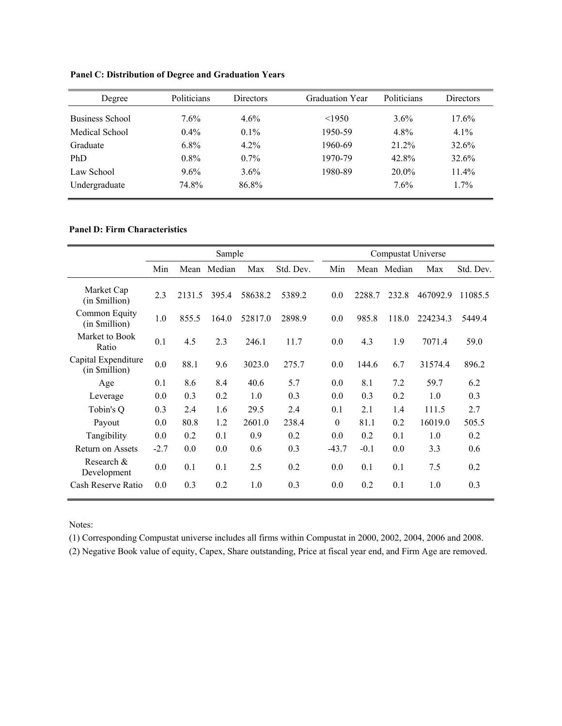| Degree          | Politicians | <b>Directors</b> | Graduation Year | Politicians | <b>Directors</b> |
|-----------------|-------------|------------------|-----------------|-------------|------------------|
| Business School | 7.6%        | $4.6\%$          | < 1950          | $3.6\%$     | 17.6%            |
| Medical School  | $0.4\%$     | $0.1\%$          | 1950-59         | $4.8\%$     | $4.1\%$          |
| Graduate        | $6.8\%$     | $4.2\%$          | 1960-69         | 21.2%       | 32.6%            |
| <b>PhD</b>      | $0.8\%$     | $0.7\%$          | 1970-79         | 42.8%       | 32.6%            |
| Law School      | $9.6\%$     | $3.6\%$          | 1980-89         | $20.0\%$    | 11.4%            |
| Undergraduate   | 74.8%       | 86.8%            |                 | 7.6%        | $1.7\%$          |

**Panel C: Distribution of Degree and Graduation Years**

### **Panel D: Firm Characteristics**

|                                       |        |        | Sample      |         |           |          |        | Compustat Universe |          |           |
|---------------------------------------|--------|--------|-------------|---------|-----------|----------|--------|--------------------|----------|-----------|
|                                       | Min    |        | Mean Median | Max     | Std. Dev. | Min      |        | Mean Median        | Max      | Std. Dev. |
| Market Cap<br>(in \$million)          | 2.3    | 2131.5 | 395.4       | 58638.2 | 5389.2    | 0.0      | 2288.7 | 232.8              | 467092.9 | 11085.5   |
| Common Equity<br>(in \$million)       | 1.0    | 855.5  | 164.0       | 52817.0 | 2898.9    | 0.0      | 985.8  | 118.0              | 224234.3 | 5449.4    |
| Market to Book<br>Ratio               | 0.1    | 4.5    | 2.3         | 246.1   | 11.7      | 0.0      | 4.3    | 1.9                | 7071.4   | 59.0      |
| Capital Expenditure<br>(in \$million) | 0.0    | 88.1   | 9.6         | 3023.0  | 275.7     | 0.0      | 144.6  | 6.7                | 31574.4  | 896.2     |
| Age                                   | 0.1    | 8.6    | 8.4         | 40.6    | 5.7       | 0.0      | 8.1    | 7.2                | 59.7     | 6.2       |
| Leverage                              | 0.0    | 0.3    | 0.2         | 1.0     | 0.3       | 0.0      | 0.3    | 0.2                | 1.0      | 0.3       |
| Tobin's Q                             | 0.3    | 2.4    | 1.6         | 29.5    | 2.4       | 0.1      | 2.1    | 1.4                | 111.5    | 2.7       |
| Payout                                | 0.0    | 80.8   | 1.2         | 2601.0  | 238.4     | $\theta$ | 81.1   | 0.2                | 16019.0  | 505.5     |
| Tangibility                           | 0.0    | 0.2    | 0.1         | 0.9     | 0.2       | 0.0      | 0.2    | 0.1                | 1.0      | 0.2       |
| <b>Return on Assets</b>               | $-2.7$ | 0.0    | 0.0         | 0.6     | 0.3       | $-43.7$  | $-0.1$ | 0.0                | 3.3      | 0.6       |
| Research &<br>Development             | 0.0    | 0.1    | 0.1         | 2.5     | 0.2       | 0.0      | 0.1    | 0.1                | 7.5      | 0.2       |
| Cash Reserve Ratio                    | 0.0    | 0.3    | 0.2         | 1.0     | 0.3       | 0.0      | 0.2    | 0.1                | 1.0      | 0.3       |

Notes:

(1) Corresponding Compustat universe includes all firms within Compustat in 2000, 2002, 2004, 2006 and 2008.

(2) Negative Book value of equity, Capex, Share outstanding, Price at fiscal year end, and Firm Age are removed.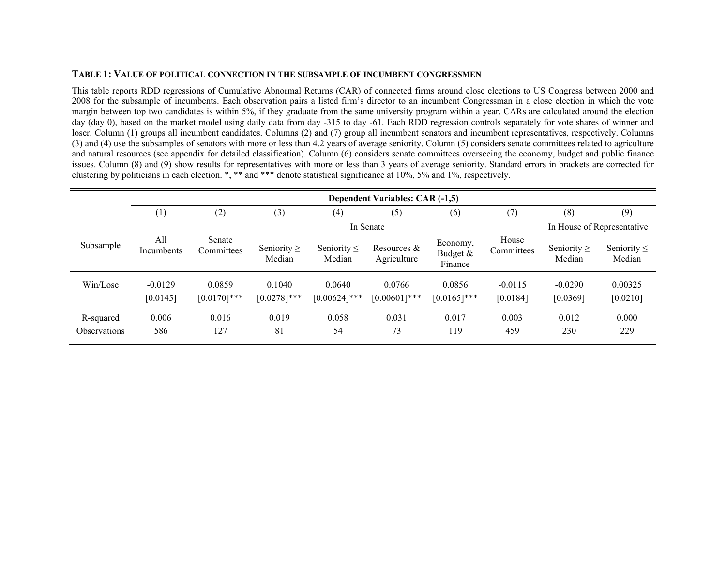### TABLE 1: VALUE OF POLITICAL CONNECTION IN THE SUBSAMPLE OF INCUMBENT CONGRESSMEN

This table reports RDD regressions of Cumulative Abnormal Returns (CAR) of connected firms around close elections to US Congress between 2000 and 2008 for the subsample of incumbents. Each observation pairs a listed firm's director to an incumbent Congressman in a close election in which the vote margin between top two candidates is within 5%, if they graduate from the same university program within a year. CARs are calculated around the election day (day 0), based on the market model using daily data from day -315 to day -61. Each RDD regression controls separately for vote shares of winner and loser. Column (1) groups all incumbent candidates. Columns (2) and (7) group all incumbent senators and incumbent representatives, respectively. Columns (3) and (4) use the subsamples of senators with more or less than 4.2 years of average seniority. Column (5) considers senate committees related to agriculture and natural resources (see appendix for detailed classification). Column (6) considers senate committees overseeing the economy, budget and public finance issues. Column (8) and (9) show results for representatives with more or less than 3 years of average seniority. Standard errors in brackets are corrected for clustering by politicians in each election. \*, \*\* and \*\*\* denote statistical significance at 10%, 5% and 1%, respectively.

|                                  |                       | <b>Dependent Variables: CAR (-1,5)</b> |                            |                            |                              |                                 |                            |                            |                            |  |  |  |
|----------------------------------|-----------------------|----------------------------------------|----------------------------|----------------------------|------------------------------|---------------------------------|----------------------------|----------------------------|----------------------------|--|--|--|
|                                  | (1)                   | (2)                                    | (3)                        | (4)                        | (5)                          | (6)                             | (7)                        | (8)                        | (9)                        |  |  |  |
|                                  | All<br>Incumbents     |                                        |                            |                            | In Senate                    |                                 | In House of Representative |                            |                            |  |  |  |
| Subsample                        |                       | Senate<br>Committees                   | Seniority $\geq$<br>Median | Seniority $\leq$<br>Median | Resources $&$<br>Agriculture | Economy,<br>Budget &<br>Finance | House<br>Committees        | Seniority $\geq$<br>Median | Seniority $\leq$<br>Median |  |  |  |
| Win/Lose                         | $-0.0129$<br>[0.0145] | 0.0859<br>$[0.0170]$ ***               | 0.1040<br>$[0.0278]$ ***   | 0.0640<br>$[0.00624]***$   | 0.0766<br>$[0.00601]***$     | 0.0856<br>$[0.0165]$ ***        | $-0.0115$<br>[0.0184]      | $-0.0290$<br>[0.0369]      | 0.00325<br>[0.0210]        |  |  |  |
| R-squared<br><b>Observations</b> | 0.006<br>586          | 0.016<br>127                           | 0.019<br>81                | 0.058<br>54                | 0.031<br>73                  | 0.017<br>119                    | 0.003<br>459               | 0.012<br>230               | 0.000<br>229               |  |  |  |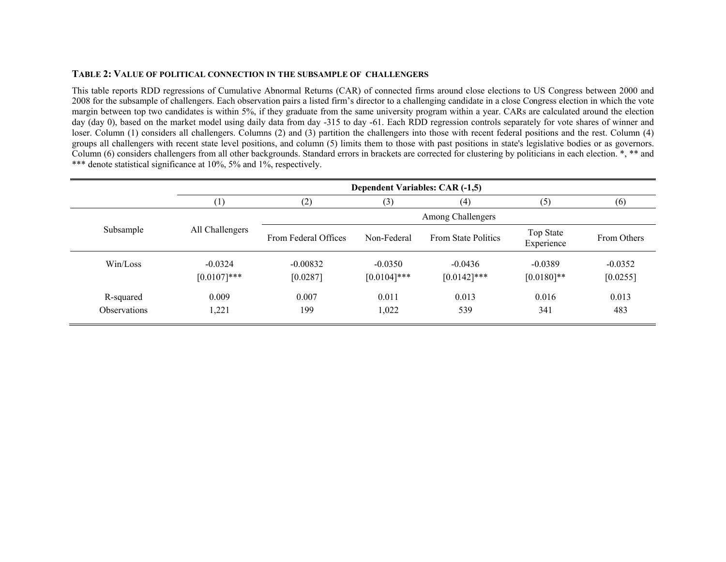### TABLE 2: VALUE OF POLITICAL CONNECTION IN THE SUBSAMPLE OF CHALLENGERS

This table reports RDD regressions of Cumulative Abnormal Returns (CAR) of connected firms around close elections to US Congress between 2000 and 2008 for the subsample of challengers. Each observation pairs a listed firm's director to a challenging candidate in a close Congress election in which the vote margin between top two candidates is within 5%, if they graduate from the same university program within a year. CARs are calculated around the election day (day 0), based on the market model using daily data from day -315 to day -61. Each RDD regression controls separately for vote shares of winner and loser. Column (1) considers all challengers. Columns (2) and (3) partition the challengers into those with recent federal positions and the rest. Column (4) groups all challengers with recent state level positions, and column (5) limits them to those with past positions in state's legislative bodies or as governors. Column (6) considers challengers from all other backgrounds. Standard errors in brackets are corrected for clustering by politicians in each election.<sup>\*</sup>,\*\* and \*\*\* denote statistical significance at 10%, 5% and 1%, respectively.

|                           | <b>Dependent Variables: CAR (-1,5)</b> |                        |                             |                             |                            |                       |  |  |  |  |
|---------------------------|----------------------------------------|------------------------|-----------------------------|-----------------------------|----------------------------|-----------------------|--|--|--|--|
|                           | (1)                                    | (2)                    | (3)                         | (4)                         | (5)                        | (6)                   |  |  |  |  |
|                           |                                        |                        |                             | Among Challengers           |                            |                       |  |  |  |  |
| Subsample                 | All Challengers                        | From Federal Offices   | Non-Federal                 | <b>From State Politics</b>  | Top State<br>Experience    | From Others           |  |  |  |  |
| Win/Loss                  | $-0.0324$<br>$[0.0107]***$             | $-0.00832$<br>[0.0287] | $-0.0350$<br>$[0.0104]$ *** | $-0.0436$<br>$[0.0142]$ *** | $-0.0389$<br>$[0.0180]$ ** | $-0.0352$<br>[0.0255] |  |  |  |  |
| R-squared<br>Observations | 0.009<br>1,221                         | 0.007<br>199           | 0.011<br>1,022              | 0.013<br>539                | 0.016<br>341               | 0.013<br>483          |  |  |  |  |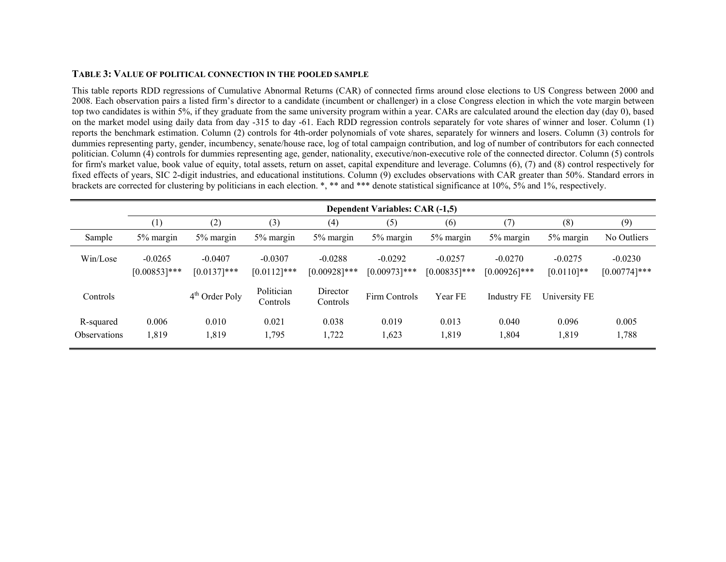### **TABLE 3: VALUE OF POLITICAL CONNECTION IN THE POOLED SAMPLE**

This table reports RDD regressions of Cumulative Abnormal Returns (CAR) of connected firms around close elections to US Congress between 2000 and 2008. Each observation pairs a listed firm's director to a candidate (incumbent or challenger) in a close Congress election in which the vote margin between top two candidates is within 5%, if they graduate from the same university program within a year. CARs are calculated around the election day (day 0), based on the market model using daily data from day -315 to day -61. Each RDD regression controls separately for vote shares of winner and loser. Column (1) reports the benchmark estimation. Column (2) controls for 4th-order polynomials of vote shares, separately for winners and losers. Column (3) controls for dummies representing party, gender, incumbency, senate/house race, log of total campaign contribution, and log of number of contributors for each connected politician. Column (4) controls for dummies representing age, gender, nationality, executive/non-executive role of the connected director. Column (5) controls for firm's market value, book value of equity, total assets, return on asset, capital expenditure and leverage. Columns (6), (7) and (8) control respectively for fixed effects of years, SIC 2-digit industries, and educational institutions. Column (9) excludes observations with CAR greater than 50%. Standard errors in brackets are corrected for clustering by politicians in each election. \*, \*\* and \*\*\* denote statistical significance at 10%, 5% and 1%, respectively.

|                     |                             | <b>Dependent Variables: CAR (-1,5)</b> |                             |                             |                             |                              |                              |                            |                              |  |  |
|---------------------|-----------------------------|----------------------------------------|-----------------------------|-----------------------------|-----------------------------|------------------------------|------------------------------|----------------------------|------------------------------|--|--|
|                     | (1)                         | (2)                                    | (3)                         | (4)                         | (5)                         | (6)                          | (7)                          | (8)                        | (9)                          |  |  |
| Sample              | 5% margin                   | 5% margin                              | 5% margin                   | 5% margin                   | 5% margin                   | 5% margin                    | 5% margin                    | 5% margin                  | No Outliers                  |  |  |
| Win/Lose            | $-0.0265$<br>$[0.00853]***$ | $-0.0407$<br>$[0.0137]$ ***            | $-0.0307$<br>$[0.0112]$ *** | $-0.0288$<br>$[0.00928]***$ | $-0.0292$<br>$[0.00973]***$ | $-0.0257$<br>$[0.00835]$ *** | $-0.0270$<br>$[0.00926]$ *** | $-0.0275$<br>$[0.0110]$ ** | $-0.0230$<br>$[0.00774]$ *** |  |  |
| Controls            |                             | $4th$ Order Poly                       | Politician<br>Controls      | Director<br>Controls        | Firm Controls               | Year FE                      | <b>Industry FE</b>           | University FE              |                              |  |  |
| R-squared           | 0.006                       | 0.010                                  | 0.021                       | 0.038                       | 0.019                       | 0.013                        | 0.040                        | 0.096                      | 0.005                        |  |  |
| <b>Observations</b> | 1,819                       | 1,819                                  | 1,795                       | 1,722                       | 1,623                       | 1,819                        | 1,804                        | 1,819                      | 1,788                        |  |  |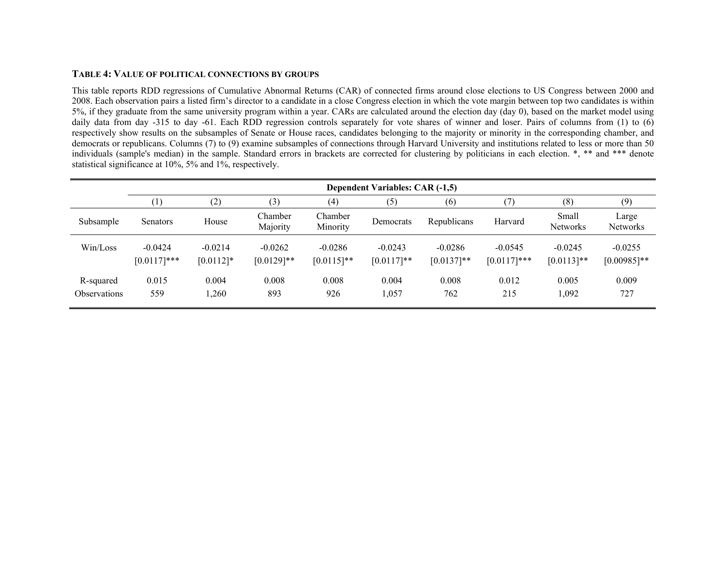### **TABLE 4: VALUE OF POLITICAL CONNECTIONS BY GROUPS**

This table reports RDD regressions of Cumulative Abnormal Returns (CAR) of connected firms around close elections to US Congress between 2000 and 2008. Each observation pairs a listed firm's director to a candidate in a close Congress election in which the vote margin between top two candidates is within 5%, if they graduate from the same university program within a year. CARs are calculated around the election day (day 0), based on the market model using daily data from day -315 to day -61. Each RDD regression controls separately for vote shares of winner and loser. Pairs of columns from (1) to (6) respectively show results on the subsamples of Senate or House races, candidates belonging to the majority or minority in the corresponding chamber, and democrats or republicans. Columns (7) to (9) examine subsamples of connections through Harvard University and institutions related to less or more than 50 individuals (sample's median) in the sample. Standard errors in brackets are corrected for clustering by politicians in each election. \*, \*\* and \*\*\* denote statistical significance at  $10\%$ , 5% and 1%, respectively.

|                                  | <b>Dependent Variables: CAR (-1,5)</b> |                          |                           |                          |                           |                           |                            |                           |                             |  |  |
|----------------------------------|----------------------------------------|--------------------------|---------------------------|--------------------------|---------------------------|---------------------------|----------------------------|---------------------------|-----------------------------|--|--|
|                                  | $\left(1\right)$                       | (2)                      | (3)                       | (4)                      | (5)                       | (6)                       | 7)                         | (8)                       | (9)                         |  |  |
| Subsample                        | <b>Senators</b>                        | House                    | Chamber<br>Majority       | Chamber<br>Minority      | Democrats                 | Republicans               | Harvard                    | Small<br><b>Networks</b>  | Large<br><b>Networks</b>    |  |  |
| Win/Loss                         | $-0.0424$<br>$[0.0117]***$             | $-0.0214$<br>$[0.0112]*$ | $-0.0262$<br>$[0.0129]**$ | $-0.0286$<br>$[0.0115]*$ | $-0.0243$<br>$[0.0117]**$ | $-0.0286$<br>$[0.0137]**$ | $-0.0545$<br>$[0.0117]***$ | $-0.0245$<br>$[0.0113]**$ | $-0.0255$<br>$[0.00985]$ ** |  |  |
| R-squared<br><b>Observations</b> | 0.015<br>559                           | 0.004<br>1,260           | 0.008<br>893              | 0.008<br>926             | 0.004<br>1,057            | 0.008<br>762              | 0.012<br>215               | 0.005<br>1,092            | 0.009<br>727                |  |  |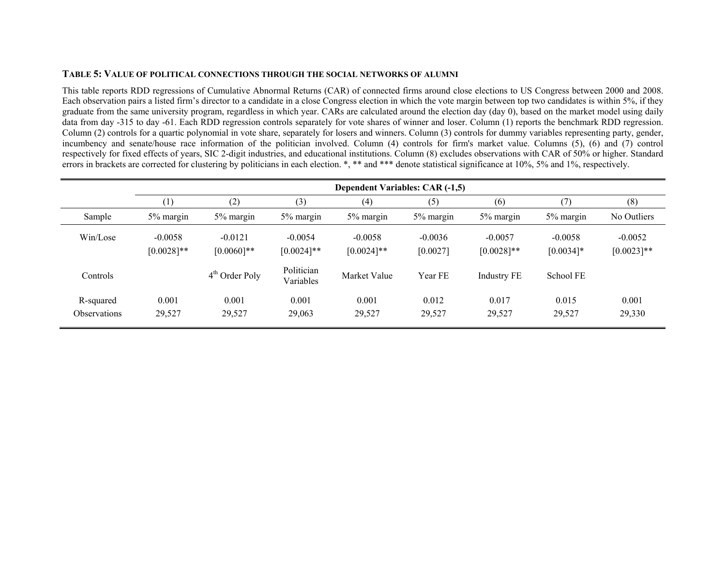### TABLE 5: VALUE OF POLITICAL CONNECTIONS THROUGH THE SOCIAL NETWORKS OF ALUMNI

This table reports RDD regressions of Cumulative Abnormal Returns (CAR) of connected firms around close elections to US Congress between 2000 and 2008. Each observation pairs a listed firm's director to a candidate in a close Congress election in which the vote margin between top two candidates is within 5%, if they graduate from the same university program, regardless in which year. CARs are calculated around the election day (day 0), based on the market model using daily data from day -315 to day -61. Each RDD regression controls separately for vote shares of winner and loser. Column (1) reports the benchmark RDD regression. Column (2) controls for a quartic polynomial in vote share, separately for losers and winners. Column (3) controls for dummy variables representing party, gender, incumbency and senate/house race information of the politician involved. Column (4) controls for firm's market value. Columns (5), (6) and (7) control respectively for fixed effects of years, SIC 2-digit industries, and educational institutions. Column (8) excludes observations with CAR of 50% or higher. Standard errors in brackets are corrected for clustering by politicians in each election. \*, \*\* and \*\*\* denote statistical significance at 10%, 5% and 1%, respectively.

|                                  | <b>Dependent Variables: CAR (-1,5)</b> |                            |                            |                            |                       |                           |                           |                            |  |  |  |  |
|----------------------------------|----------------------------------------|----------------------------|----------------------------|----------------------------|-----------------------|---------------------------|---------------------------|----------------------------|--|--|--|--|
|                                  | (1)                                    | (2)                        | (3)                        | (4)                        | (5)                   | (6)                       | (7)                       | (8)                        |  |  |  |  |
| Sample                           | 5% margin                              | 5% margin                  | 5% margin                  | 5% margin                  | 5% margin             | 5% margin                 | $5\%$ margin              | No Outliers                |  |  |  |  |
| Win/Lose                         | $-0.0058$<br>$[0.0028]$ **             | $-0.0121$<br>$[0.0060]$ ** | $-0.0054$<br>$[0.0024]$ ** | $-0.0058$<br>$[0.0024]$ ** | $-0.0036$<br>[0.0027] | $-0.0057$<br>$[0.0028]**$ | $-0.0058$<br>$[0.0034]$ * | $-0.0052$<br>$[0.0023]$ ** |  |  |  |  |
| Controls                         |                                        | $4th$ Order Poly           | Politician<br>Variables    | Market Value               | Year FE               | <b>Industry FE</b>        | School FE                 |                            |  |  |  |  |
| R-squared<br><b>Observations</b> | 0.001<br>29,527                        | 0.001<br>29,527            | 0.001<br>29,063            | 0.001<br>29,527            | 0.012<br>29,527       | 0.017<br>29,527           | 0.015<br>29,527           | 0.001<br>29,330            |  |  |  |  |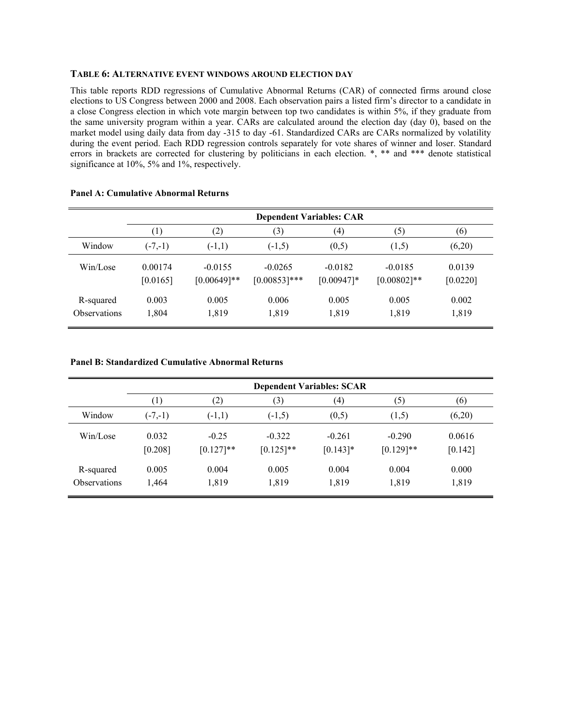### TABLE 6: ALTERNATIVE EVENT WINDOWS AROUND ELECTION DAY

This table reports RDD regressions of Cumulative Abnormal Returns (CAR) of connected firms around close elections to US Congress between 2000 and 2008. Each observation pairs a listed firm's director to a candidate in a close Congress election in which vote margin between top two candidates is within 5%, if they graduate from the same university program within a year. CARs are calculated around the election day (day 0), based on the market model using daily data from day -315 to day -61. Standardized CARs are CARs normalized by volatility during the event period. Each RDD regression controls separately for vote shares of winner and loser. Standard errors in brackets are corrected for clustering by politicians in each election. \*, \*\* and \*\*\* denote statistical significance at  $10\%$ , 5% and 1%, respectively.

|                                  | <b>Dependent Variables: CAR</b> |                             |                             |                           |                            |                    |  |  |  |  |  |
|----------------------------------|---------------------------------|-----------------------------|-----------------------------|---------------------------|----------------------------|--------------------|--|--|--|--|--|
|                                  | $\Box$                          | (2)                         | (3)                         | $\left( 4\right)$         | (5)                        | (6)                |  |  |  |  |  |
| Window                           | $(-7,-1)$                       | $(-1,1)$                    | $(-1,5)$                    | (0,5)                     | (1,5)                      | (6,20)             |  |  |  |  |  |
| Win/Lose                         | 0.00174<br>[0.0165]             | $-0.0155$<br>$[0.00649]$ ** | $-0.0265$<br>$[0.00853]***$ | $-0.0182$<br>$[0.00947]*$ | $-0.0185$<br>$[0.00802]**$ | 0.0139<br>[0.0220] |  |  |  |  |  |
| R-squared<br><b>Observations</b> | 0.003<br>1,804                  | 0.005<br>1,819              | 0.006<br>1,819              | 0.005<br>1,819            | 0.005<br>1,819             | 0.002<br>1,819     |  |  |  |  |  |

### **Panel A: Cumulative Abnormal Returns**

### **Panel B: Standardized Cumulative Abnormal Returns**

|                                  | <b>Dependent Variables: SCAR</b> |                        |                          |                         |                          |                   |  |  |  |  |
|----------------------------------|----------------------------------|------------------------|--------------------------|-------------------------|--------------------------|-------------------|--|--|--|--|
|                                  | $\left(1\right)$                 | (2)                    | (3)                      | (4)                     | (5)                      | (6)               |  |  |  |  |
| Window                           | $(-7,-1)$                        | $(-1,1)$               | $(-1,5)$                 | (0,5)                   | (1,5)                    | (6,20)            |  |  |  |  |
| Win/Lose                         | 0.032<br>[0.208]                 | $-0.25$<br>$[0.127]**$ | $-0.322$<br>$[0.125]$ ** | $-0.261$<br>$[0.143]$ * | $-0.290$<br>$[0.129]$ ** | 0.0616<br>[0.142] |  |  |  |  |
| R-squared<br><b>Observations</b> | 0.005<br>1,464                   | 0.004<br>1,819         | 0.005<br>1,819           | 0.004<br>1,819          | 0.004<br>1,819           | 0.000<br>1,819    |  |  |  |  |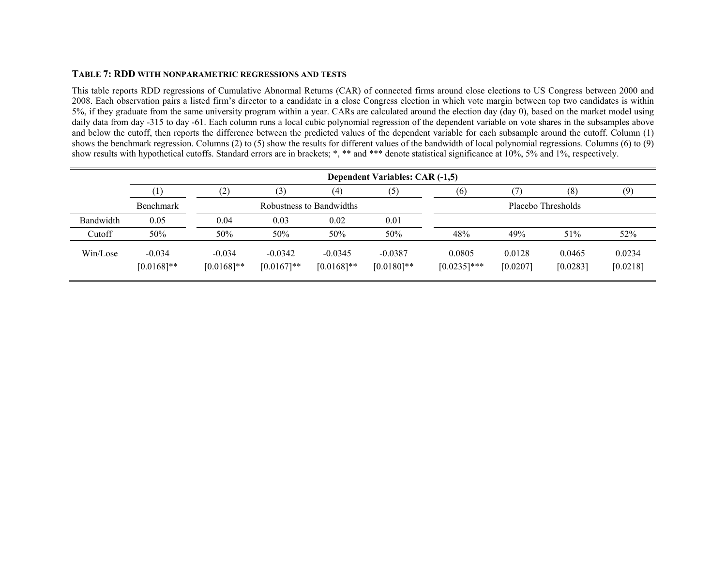### **TABLE 7: RDD WITH NONPARAMETRIC REGRESSIONS AND TESTS**

This table reports RDD regressions of Cumulative Abnormal Returns (CAR) of connected firms around close elections to US Congress between 2000 and 2008. Each observation pairs a listed firm's director to a candidate in a close Congress election in which vote margin between top two candidates is within 5%, if they graduate from the same university program within a year. CARs are calculated around the election day (day 0), based on the market model using daily data from day -315 to day -61. Each column runs a local cubic polynomial regression of the dependent variable on vote shares in the subsamples above and below the cutoff, then reports the difference between the predicted values of the dependent variable for each subsample around the cutoff. Column (1) shows the benchmark regression. Columns (2) to (5) show the results for different values of the bandwidth of local polynomial regressions. Columns (6) to (9) show results with hypothetical cutoffs. Standard errors are in brackets; \*, \*\* and \*\*\* denote statistical significance at 10%, 5% and 1%, respectively.

|           | <b>Dependent Variables: CAR (-1,5)</b> |                          |                           |                            |                            |                          |                    |                    |                    |  |  |
|-----------|----------------------------------------|--------------------------|---------------------------|----------------------------|----------------------------|--------------------------|--------------------|--------------------|--------------------|--|--|
|           |                                        | $^{\prime}2)$            | (3)                       | (4)                        | (5)                        | (6)                      |                    | (8)                | (9)                |  |  |
|           | <b>Benchmark</b>                       |                          |                           | Robustness to Bandwidths   |                            |                          |                    | Placebo Thresholds |                    |  |  |
| Bandwidth | 0.05                                   | 0.04                     | 0.03                      | 0.02                       | 0.01                       |                          |                    |                    |                    |  |  |
| Cutoff    | 50%                                    | 50%                      | 50%                       | 50%                        | 50%                        | 48%                      | 49%                | 51%                | 52%                |  |  |
| Win/Lose  | $-0.034$<br>$[0.0168]**$               | $-0.034$<br>$[0.0168]**$ | $-0.0342$<br>$[0.0167]**$ | $-0.0345$<br>$[0.0168]$ ** | $-0.0387$<br>$[0.0180]$ ** | 0.0805<br>$[0.0235]$ *** | 0.0128<br>[0.0207] | 0.0465<br>[0.0283] | 0.0234<br>[0.0218] |  |  |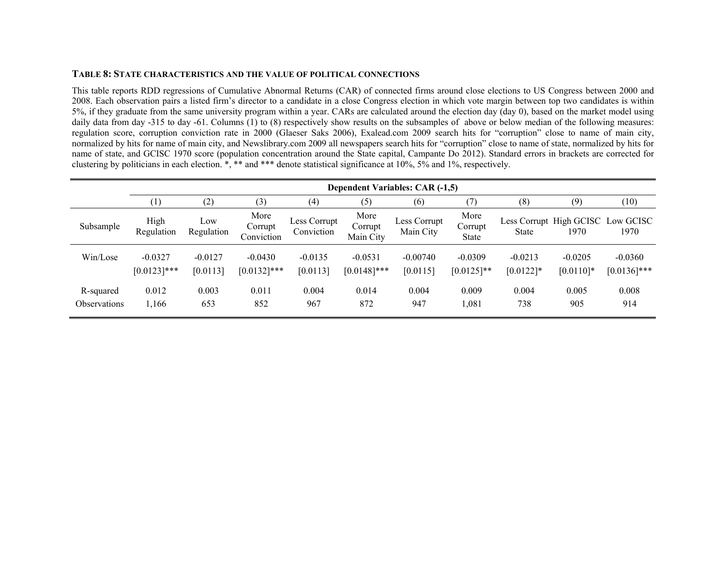### TABLE 8: STATE CHARACTERISTICS AND THE VALUE OF POLITICAL CONNECTIONS

This table reports RDD regressions of Cumulative Abnormal Returns (CAR) of connected firms around close elections to US Congress between 2000 and 2008. Each observation pairs a listed firm's director to a candidate in a close Congress election in which vote margin between top two candidates is within 5%, if they graduate from the same university program within a year. CARs are calculated around the election day (day 0), based on the market model using daily data from day -315 to day -61. Columns (1) to (8) respectively show results on the subsamples of above or below median of the following measures: regulation score, corruption conviction rate in 2000 (Glaeser Saks 2006), Exalead.com 2009 search hits for "corruption" close to name of main city, normalized by hits for name of main city, and Newslibrary.com 2009 all newspapers search hits for "corruption" close to name of state, normalized by hits for name of state, and GCISC 1970 score (population concentration around the State capital, Campante Do 2012). Standard errors in brackets are corrected for clustering by politicians in each election.  $\ast$ ,  $\ast\ast$  and  $\ast\ast\ast$  denote statistical significance at 10%, 5% and 1%, respectively.

|                           |                             | <b>Dependent Variables: CAR (-1,5)</b> |                               |                            |                              |                           |                                 |                           |                                           |                             |  |
|---------------------------|-----------------------------|----------------------------------------|-------------------------------|----------------------------|------------------------------|---------------------------|---------------------------------|---------------------------|-------------------------------------------|-----------------------------|--|
|                           | $\left(1\right)$            | (2)                                    | (3)                           | (4)                        | (5)                          | (6)                       |                                 | (8)                       | (9)                                       | (10)                        |  |
| Subsample                 | High<br>Regulation          | Low<br>Regulation                      | More<br>Corrupt<br>Conviction | Less Corrupt<br>Conviction | More<br>Corrupt<br>Main City | Less Corrupt<br>Main City | More<br>Corrupt<br><b>State</b> | <b>State</b>              | Less Corrupt High GCISC Low GCISC<br>1970 | 1970                        |  |
| Win/Lose                  | $-0.0327$<br>$[0.0123]$ *** | $-0.0127$<br>[0.0113]                  | $-0.0430$<br>$[0.0132]$ ***   | $-0.0135$<br>[0.0113]      | $-0.0531$<br>$[0.0148]$ ***  | $-0.00740$<br>[0.0115]    | $-0.0309$<br>$[0.0125]**$       | $-0.0213$<br>$[0.0122]$ * | $-0.0205$<br>$[0.0110]$ *                 | $-0.0360$<br>$[0.0136]$ *** |  |
| R-squared<br>Observations | 0.012<br>1,166              | 0.003<br>653                           | 0.011<br>852                  | 0.004<br>967               | 0.014<br>872                 | 0.004<br>947              | 0.009<br>1,081                  | 0.004<br>738              | 0.005<br>905                              | 0.008<br>914                |  |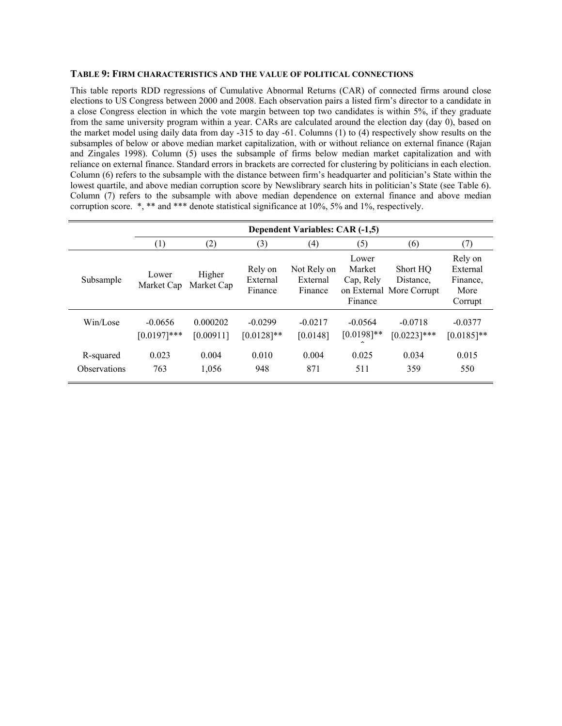### TABLE 9: FIRM CHARACTERISTICS AND THE VALUE OF POLITICAL CONNECTIONS

This table reports RDD regressions of Cumulative Abnormal Returns (CAR) of connected firms around close elections to US Congress between 2000 and 2008. Each observation pairs a listed firm's director to a candidate in a close Congress election in which the vote margin between top two candidates is within 5%, if they graduate from the same university program within a year. CARs are calculated around the election day (day 0), based on the market model using daily data from day -315 to day -61. Columns (1) to (4) respectively show results on the subsamples of below or above median market capitalization, with or without reliance on external finance (Rajan and Zingales 1998). Column (5) uses the subsample of firms below median market capitalization and with reliance on external finance. Standard errors in brackets are corrected for clustering by politicians in each election. Column (6) refers to the subsample with the distance between firm's headquarter and politician's State within the lowest quartile, and above median corruption score by Newslibrary search hits in politician's State (see Table 6). Column (7) refers to the subsample with above median dependence on external finance and above median corruption score. \*, \*\* and \*\*\* denote statistical significance at 10%, 5% and 1%, respectively.

|                                  | <b>Dependent Variables: CAR (-1,5)</b> |                       |                                |                                    |                                         |                                                   |                                                    |  |  |  |
|----------------------------------|----------------------------------------|-----------------------|--------------------------------|------------------------------------|-----------------------------------------|---------------------------------------------------|----------------------------------------------------|--|--|--|
|                                  | (1)                                    | (2)                   | (3)                            | $\left( 4\right)$                  | (5)                                     | (6)                                               | (7)                                                |  |  |  |
| Subsample                        | Lower<br>Market Cap                    | Higher<br>Market Cap  | Rely on<br>External<br>Finance | Not Rely on<br>External<br>Finance | Lower<br>Market<br>Cap, Rely<br>Finance | Short HO<br>Distance.<br>on External More Corrupt | Rely on<br>External<br>Finance,<br>More<br>Corrupt |  |  |  |
| Win/Lose                         | $-0.0656$<br>$[0.0197]***$             | 0.000202<br>[0.00911] | $-0.0299$<br>$[0.0128]**$      | $-0.0217$<br>[0.0148]              | $-0.0564$<br>$[0.0198]**$               | $-0.0718$<br>$[0.0223]***$                        | $-0.0377$<br>$[0.0185]$ **                         |  |  |  |
| R-squared<br><b>Observations</b> | 0.023<br>763                           | 0.004<br>1,056        | 0.010<br>948                   | 0.004<br>871                       | 0.025<br>511                            | 0.034<br>359                                      | 0.015<br>550                                       |  |  |  |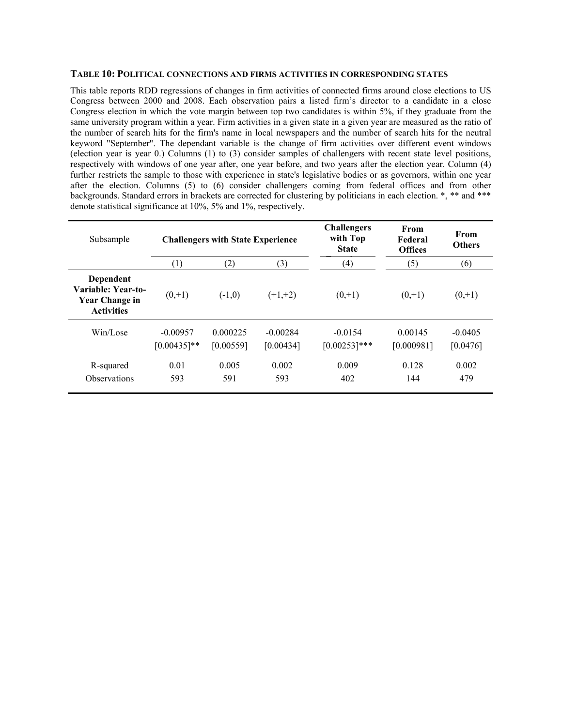### TABLE 10: POLITICAL CONNECTIONS AND FIRMS ACTIVITIES IN CORRESPONDING STATES

This table reports RDD regressions of changes in firm activities of connected firms around close elections to US Congress between 2000 and 2008. Each observation pairs a listed firm's director to a candidate in a close Congress election in which the vote margin between top two candidates is within 5%, if they graduate from the same university program within a year. Firm activities in a given state in a given year are measured as the ratio of the number of search hits for the firm's name in local newspapers and the number of search hits for the neutral keyword "September". The dependant variable is the change of firm activities over different event windows (election year is year 0.) Columns (1) to (3) consider samples of challengers with recent state level positions, respectively with windows of one year after, one year before, and two years after the election year. Column (4) further restricts the sample to those with experience in state's legislative bodies or as governors, within one year after the election. Columns (5) to (6) consider challengers coming from federal offices and from other backgrounds. Standard errors in brackets are corrected for clustering by politicians in each election. \*, \*\* and \*\*\* denote statistical significance at 10%, 5% and 1%, respectively.

| Subsample                                                                     |                              | <b>Challengers with State Experience</b> |                         | <b>Challengers</b><br>with Top<br><b>State</b> | From<br>Federal<br><b>Offices</b> | From<br><b>Others</b> |
|-------------------------------------------------------------------------------|------------------------------|------------------------------------------|-------------------------|------------------------------------------------|-----------------------------------|-----------------------|
|                                                                               | (1)                          | (2)                                      | (3)                     | $\left( 4\right)$                              | (5)                               | (6)                   |
| Dependent<br>Variable: Year-to-<br><b>Year Change in</b><br><b>Activities</b> | $(0, +1)$                    | $(-1,0)$                                 | $(+1,+2)$               | $(0,+1)$                                       | $(0, +1)$                         | $(0, +1)$             |
| Win/Lose                                                                      | $-0.00957$<br>$[0.00435]$ ** | 0.000225<br>[0.00559]                    | $-0.00284$<br>[0.00434] | $-0.0154$<br>$[0.00253]***$                    | 0.00145<br>[0.000981]             | $-0.0405$<br>[0.0476] |
| R-squared<br><b>Observations</b>                                              | 0.01<br>593                  | 0.005<br>591                             | 0.002<br>593            | 0.009<br>402                                   | 0.128<br>144                      | 0.002<br>479          |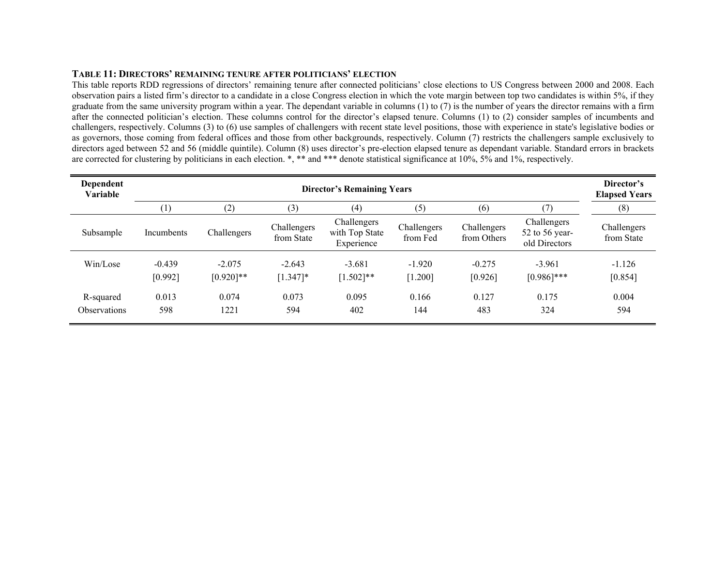### **TABLE 11: DIRECTORS' REMAINING TENURE AFTER POLITICIANS' ELECTION**

This table reports RDD regressions of directors' remaining tenure after connected politicians' close elections to US Congress between 2000 and 2008. Each observation pairs a listed firm's director to a candidate in a close Congress election in which the vote margin between top two candidates is within 5%, if they graduate from the same university program within a year. The dependant variable in columns  $(1)$  to  $(7)$  is the number of years the director remains with a firm after the connected politician's election. These columns control for the director's elapsed tenure. Columns (1) to (2) consider samples of incumbents and challengers, respectively. Columns (3) to (6) use samples of challengers with recent state level positions, those with experience in state's legislative bodies or as governors, those coming from federal offices and those from other backgrounds, respectively. Column (7) restricts the challengers sample exclusively to directors aged between 52 and 56 (middle quintile). Column (8) uses director's pre-election elapsed tenure as dependant variable. Standard errors in brackets are corrected for clustering by politicians in each election. \*, \*\* and \*\*\* denote statistical significance at 10%, 5% and 1%, respectively.

| Dependent<br>Variable                   |                     | <b>Director's Remaining Years</b> |                           |                                             |                         |                            |                                                |                           |  |  |  |
|-----------------------------------------|---------------------|-----------------------------------|---------------------------|---------------------------------------------|-------------------------|----------------------------|------------------------------------------------|---------------------------|--|--|--|
|                                         | $\left(1\right)$    | (2)                               | (3)                       | (4)                                         | (5)                     | (6)                        |                                                | (8)                       |  |  |  |
| Subsample                               | Incumbents          | Challengers                       | Challengers<br>from State | Challengers<br>with Top State<br>Experience | Challengers<br>from Fed | Challengers<br>from Others | Challengers<br>52 to 56 year-<br>old Directors | Challengers<br>from State |  |  |  |
| Win/Lose                                | $-0.439$<br>[0.992] | $-2.075$<br>$[0.920]$ **          | $-2.643$<br>$[1.347]$ *   | $-3.681$<br>$[1.502]**$                     | $-1.920$<br>[1.200]     | $-0.275$<br>[0.926]        | $-3.961$<br>$[0.986]$ ***                      | $-1.126$<br>[0.854]       |  |  |  |
| R-squared<br><i><b>Observations</b></i> | 0.013<br>598        | 0.074<br>1221                     | 0.073<br>594              | 0.095<br>402                                | 0.166<br>144            | 0.127<br>483               | 0.175<br>324                                   | 0.004<br>594              |  |  |  |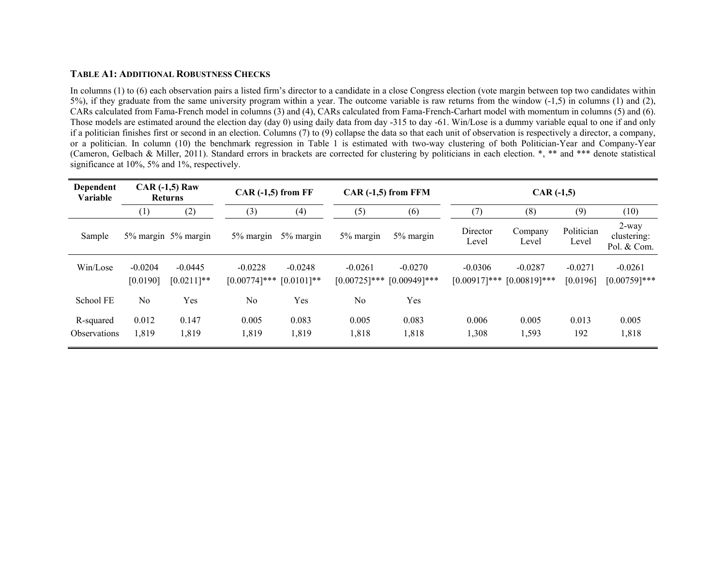### **TABLE A1: ADDITIONAL ROBUSTNESS CHECKS**

In columns (1) to (6) each observation pairs a listed firm's director to a candidate in a close Congress election (vote margin between top two candidates within 5%), if they graduate from the same university program within a year. The outcome variable is raw returns from the window  $(-1,5)$  in columns (1) and (2), CARs calculated from Fama-French model in columns (3) and (4), CARs calculated from Fama-French-Carhart model with momentum in columns (5) and (6). Those models are estimated around the election day (day 0) using daily data from day -315 to day -61. Win/Lose is a dummy variable equal to one if and only if a politician finishes first or second in an election. Columns  $(7)$  to  $(9)$  collapse the data so that each unit of observation is respectively a director, a company, or a politician. In column (10) the benchmark regression in Table 1 is estimated with two-way clustering of both Politician-Year and Company-Year (Cameron, Gelbach & Miller, 2011). Standard errors in brackets are corrected for clustering by politicians in each election. \*, \*\* and \*\*\* denote statistical significance at  $10\%$ , 5% and 1%, respectively.

| Dependent<br>Variable            |                       | $CAR$ (-1,5) Raw<br><b>Returns</b> | $CAR$ (-1,5) from FF        |                           | $CAR$ (-1,5) from FFM       |                              | $CAR (-1, 5)$               |                              |                       |                                        |
|----------------------------------|-----------------------|------------------------------------|-----------------------------|---------------------------|-----------------------------|------------------------------|-----------------------------|------------------------------|-----------------------|----------------------------------------|
|                                  | (1)                   | (2)                                | (3)                         | (4)                       | (5)                         | (6)                          | (7)                         | (8)                          | (9)                   | (10)                                   |
| Sample                           |                       | 5% margin 5% margin                | 5% margin                   | 5% margin                 | 5% margin                   | 5% margin                    | Director<br>Level           | Company<br>Level             | Politician<br>Level   | $2$ -way<br>clustering:<br>Pol. & Com. |
| Win/Lose                         | $-0.0204$<br>[0.0190] | $-0.0445$<br>$[0.0211]**$          | $-0.0228$<br>$[0.00774]***$ | $-0.0248$<br>$[0.0101]**$ | $-0.0261$<br>$[0.00725]***$ | $-0.0270$<br>$[0.00949]$ *** | $-0.0306$<br>$[0.00917]***$ | $-0.0287$<br>$[0.00819]$ *** | $-0.0271$<br>[0.0196] | $-0.0261$<br>$[0.00759]***$            |
| School FE                        | N <sub>0</sub>        | Yes                                | N <sub>0</sub>              | Yes                       | N <sub>0</sub>              | Yes                          |                             |                              |                       |                                        |
| R-squared<br><b>Observations</b> | 0.012<br>1,819        | 0.147<br>1,819                     | 0.005<br>1,819              | 0.083<br>1,819            | 0.005<br>1,818              | 0.083<br>1,818               | 0.006<br>1,308              | 0.005<br>1,593               | 0.013<br>192          | 0.005<br>1,818                         |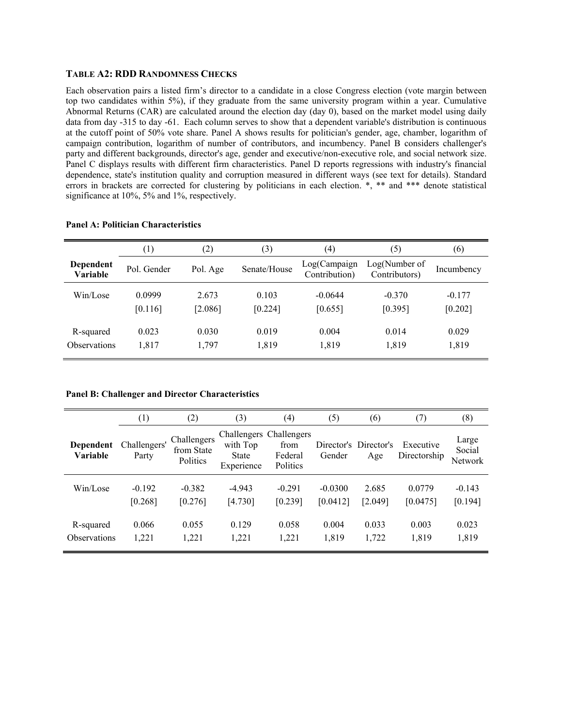### **TABLE A2: RDD RANDOMNESS CHECKS**

Each observation pairs a listed firm's director to a candidate in a close Congress election (vote margin between top two candidates within 5%), if they graduate from the same university program within a year. Cumulative Abnormal Returns (CAR) are calculated around the election day (day 0), based on the market model using daily data from day -315 to day -61. Each column serves to show that a dependent variable's distribution is continuous at the cutoff point of 50% vote share. Panel A shows results for politician's gender, age, chamber, logarithm of campaign contribution, logarithm of number of contributors, and incumbency. Panel B considers challenger's party and different backgrounds, director's age, gender and executive/non-executive role, and social network size. Panel C displays results with different firm characteristics. Panel D reports regressions with industry's financial dependence, state's institution quality and corruption measured in different ways (see text for details). Standard errors in brackets are corrected for clustering by politicians in each election. \*, \*\* and \*\*\* denote statistical significance at 10%, 5% and 1%, respectively.

|                              | $\left(1\right)$ | (2)      | (3)          | $\left(4\right)$              | (5)                            | (6)        |
|------------------------------|------------------|----------|--------------|-------------------------------|--------------------------------|------------|
| <b>Dependent</b><br>Variable | Pol. Gender      | Pol. Age | Senate/House | Log(Campaign<br>Contribution) | Log(Number of<br>Contributors) | Incumbency |
| Win/Lose                     | 0.0999           | 2.673    | 0.103        | $-0.0644$                     | $-0.370$                       | $-0.177$   |
|                              | [0.116]          | [2.086]  | [0.224]      | [0.655]                       | [0.395]                        | [0.202]    |
| R-squared                    | 0.023            | 0.030    | 0.019        | 0.004                         | 0.014                          | 0.029      |
| Observations                 | 1,817            | 1,797    | 1,819        | 1,819                         | 1,819                          | 1,819      |
|                              |                  |          |              |                               |                                |            |

### **Panel A: Politician Characteristics**

### **Panel B: Challenger and Director Characteristics**

|                       | $\left(1\right)$      | (2)                                   | (3)                                    | (4)                                                    | (5)       | (6)                          | (7)                       | (8)                        |
|-----------------------|-----------------------|---------------------------------------|----------------------------------------|--------------------------------------------------------|-----------|------------------------------|---------------------------|----------------------------|
| Dependent<br>Variable | Challengers'<br>Party | Challengers<br>from State<br>Politics | with Top<br><b>State</b><br>Experience | Challengers Challengers<br>from<br>Federal<br>Politics | Gender    | Director's Director's<br>Age | Executive<br>Directorship | Large<br>Social<br>Network |
| Win/Lose              | $-0.192$              | $-0.382$                              | $-4.943$                               | $-0.291$                                               | $-0.0300$ | 2.685                        | 0.0779                    | $-0.143$                   |
|                       | [0.268]               | [0.276]                               | [4.730]                                | [0.239]                                                | [0.0412]  | [2.049]                      | [0.0475]                  | [0.194]                    |
| R-squared             | 0.066                 | 0.055                                 | 0.129                                  | 0.058                                                  | 0.004     | 0.033                        | 0.003                     | 0.023                      |
| <b>Observations</b>   | 1,221                 | 1,221                                 | 1,221                                  | 1,221                                                  | 1,819     | 1,722                        | 1,819                     | 1,819                      |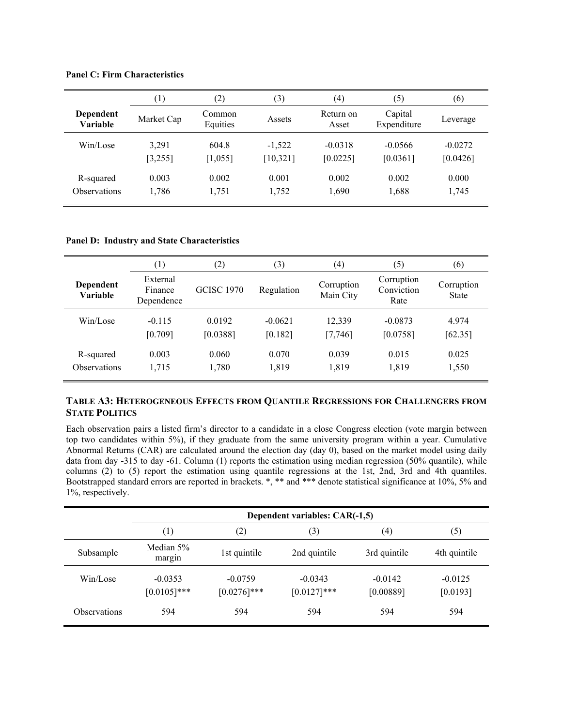|                       | (1)        | (2)                | (3)       | $\left( 4\right)$  | (5)                    | $\left( 6\right)$ |
|-----------------------|------------|--------------------|-----------|--------------------|------------------------|-------------------|
| Dependent<br>Variable | Market Cap | Common<br>Equities | Assets    | Return on<br>Asset | Capital<br>Expenditure | Leverage          |
| Win/Lose              | 3,291      | 604.8              | $-1,522$  | $-0.0318$          | $-0.0566$              | $-0.0272$         |
|                       | [3,255]    | [1,055]            | [10, 321] | [0.0225]           | [0.0361]               | [0.0426]          |
| R-squared             | 0.003      | 0.002              | 0.001     | 0.002              | 0.002                  | 0.000             |
| <b>Observations</b>   | 1,786      | 1,751              | 1,752     | 1,690              | 1,688                  | 1,745             |

**Panel C: Firm Characteristics** 

Panel D: Industry and State Characteristics

|                       | $\left(1\right)$                  | (2)        | (3)        | (4)                     | (5)                              | (6)                        |
|-----------------------|-----------------------------------|------------|------------|-------------------------|----------------------------------|----------------------------|
| Dependent<br>Variable | External<br>Finance<br>Dependence | GCISC 1970 | Regulation | Corruption<br>Main City | Corruption<br>Conviction<br>Rate | Corruption<br><b>State</b> |
| Win/Lose              | $-0.115$                          | 0.0192     | $-0.0621$  | 12,339                  | $-0.0873$                        | 4.974                      |
|                       | [0.709]                           | [0.0388]   | [0.182]    | [7, 746]                | [0.0758]                         | [62.35]                    |
| R-squared             | 0.003                             | 0.060      | 0.070      | 0.039                   | 0.015                            | 0.025                      |
| <b>Observations</b>   | 1,715                             | 1,780      | 1,819      | 1,819                   | 1,819                            | 1,550                      |

### TABLE A3: HETEROGENEOUS EFFECTS FROM QUANTILE REGRESSIONS FOR CHALLENGERS FROM **STATE POLITICS**

Each observation pairs a listed firm's director to a candidate in a close Congress election (vote margin between top two candidates within 5%), if they graduate from the same university program within a year. Cumulative Abnormal Returns (CAR) are calculated around the election day (day 0), based on the market model using daily data from day -315 to day -61. Column (1) reports the estimation using median regression (50% quantile), while columns (2) to (5) report the estimation using quantile regressions at the 1st, 2nd, 3rd and 4th quantiles. Bootstrapped standard errors are reported in brackets. \*, \*\* and \*\*\* denote statistical significance at  $10\%$ , 5% and 1%, respectively.

|                     | Dependent variables: CAR(-1,5) |                             |                            |                        |                       |
|---------------------|--------------------------------|-----------------------------|----------------------------|------------------------|-----------------------|
|                     | (1)                            | (2)                         | (3)                        | $\left( 4\right)$      | (5)                   |
| Subsample           | Median 5%<br>margin            | 1st quintile                | 2nd quintile               | 3rd quintile           | 4th quintile          |
| Win/Lose            | $-0.0353$<br>$[0.0105]$ ***    | $-0.0759$<br>$[0.0276]$ *** | $-0.0343$<br>$[0.0127]***$ | $-0.0142$<br>[0.00889] | $-0.0125$<br>[0.0193] |
| <b>Observations</b> | 594                            | 594                         | 594                        | 594                    | 594                   |